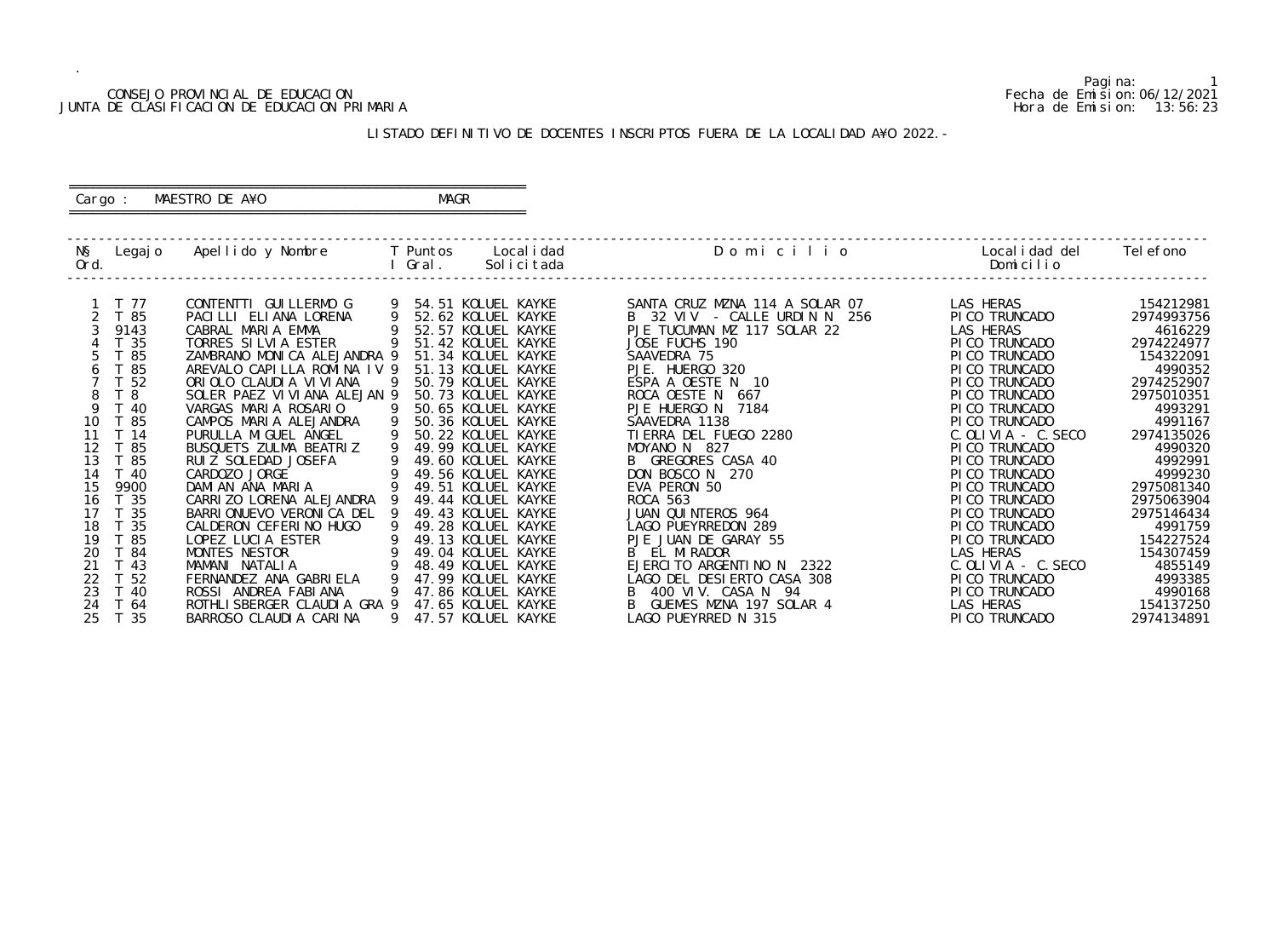## CONSEJO PROVINCIAL DE EDUCACION Fecha de Emision:06/12/2021 JUNTA DE CLASIFICACION DE EDUCACION PRIMARIA Hora de Emision: 13:56:23

# ========================================================== Cargo : MAESTRO DE A¥O **MAGR**

# LISTADO DEFINITIVO DE DOCENTES INSCRIPTOS FUERA DE LA LOCALIDAD A¥O 2022.-

==========================================================

| NŞ<br>Ord. | Legaj o    | Apellido y Nombre                                    |   | T Puntos<br>Gral. | Local i dad<br>Solicitada                | Domicilio                                 | Local i dad del<br>Domicilio     | Tel efono             |
|------------|------------|------------------------------------------------------|---|-------------------|------------------------------------------|-------------------------------------------|----------------------------------|-----------------------|
|            | T 77       | CONTENTTI GUI LLERMO G                               |   |                   | 54.51 KOLUEL KAYKE                       | SANTA CRUZ MZNA 114 A SOLAR 07            | LAS HERAS                        | 154212981             |
|            | T 85       | PACILLI ELIANA LORENA                                | 9 |                   | 52.62 KOLUEL KAYKE                       | B 32 VIV - CALLE URDIN N 256              | PI CO TRUNCADO                   | 2974993756            |
|            | 9143       | CABRAL MARIA EMMA                                    |   |                   | 52.57 KOLUEL KAYKE                       | PJE TUCUMAN MZ 117 SOLAR 22               | LAS HERAS                        | 4616229               |
|            | T 35       | TORRES SILVIA ESTER                                  |   |                   | 51.42 KOLUEL KAYKE                       | JOSE FUCHS 190                            | PI CO TRUNCADO                   | 2974224977            |
|            | 85         | ZAMBRANO MONICA ALEJANDRA 9                          |   |                   | 51.34 KOLUEL KAYKE                       | SAAVEDRA 75                               | PI CO TRUNCADO                   | 154322091             |
|            | T 85<br>6  | AREVALO CAPILLA ROMINA IV 9                          |   |                   | 51.13 KOLUEL KAYKE                       | PJE. HUERGO 320                           | PI CO TRUNCADO                   | 4990352               |
|            | 52         | ORIOLO CLAUDIA VIVIANA                               |   |                   | 50.79 KOLUEL KAYKE                       | ESPA A OESTE N 10                         | PI CO TRUNCADO                   | 2974252907            |
|            | 8<br>-8    | SOLER PAEZ VIVIANA ALEJAN 9                          |   |                   | 50.73 KOLUEL KAYKE                       | ROCA OESTE N 667                          | PI CO TRUNCADO                   | 2975010351            |
|            | 9<br>T 40  | VARGAS MARIA ROSARIO                                 |   |                   | 50.65 KOLUEL KAYKE                       | PJE HUERGO N 7184                         | PI CO TRUNCADO                   | 4993291               |
| 10         | T 85       | CAMPOS MARIA ALEJANDRA                               | 9 |                   | 50.36 KOLUEL KAYKE                       | SAAVEDRA 1138                             | PI CO TRUNCADO                   | 4991167               |
| 11         | T 14       | PURULLA MIGUEL ANGEL                                 |   |                   | 50.22 KOLUEL KAYKE                       | TI ERRA DEL FUEGO 2280                    | $C.$ OLIVIA - C. SECO            | 2974135026            |
| 12         | ່ 85       | BUSQUETS ZULMA BEATRIZ                               | 9 |                   | 49.99 KOLUEL KAYKE                       | MOYANO N 827                              | PI CO TRUNCADO                   | 4990320               |
| 13         | T 85       | RUI Z SOLEDAD JOSEFA                                 |   |                   | 49.60 KOLUEL KAYKE                       | B GREGORES CASA 40                        | PI CO TRUNCADO                   | 4992991               |
| 14         | T 40       | CARDOZO JORGE                                        |   |                   | 49.56 KOLUEL KAYKE                       | DON BOSCO N 270                           | PI CO TRUNCADO                   | 4999230               |
| 15         | 9900       | DAMIAN ANA MARIA                                     |   |                   | 49.51 KOLUEL KAYKE                       | EVA PERON 50                              | PI CO TRUNCADO                   | 2975081340            |
| 16<br>17   | T 35       | CARRIZO LORENA ALEJANDRA                             |   |                   | 49.44 KOLUEL KAYKE                       | <b>ROCA 563</b>                           | PI CO TRUNCADO                   | 2975063904            |
| 18         | - 35<br>35 | BARRIONUEVO VERONICA DEL 9<br>CALDERON CEFERINO HUGO |   |                   | 49.43 KOLUEL KAYKE<br>49.28 KOLUEL KAYKE | JUAN QUINTEROS 964<br>LAGO PUEYRREDON 289 | PI CO TRUNCADO<br>PI CO TRUNCADO | 2975146434<br>4991759 |
| 19         | T 85       | LOPEZ LUCIA ESTER                                    |   |                   | 49.13 KOLUEL KAYKE                       | PJE JUAN DE GARAY 55                      | PI CO TRUNCADO                   | 154227524             |
| 20         | T 84       | MONTES NESTOR                                        |   |                   | 49.04 KOLUEL KAYKE                       | B EL MIRADOR                              | LAS HERAS                        | 154307459             |
| 21         | T 43       | MAMANI NATALIA                                       |   |                   | 48.49 KOLUEL KAYKE                       | EJERCITO ARGENTINO N 2322                 | $C.$ OLIVIA - $C.$ SECO          | 4855149               |
| 22         | T 52       | FERNANDEZ ANA GABRIELA                               |   |                   | 47.99 KOLUEL KAYKE                       | LAGO DEL DESIERTO CASA 308                | PI CO TRUNCADO                   | 4993385               |
| 23         | T 40       | ROSSI ANDREA FABIANA                                 |   |                   | 47.86 KOLUEL KAYKE                       | 400 VIV. CASA N 94<br>B                   | PI CO TRUNCADO                   | 4990168               |
| 24         | T 64       | ROTHLI SBERGER CLAUDI A GRA 9                        |   |                   | 47.65 KOLUEL KAYKE                       | GUEMES MZNA 197 SOLAR 4                   | LAS HERAS                        | 154137250             |
| 25         | - 35       | BARROSO CLAUDIA CARINA                               | 9 |                   | 47.57 KOLUEL KAYKE                       | LAGO PUEYRRED N 315                       | PI CO TRUNCADO                   | 2974134891            |
|            |            |                                                      |   |                   |                                          |                                           |                                  |                       |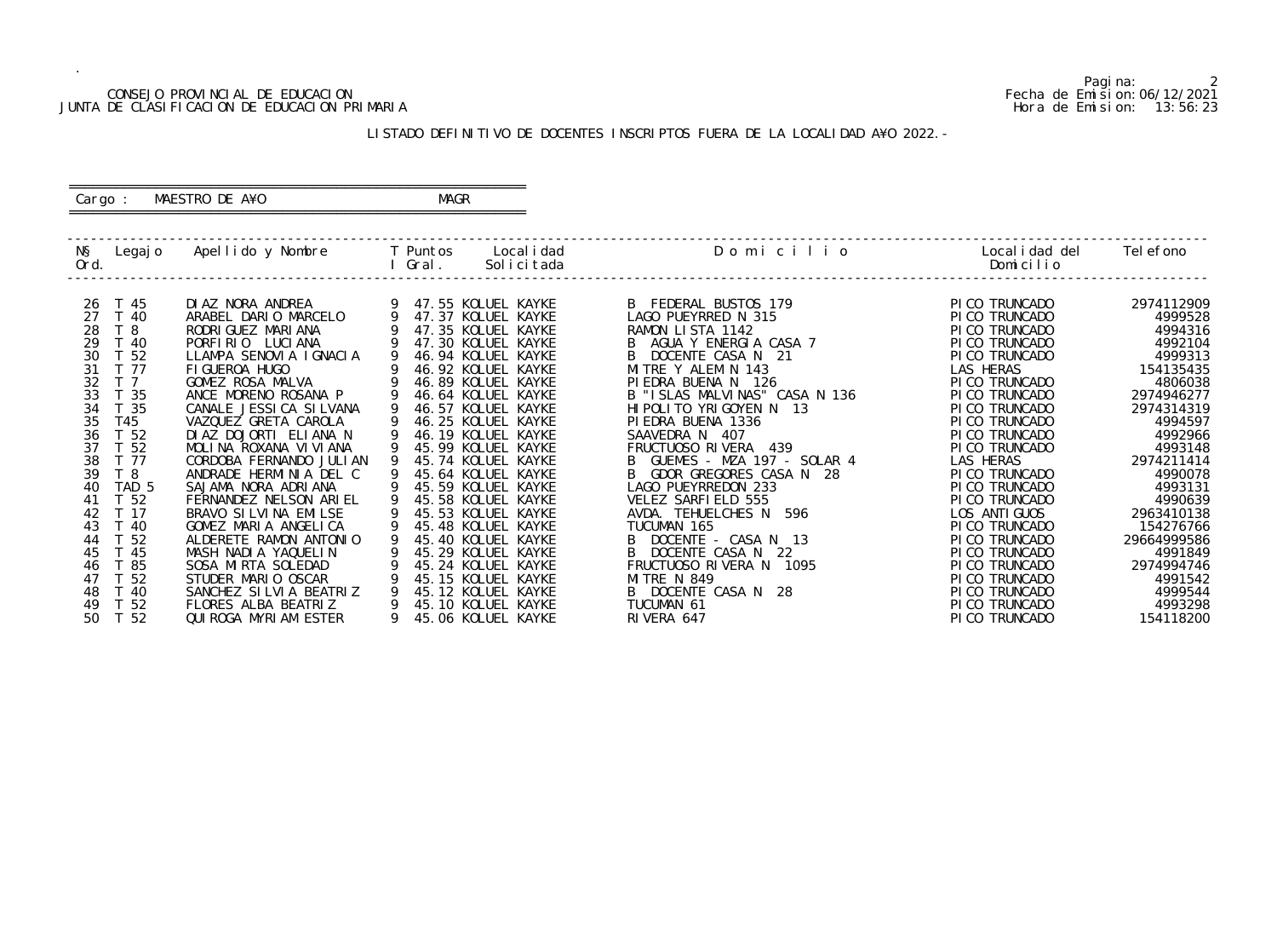## CONSEJO PROVINCIAL DE EDUCACION Fecha de Emision:06/12/2021 JUNTA DE CLASIFICACION DE EDUCACION PRIMARIA Hora de Emision: 13:56:23

# ========================================================== Cargo : MAESTRO DE A¥O **MAGR**

# LISTADO DEFINITIVO DE DOCENTES INSCRIPTOS FUERA DE LA LOCALIDAD A¥O 2022.-

==========================================================

| NŞ<br>Legaj o<br>Ord.  | Apellido y Nombre        | Local i dad<br>T Puntos<br>Gral.<br>Solicitada | Domicilio                     | Local i dad del<br>Domicilio | Tel efono   |
|------------------------|--------------------------|------------------------------------------------|-------------------------------|------------------------------|-------------|
|                        |                          |                                                |                               |                              |             |
| T 45<br>26             | DI AZ NORA ANDREA        | 47.55 KOLUEL KAYKE                             | B FEDERAL BUSTOS 179          | PI CO TRUNCADO               | 2974112909  |
| 27<br>T 40             | ARABEL DARIO MARCELO     | 47.37 KOLUEL KAYKE                             | LAGO PUEYRRED N 315           | PICO TRUNCADO                | 4999528     |
| 28<br>T <sub>8</sub>   | RODRI GUEZ MARI ANA      | 47.35 KOLUEL KAYKE                             | RAMON LISTA 1142              | PICO TRUNCADO                | 4994316     |
| 29<br>T 40             | PORFIRIO LUCIANA         | 47.30 KOLUEL KAYKE                             | AGUA Y ENERGIA CASA 7         | PI CO TRUNCADO               | 4992104     |
| T 52<br>30             | LLAMPA SENOVIA IGNACIA   | 46.94 KOLUEL KAYKE                             | DOCENTE CASA N 21             | PI CO TRUNCADO               | 4999313     |
| 31<br>T 77             | FI GUEROA HUGO           | 46.92 KOLUEL KAYKE                             | MITRE Y ALEM N 143            | LAS HERAS                    | 154135435   |
| 32<br>T <sub>7</sub>   | GOMEZ ROSA MALVA         | 46.89 KOLUEL KAYKE                             | PIEDRA BUENA N<br>126         | PI CO TRUNCADO               | 4806038     |
| 33<br>T 35             | ANCE MORENO ROSANA P     | 46.64 KOLUEL KAYKE                             | B "ISLAS MALVINAS" CASA N 136 | PI CO TRUNCADO               | 2974946277  |
| 34<br>T 35             | CANALE JESSI CA SI LVANA | 46.57 KOLUEL KAYKE                             | HI POLITO YRIGOYEN N 13       | PI CO TRUNCADO               | 2974314319  |
| 35<br>T45              | VAZQUEZ GRETA CAROLA     | 46.25 KOLUEL KAYKE                             | PI EDRA BUENA 1336            | PI CO TRUNCADO               | 4994597     |
| 36<br>T 52             | DIAZ DOJORTI ELIANA N    | 46.19 KOLUEL KAYKE                             | SAAVEDRA N<br>-407            | PI CO TRUNCADO               | 4992966     |
| T 52<br>37             | MOLINA ROXANA VIVIANA    | 45.99 KOLUEL KAYKE                             | FRUCTUOSO RIVERA 439          | PI CO TRUNCADO               | 4993148     |
| 38<br>T 77             | CORDOBA FERNANDO JULIAN  | 45.74 KOLUEL KAYKE                             | GUEMES - MZA 197 - SOLAR 4    | LAS HERAS                    | 2974211414  |
| T 8<br>39              | ANDRADE HERMINIA DEL C   | 45.64 KOLUEL KAYKE                             | GDOR GREGORES CASA N 28       | PI CO TRUNCADO               | 4990078     |
| TAD <sub>5</sub><br>40 | SAJAMA NORA ADRIANA      | 45.59 KOLUEL KAYKE                             | LAGO PUEYRREDON 233           | PICO TRUNCADO                | 4993131     |
| T <sub>52</sub><br>41  | FERNANDEZ NELSON ARIEL   | 45.58 KOLUEL KAYKE                             | VELEZ SARFIELD 555            | PI CO TRUNCADO               | 4990639     |
| 42<br>T <sub>17</sub>  | BRAVO SI LVI NA EMILSE   | 45.53 KOLUEL KAYKE                             | AVDA. TEHUELCHES N 596        | LOS ANTI GUOS                | 2963410138  |
| 43<br>T 40             | GOMEZ MARIA ANGELICA     | 45.48 KOLUEL KAYKE                             | TUCUMAN 165                   | PI CO TRUNCADO               | 154276766   |
| 52<br>44               | ALDERETE RAMON ANTONIO   | 45.40 KOLUEL KAYKE                             | DOCENTE - CASA N 13           | PICO TRUNCADO                | 29664999586 |
| 45<br>່ 45             | MASH NADIA YAQUELIN      | 45.29 KOLUEL KAYKE                             | DOCENTE CASA N 22             | PI CO TRUNCADO               | 4991849     |
| - 85<br>46             | SOSA MIRTA SOLEDAD       | 45.24 KOLUEL KAYKE                             | FRUCTUOSO RIVERA N<br>1095    | PI CO TRUNCADO               | 2974994746  |
| - 52<br>47             | STUDER MARIO OSCAR       | 45.15 KOLUEL KAYKE                             | <b>MITRE N 849</b>            | PI CO TRUNCADO               | 4991542     |
| 48<br>-40              | SANCHEZ SILVIA BEATRIZ   | 45.12 KOLUEL KAYKE                             | B DOCENTE CASA N 28           | PI CO TRUNCADO               | 4999544     |
| T 52<br>49             | FLORES ALBA BEATRIZ      | 45.10 KOLUEL KAYKE                             | TUCUMAN 61                    | PI CO TRUNCADO               | 4993298     |
| T 52<br>50             | QUI ROGA MYRI AM ESTER   | 45.06 KOLUEL KAYKE                             | RIVERA 647                    | PI CO TRUNCADO               | 154118200   |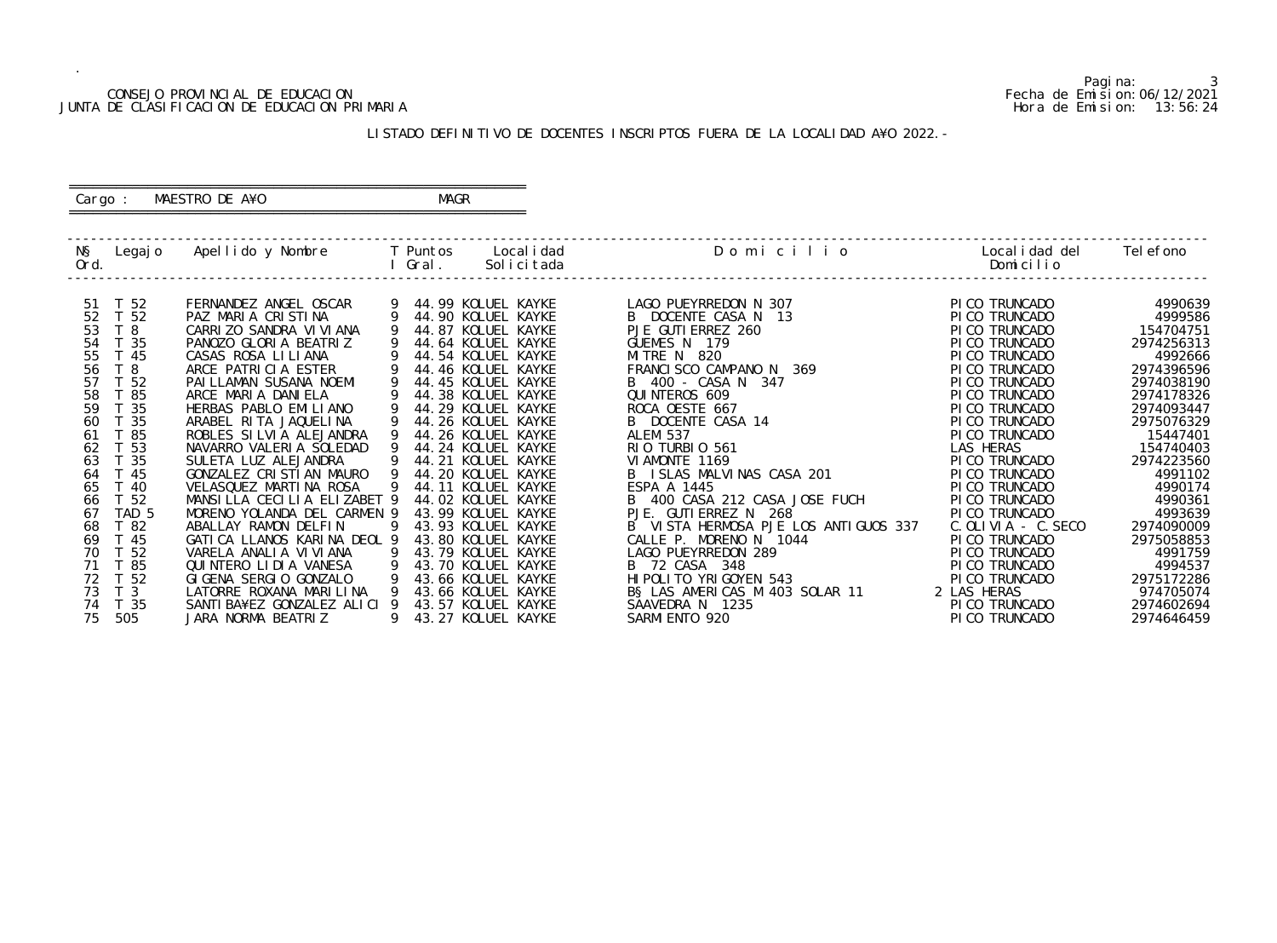## CONSEJO PROVINCIAL DE EDUCACION Fecha de Emision:06/12/2021 JUNTA DE CLASIFICACION DE EDUCACION PRIMARIA Hora de Emision: 13:56:24

# ========================================================== Cargo : MAESTRO DE A¥O **MAGR**

# LISTADO DEFINITIVO DE DOCENTES INSCRIPTOS FUERA DE LA LOCALIDAD A¥O 2022.-

==========================================================

| NŞ<br>Legaj o<br>Ord.                                                                                                                                                               | Apellido y Nombre                                                                                                                                                                                                                                                                                                                                                                        | T Puntos<br>Gral. | Local i dad<br>Solicitada                                                                                                                                                                                                                                                                                        | Domicilio                                                                                                                                                                                                                                                                                                                                               | Local i dad del<br>Domicilio                                                                                                                                                                                                                            | Tel efono                                                                                                                |
|-------------------------------------------------------------------------------------------------------------------------------------------------------------------------------------|------------------------------------------------------------------------------------------------------------------------------------------------------------------------------------------------------------------------------------------------------------------------------------------------------------------------------------------------------------------------------------------|-------------------|------------------------------------------------------------------------------------------------------------------------------------------------------------------------------------------------------------------------------------------------------------------------------------------------------------------|---------------------------------------------------------------------------------------------------------------------------------------------------------------------------------------------------------------------------------------------------------------------------------------------------------------------------------------------------------|---------------------------------------------------------------------------------------------------------------------------------------------------------------------------------------------------------------------------------------------------------|--------------------------------------------------------------------------------------------------------------------------|
| T 52<br>-51                                                                                                                                                                         | FERNANDEZ ANGEL OSCAR                                                                                                                                                                                                                                                                                                                                                                    |                   | 44.99 KOLUEL KAYKE                                                                                                                                                                                                                                                                                               | LAGO PUEYRREDON N 307                                                                                                                                                                                                                                                                                                                                   | PI CO TRUNCADO                                                                                                                                                                                                                                          | 4990639                                                                                                                  |
| T 52<br>52                                                                                                                                                                          | PAZ MARIA CRISTINA                                                                                                                                                                                                                                                                                                                                                                       |                   | 44.90 KOLUEL KAYKE                                                                                                                                                                                                                                                                                               | B DOCENTE CASA N 13                                                                                                                                                                                                                                                                                                                                     | PI CO TRUNCADO                                                                                                                                                                                                                                          | 4999586                                                                                                                  |
| T <sub>8</sub><br>53                                                                                                                                                                | CARRIZO SANDRA VI VI ANA                                                                                                                                                                                                                                                                                                                                                                 |                   | 44.87 KOLUEL KAYKE                                                                                                                                                                                                                                                                                               | PJE GUTI ERREZ 260                                                                                                                                                                                                                                                                                                                                      | PI CO TRUNCADO                                                                                                                                                                                                                                          | 154704751                                                                                                                |
| T 35<br>54                                                                                                                                                                          | PANOZO GLORIA BEATRIZ                                                                                                                                                                                                                                                                                                                                                                    |                   | 44.64 KOLUEL KAYKE                                                                                                                                                                                                                                                                                               | GUEMES N 179                                                                                                                                                                                                                                                                                                                                            | PI CO TRUNCADO                                                                                                                                                                                                                                          | 2974256313                                                                                                               |
| 55<br>T 45                                                                                                                                                                          | CASAS ROSA LILIANA                                                                                                                                                                                                                                                                                                                                                                       |                   | 44.54 KOLUEL KAYKE                                                                                                                                                                                                                                                                                               | MITRE N 820                                                                                                                                                                                                                                                                                                                                             | PI CO TRUNCADO                                                                                                                                                                                                                                          | 4992666                                                                                                                  |
| T <sub>8</sub><br>56                                                                                                                                                                | ARCE PATRICIA ESTER                                                                                                                                                                                                                                                                                                                                                                      |                   | 44.46 KOLUEL KAYKE                                                                                                                                                                                                                                                                                               | FRANCL SCO CAMPANO N 369                                                                                                                                                                                                                                                                                                                                | PI CO TRUNCADO                                                                                                                                                                                                                                          | 2974396596                                                                                                               |
| 57<br>52                                                                                                                                                                            | PAI LLAMAN SUSANA NOEMI                                                                                                                                                                                                                                                                                                                                                                  |                   | 44.45 KOLUEL KAYKE                                                                                                                                                                                                                                                                                               | B 400 - CASA N 347                                                                                                                                                                                                                                                                                                                                      | PI CO TRUNCADO                                                                                                                                                                                                                                          | 2974038190                                                                                                               |
| 58<br>- 85                                                                                                                                                                          | ARCE MARIA DANIELA                                                                                                                                                                                                                                                                                                                                                                       |                   | 44.38 KOLUEL KAYKE                                                                                                                                                                                                                                                                                               | QUI NTEROS 609                                                                                                                                                                                                                                                                                                                                          | PI CO TRUNCADO                                                                                                                                                                                                                                          | 2974178326                                                                                                               |
| 59<br>35                                                                                                                                                                            | HERBAS PABLO EMILIANO                                                                                                                                                                                                                                                                                                                                                                    |                   | 44.29 KOLUEL KAYKE                                                                                                                                                                                                                                                                                               | ROCA OESTE 667                                                                                                                                                                                                                                                                                                                                          | PI CO TRUNCADO                                                                                                                                                                                                                                          | 2974093447                                                                                                               |
| 35<br>60                                                                                                                                                                            | ARABEL RITA JAQUELINA                                                                                                                                                                                                                                                                                                                                                                    |                   | 44.26 KOLUEL KAYKE                                                                                                                                                                                                                                                                                               | B DOCENTE CASA 14                                                                                                                                                                                                                                                                                                                                       | PI CO TRUNCADO                                                                                                                                                                                                                                          | 2975076329                                                                                                               |
|                                                                                                                                                                                     |                                                                                                                                                                                                                                                                                                                                                                                          |                   |                                                                                                                                                                                                                                                                                                                  |                                                                                                                                                                                                                                                                                                                                                         |                                                                                                                                                                                                                                                         | 15447401                                                                                                                 |
|                                                                                                                                                                                     |                                                                                                                                                                                                                                                                                                                                                                                          |                   |                                                                                                                                                                                                                                                                                                                  |                                                                                                                                                                                                                                                                                                                                                         |                                                                                                                                                                                                                                                         |                                                                                                                          |
|                                                                                                                                                                                     |                                                                                                                                                                                                                                                                                                                                                                                          |                   |                                                                                                                                                                                                                                                                                                                  |                                                                                                                                                                                                                                                                                                                                                         |                                                                                                                                                                                                                                                         |                                                                                                                          |
|                                                                                                                                                                                     |                                                                                                                                                                                                                                                                                                                                                                                          |                   |                                                                                                                                                                                                                                                                                                                  |                                                                                                                                                                                                                                                                                                                                                         |                                                                                                                                                                                                                                                         |                                                                                                                          |
|                                                                                                                                                                                     |                                                                                                                                                                                                                                                                                                                                                                                          |                   |                                                                                                                                                                                                                                                                                                                  |                                                                                                                                                                                                                                                                                                                                                         |                                                                                                                                                                                                                                                         |                                                                                                                          |
|                                                                                                                                                                                     |                                                                                                                                                                                                                                                                                                                                                                                          |                   |                                                                                                                                                                                                                                                                                                                  |                                                                                                                                                                                                                                                                                                                                                         |                                                                                                                                                                                                                                                         |                                                                                                                          |
|                                                                                                                                                                                     |                                                                                                                                                                                                                                                                                                                                                                                          |                   |                                                                                                                                                                                                                                                                                                                  |                                                                                                                                                                                                                                                                                                                                                         |                                                                                                                                                                                                                                                         |                                                                                                                          |
|                                                                                                                                                                                     |                                                                                                                                                                                                                                                                                                                                                                                          |                   |                                                                                                                                                                                                                                                                                                                  |                                                                                                                                                                                                                                                                                                                                                         |                                                                                                                                                                                                                                                         |                                                                                                                          |
|                                                                                                                                                                                     |                                                                                                                                                                                                                                                                                                                                                                                          |                   |                                                                                                                                                                                                                                                                                                                  |                                                                                                                                                                                                                                                                                                                                                         |                                                                                                                                                                                                                                                         |                                                                                                                          |
|                                                                                                                                                                                     |                                                                                                                                                                                                                                                                                                                                                                                          |                   |                                                                                                                                                                                                                                                                                                                  |                                                                                                                                                                                                                                                                                                                                                         |                                                                                                                                                                                                                                                         | 4994537                                                                                                                  |
|                                                                                                                                                                                     |                                                                                                                                                                                                                                                                                                                                                                                          |                   |                                                                                                                                                                                                                                                                                                                  |                                                                                                                                                                                                                                                                                                                                                         |                                                                                                                                                                                                                                                         |                                                                                                                          |
| 73                                                                                                                                                                                  |                                                                                                                                                                                                                                                                                                                                                                                          |                   |                                                                                                                                                                                                                                                                                                                  |                                                                                                                                                                                                                                                                                                                                                         |                                                                                                                                                                                                                                                         | 974705074                                                                                                                |
| 74<br>T 35                                                                                                                                                                          |                                                                                                                                                                                                                                                                                                                                                                                          |                   |                                                                                                                                                                                                                                                                                                                  |                                                                                                                                                                                                                                                                                                                                                         |                                                                                                                                                                                                                                                         | 2974602694                                                                                                               |
| 75<br>505                                                                                                                                                                           | JARA NORMA BEATRIZ                                                                                                                                                                                                                                                                                                                                                                       |                   | 43.27 KOLUEL KAYKE                                                                                                                                                                                                                                                                                               | SARMI ENTO 920                                                                                                                                                                                                                                                                                                                                          | PI CO TRUNCADO                                                                                                                                                                                                                                          | 2974646459                                                                                                               |
| -85<br>61<br>62<br>53<br>35<br>63<br>-45<br>64<br>40<br>65<br>T 52<br>66<br>TAD <sub>5</sub><br>67<br>68<br>T 82<br>- 45<br>69<br>70<br>T 52<br>-85<br>T 52<br>72<br>T <sub>3</sub> | ROBLES SILVIA ALEJANDRA<br>NAVARRO VALERIA SOLEDAD<br>SULETA LUZ ALEJANDRA<br>GONZALEZ CRISTIAN MAURO<br>VELASQUEZ MARTINA ROSA<br>MANSILLA CECILIA ELIZABET 9<br>MORENO YOLANDA DEL CARMEN 9<br>ABALLAY RAMON DELFIN<br>GATICA LLANOS KARINA DEOL 9<br>VARELA ANALIA VIVIANA<br>QUINTERO LIDIA VANESA<br>GIGENA SERGIO GONZALO<br>LATORRE ROXANA MARILINA<br>SANTI BA¥EZ GONZALEZ ALICI | 9                 | 44.26 KOLUEL KAYKE<br>44.24 KOLUEL KAYKE<br>44.21 KOLUEL KAYKE<br>44.20 KOLUEL KAYKE<br>44.11 KOLUEL KAYKE<br>44.02 KOLUEL KAYKE<br>43.99 KOLUEL KAYKE<br>43.93 KOLUEL KAYKE<br>43.80 KOLUEL KAYKE<br>43.79 KOLUEL KAYKE<br>43.70 KOLUEL KAYKE<br>43.66 KOLUEL KAYKE<br>43.66 KOLUEL KAYKE<br>43.57 KOLUEL KAYKE | <b>ALEM 537</b><br>RIO TURBIO 561<br>VI AMONTE 1169<br>B ISLAS MALVINAS CASA 201<br>ESPA A 1445<br>B 400 CASA 212 CASA JOSE FUCH<br>PJE. GUTI ERREZ N 268<br>B VISTA HERMOSA PJE LOS ANTIGUOS 337<br>CALLE P. MORENO N<br>1044<br>LAGO PUEYRREDON 289<br>B 72 CASA 348<br>HI POLI TO YRI GOYEN 543<br>B§ LAS AMERICAS M 403 SOLAR 11<br>SAAVEDRA N 1235 | PI CO TRUNCADO<br>LAS HERAS<br>PI CO TRUNCADO<br>PI CO TRUNCADO<br>PI CO TRUNCADO<br>PI CO TRUNCADO<br>PI CO TRUNCADO<br>$C.$ OLIVIA - C. SECO<br>PI CO TRUNCADO<br>PI CO TRUNCADO<br>PI CO TRUNCADO<br>PI CO TRUNCADO<br>2 LAS HERAS<br>PI CO TRUNCADO | 154740403<br>2974223560<br>4991102<br>4990174<br>4990361<br>4993639<br>2974090009<br>2975058853<br>4991759<br>2975172286 |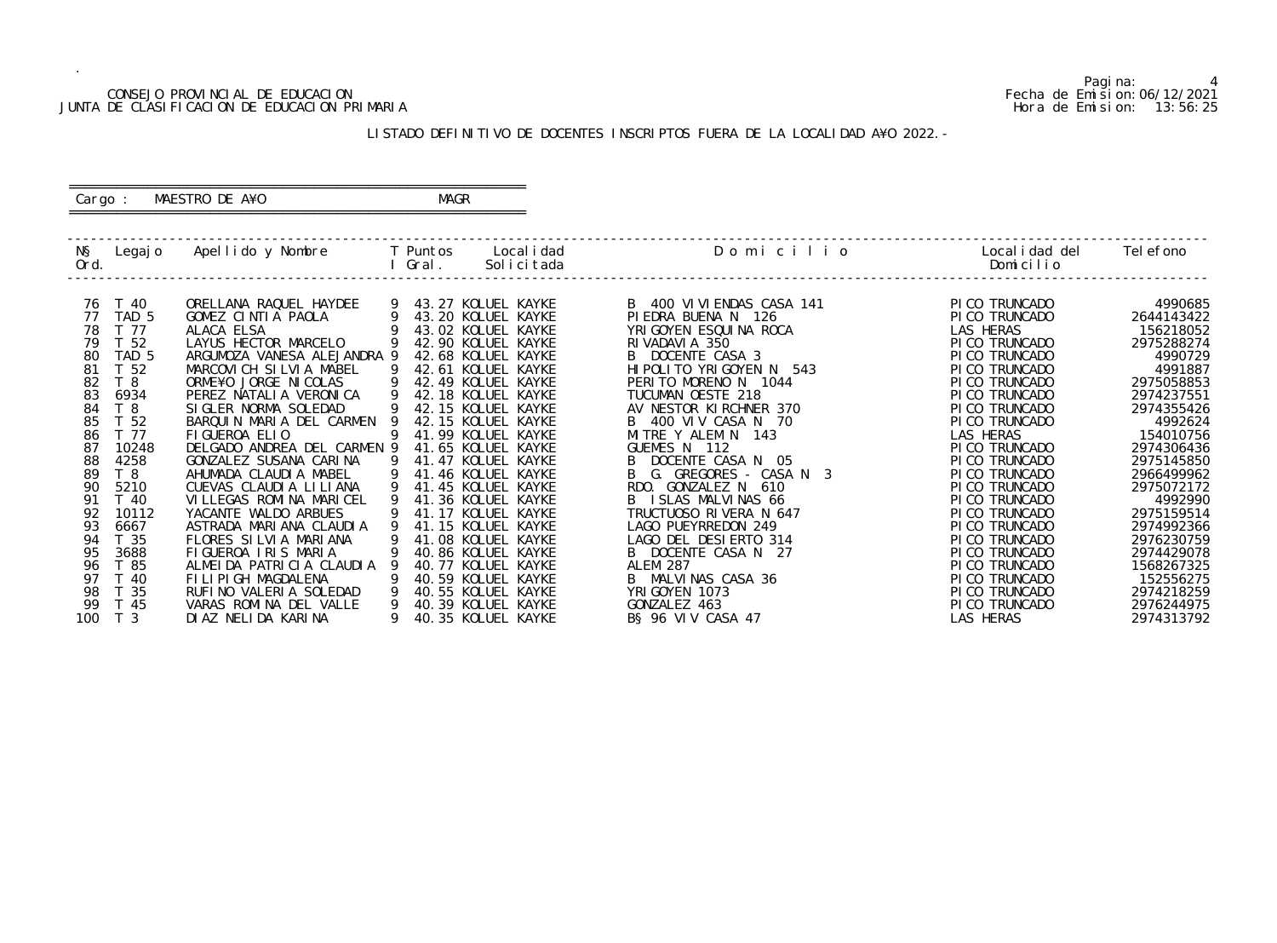## CONSEJO PROVINCIAL DE EDUCACION Fecha de Emision:06/12/2021 JUNTA DE CLASIFICACION DE EDUCACION PRIMARIA Hora de Emision: 13:56:25

## ========================================================== Cargo : MAESTRO DE A¥O **MAGR**

# LISTADO DEFINITIVO DE DOCENTES INSCRIPTOS FUERA DE LA LOCALIDAD A¥O 2022.-

==========================================================

| NŞ<br>Ord. | Legaj o          | Apellido y Nombre                                |   | T Puntos<br>Gral. | Local i dad<br>Solicitada                | Domicilio                                     | Local i dad del<br>Domicilio     | Tel efono                |
|------------|------------------|--------------------------------------------------|---|-------------------|------------------------------------------|-----------------------------------------------|----------------------------------|--------------------------|
| 76         | T 40             | ORELLANA RAQUEL HAYDEE                           |   |                   | 9 43.27 KOLUEL KAYKE                     | B 400 VI VI ENDAS CASA 141                    | PICO TRUNCADO                    | 4990685                  |
| 77         | TAD 5            | GOMEZ CINTIA PAOLA                               |   |                   | 43.20 KOLUEL KAYKE                       | PIEDRA BUENA N 126                            | PICO TRUNCADO                    | 2644143422               |
| 78         | T 77             | ALACA ELSA                                       |   |                   | 43.02 KOLUEL KAYKE                       | YRI GOYEN ESQUI NA ROCA                       | LAS HERAS                        | 156218052                |
| 79         | T <sub>52</sub>  | LAYUS HECTOR MARCELO                             |   |                   | 42.90 KOLUEL KAYKE                       | RIVADAVIA 350                                 | PI CO TRUNCADO                   | 2975288274               |
| 80         | TAD <sub>5</sub> | ARGUMOZA VANESA ALEJANDRA 9                      |   |                   | 42.68 KOLUEL KAYKE                       | DOCENTE CASA 3<br>B.                          | PI CO TRUNCADO                   | 4990729                  |
| 81         | T 52             | MARCOVICH SILVIA MABEL                           |   |                   | 42.61 KOLUEL KAYKE                       | HI POLITO YRIGOYEN N 543                      | PI CO TRUNCADO                   | 4991887                  |
| 82         | T <sub>8</sub>   | ORME¥O JORGE NICOLAS                             |   |                   | 42.49 KOLUEL KAYKE                       | PERITO MORENO N 1044                          | PI CO TRUNCADO                   | 2975058853               |
| 83         | 6934             | PEREZ NATALIA VERONICA                           |   |                   | 42.18 KOLUEL KAYKE                       | TUCUMAN OESTE 218                             | PI CO TRUNCADO                   | 2974237551               |
| 84         | T <sub>8</sub>   | SIGLER NORMA SOLEDAD                             |   |                   | 42.15 KOLUEL KAYKE                       | AV NESTOR KIRCHNER 370                        | PI CO TRUNCADO                   | 2974355426               |
| 85         | T 52             | BARQUIN MARIA DEL CARMEN                         |   |                   | 42.15 KOLUEL KAYKE                       | B 400 VIV CASA N 70                           | PI CO TRUNCADO                   | 4992624                  |
| 86         | T 77             | FIGUEROA ELIO                                    | 9 |                   | 41.99 KOLUEL KAYKE                       | MITRE Y ALEM N<br>143                         | LAS HERAS                        | 154010756                |
| 87         | 10248            | DELGADO ANDREA DEL CARMEN 9                      |   |                   | 41.65 KOLUEL KAYKE                       | GUEMES N 112                                  | PICO TRUNCADO                    | 2974306436               |
| 88         | 4258             | GONZALEZ SUSANA CARINA                           | 9 |                   | 41.47 KOLUEL KAYKE                       | DOCENTE CASA N 05                             | PI CO TRUNCADO                   | 2975145850               |
| 89         | T <sub>8</sub>   | AHUMADA CLAUDIA MABEL                            | 9 |                   | 41.46 KOLUEL KAYKE                       | G. GREGORES - CASA N 3                        | PI CO TRUNCADO                   | 2966499962               |
| 90         | 5210             | CUEVAS CLAUDIA LILIANA                           | 9 |                   | 41.45 KOLUEL KAYKE                       | GONZALEZ N<br>610<br>RDO.                     | PI CO TRUNCADO                   | 2975072172               |
| 91         | T 40             | VILLEGAS ROMINA MARICEL                          |   |                   | 41.36 KOLUEL KAYKE                       | I SLAS MALVINAS 66                            | PI CO TRUNCADO                   | 4992990                  |
| 92         | 10112            | YACANTE WALDO ARBUES                             |   |                   | 41.17 KOLUEL KAYKE                       | TRUCTUOSO RIVERA N 647<br>LAGO PUEYRREDON 249 | PI CO TRUNCADO                   | 2975159514               |
| 93<br>94   | 6667<br>T 35     | ASTRADA MARIANA CLAUDIA<br>FLORES SILVIA MARIANA | 9 |                   | 41.15 KOLUEL KAYKE<br>41.08 KOLUEL KAYKE | LAGO DEL DESIERTO 314                         | PI CO TRUNCADO<br>PI CO TRUNCADO | 2974992366<br>2976230759 |
| 95         | 3688             | FIGUEROA IRIS MARIA                              |   |                   | 40.86 KOLUEL KAYKE                       | DOCENTE CASA N 27                             | PI CO TRUNCADO                   | 2974429078               |
| 96         | T 85             | ALMEIDA PATRICIA CLAUDIA                         |   |                   | 40.77 KOLUEL KAYKE                       | <b>ALEM 287</b>                               | PI CO TRUNCADO                   | 1568267325               |
| 97         | -40              | FILIPIGH MAGDALENA                               |   |                   | 40.59 KOLUEL KAYKE                       | B MALVINAS CASA 36                            | PI CO TRUNCADO                   | 152556275                |
| 98         | - 35             | RUFINO VALERIA SOLEDAD                           |   |                   | 40.55 KOLUEL KAYKE                       | YRI GOYEN 1073                                | PI CO TRUNCADO                   | 2974218259               |
| 99         | -45              | VARAS ROMINA DEL VALLE                           |   |                   | 40.39 KOLUEL KAYKE                       | GONZALEZ 463                                  | PI CO TRUNCADO                   | 2976244975               |
| 100        | T <sub>3</sub>   | DI AZ NELI DA KARI NA                            |   |                   | 40.35 KOLUEL KAYKE                       | B§ 96 VIV CASA 47                             | LAS HERAS                        | 2974313792               |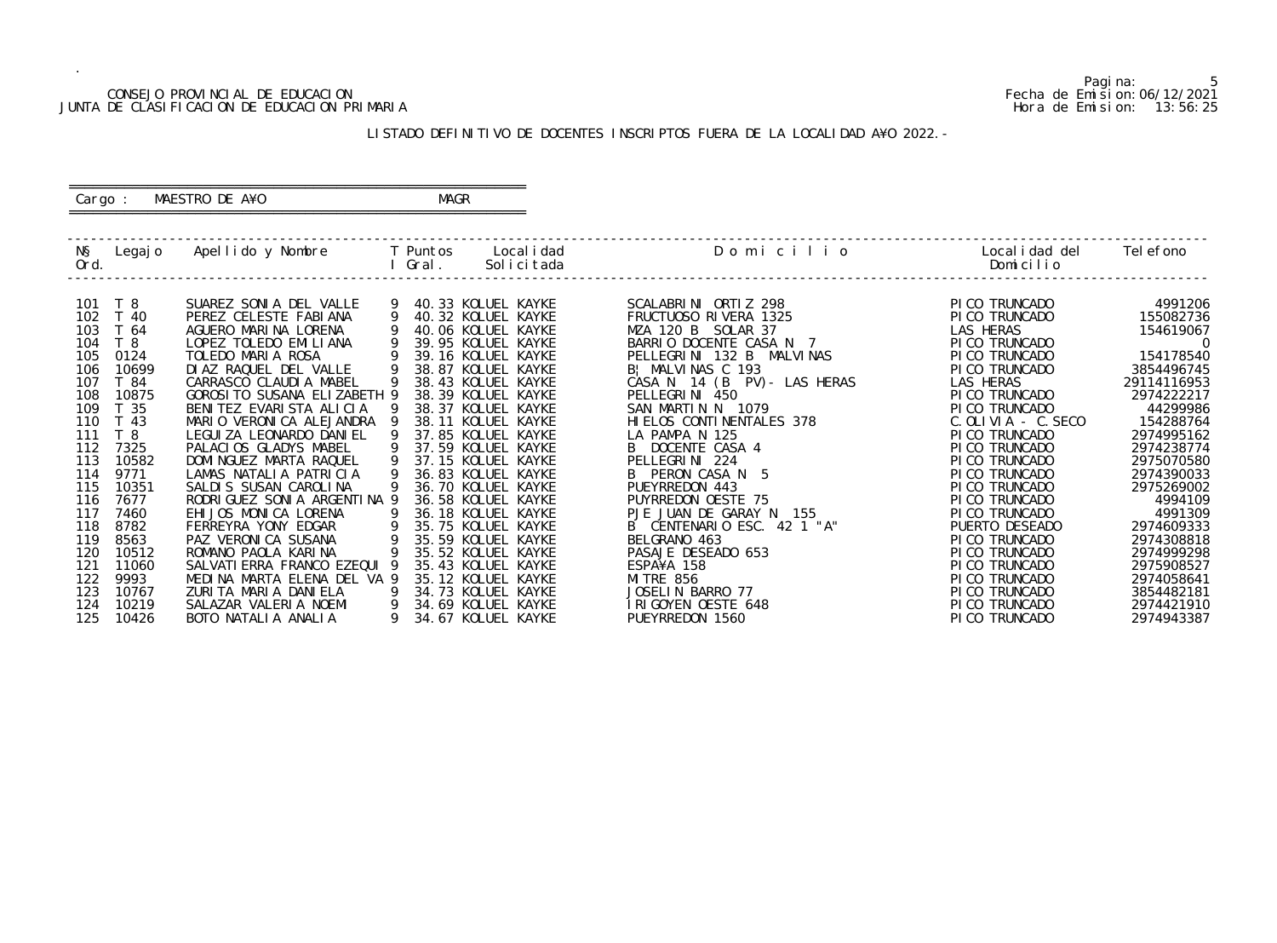## CONSEJO PROVINCIAL DE EDUCACION Fecha de Emision:06/12/2021 JUNTA DE CLASIFICACION DE EDUCACION PRIMARIA Hora de Emision: 13:56:25

# ========================================================== Cargo : MAESTRO DE A¥O **MAGR**

# LISTADO DEFINITIVO DE DOCENTES INSCRIPTOS FUERA DE LA LOCALIDAD A¥O 2022.-

==========================================================

| NŞ<br>Ord. | Legaj o         | Apellido y Nombre     T Puntos               |        | Gral. | Local i dad<br>Solicitada                | Domicilio                             | Localidad del<br>Domicilio       | Tel efono                |
|------------|-----------------|----------------------------------------------|--------|-------|------------------------------------------|---------------------------------------|----------------------------------|--------------------------|
| 101        | T 8             | SUAREZ SONIA DEL VALLE                       |        |       | 40.33 KOLUEL KAYKE                       | SCALABRINI ORTIZ 298                  | PI CO TRUNCADO                   | 4991206                  |
| 102        | T 40            | PEREZ CELESTE FABIANA                        | 9      |       | 40.32 KOLUEL KAYKE                       | FRUCTUOSO RIVERA 1325                 | PI CO TRUNCADO                   | 155082736                |
| 103        | T 64            | AGUERO MARINA LORENA                         |        |       | 40.06 KOLUEL KAYKE                       | MZA 120 B SOLAR 37                    | LAS HERAS                        | 154619067                |
| 104        | T8              | LOPEZ TOLEDO EMILIANA                        |        |       | 39.95 KOLUEL KAYKE                       | BARRIO DOCENTE CASA N 7               | PI CO TRUNCADO                   | $\overline{0}$           |
| 105        | 0124            | TOLEDO MARIA ROSA                            |        |       | 39.16 KOLUEL KAYKE                       | PELLEGRINI 132 B MALVINAS             | PI CO TRUNCADO                   | 154178540                |
| 106        | 10699           | DIAZ RAQUEL DEL VALLE                        |        |       | 38.87 KOLUEL KAYKE                       | B! MALVINAS C 193                     | PI CO TRUNCADO                   | 3854496745               |
| 107        | T 84            | CARRASCO CLAUDIA MABEL                       |        |       | 38.43 KOLUEL KAYKE                       | CASA N 14 (B PV) - LAS HERAS          | LAS HERAS                        | 29114116953              |
| 108        | 10875           | GOROSI TO SUSANA ELIZABETH 9                 |        |       | 38.39 KOLUEL KAYKE                       | PELLEGRINI 450                        | PI CO TRUNCADO                   | 2974222217               |
| 109        | T <sub>35</sub> | BENITEZ EVARISTA ALICIA                      |        |       | 38.37 KOLUEL KAYKE                       | SAN MARTIN N 1079                     | PI CO TRUNCADO                   | 44299986                 |
| 110        | T 43            | MARIO VERONICA ALEJANDRA                     |        |       | 38.11 KOLUEL KAYKE                       | HI ELOS CONTINENTALES 378             | $C.$ OLIVIA - $C.$ SECO          | 154288764                |
| 111        | T <sub>8</sub>  | LEGUI ZA LEONARDO DANI EL                    |        |       | 37.85 KOLUEL KAYKE                       | LA PAMPA N 125                        | PI CO TRUNCADO                   | 2974995162               |
| 112        | 7325            | PALACIOS GLADYS MABEL                        |        |       | 37.59 KOLUEL KAYKE                       | B DOCENTE CASA 4                      | PI CO TRUNCADO                   | 2974238774               |
| 113        | 10582           | DOMI NGUEZ MARTA RAQUEL                      |        |       | 37.15 KOLUEL KAYKE                       | PELLEGRINI 224                        | PI CO TRUNCADO                   | 2975070580               |
| 114        | 9771            | LAMAS NATALIA PATRICIA                       | 9      |       | 36.83 KOLUEL KAYKE                       | B PERON CASA N 5                      | PI CO TRUNCADO                   | 2974390033               |
| 115        | 10351           | SALDIS SUSAN CAROLINA                        |        |       | 36.70 KOLUEL KAYKE                       | PUEYRREDON 443                        | PI CO TRUNCADO                   | 2975269002               |
| 116        | 7677            | RODRI GUEZ SONI A ARGENTI NA 9               |        |       | 36.58 KOLUEL KAYKE                       | PUYRREDON OESTE 75                    | PI CO TRUNCADO                   | 4994109                  |
| 117        | 7460            | EHIJOS MONICA LORENA                         |        |       | 36.18 KOLUEL KAYKE                       | PJE JUAN DE GARAY N<br>155            | PI CO TRUNCADO                   | 4991309                  |
| 118        | 8782            | FERREYRA YONY EDGAR                          | 9      |       | 35.75 KOLUEL KAYKE                       | B CENTENARIO ESC. 42 1 "A"            | PUERTO DESEADO                   | 2974609333               |
| 119        | 8563            | PAZ VERONICA SUSANA                          | 9      |       | 35.59 KOLUEL KAYKE                       | BELGRANO 463                          | PI CO TRUNCADO                   | 2974308818               |
| 120        | 10512           | ROMANO PAOLA KARINA                          | 9      |       | 35.52 KOLUEL KAYKE                       | PASAJE DESEADO 653                    | PI CO TRUNCADO                   | 2974999298               |
| 121        | 11060           | SALVATI ERRA FRANCO EZEQUI 9                 |        |       | 35.43 KOLUEL KAYKE                       | ESPA¥A 158                            | PI CO TRUNCADO                   | 2975908527               |
| 122<br>123 | 9993            | MEDINA MARTA ELENA DEL VA 9                  |        |       | 35.12 KOLUEL KAYKE                       | <b>MI TRE 856</b><br>JOSELIN BARRO 77 | PI CO TRUNCADO                   | 2974058641               |
|            | 10767           | ZURITA MARIA DANIELA                         | 9      |       | 34.73 KOLUEL KAYKE                       |                                       | PI CO TRUNCADO                   | 3854482181               |
| 124<br>125 | 10219<br>10426  | SALAZAR VALERIA NOEMI<br>BOTO NATALIA ANALIA | 9<br>9 |       | 34.69 KOLUEL KAYKE<br>34.67 KOLUEL KAYKE | IRIGOYEN OESTE 648<br>PUEYRREDON 1560 | PI CO TRUNCADO<br>PI CO TRUNCADO | 2974421910<br>2974943387 |
|            |                 |                                              |        |       |                                          |                                       |                                  |                          |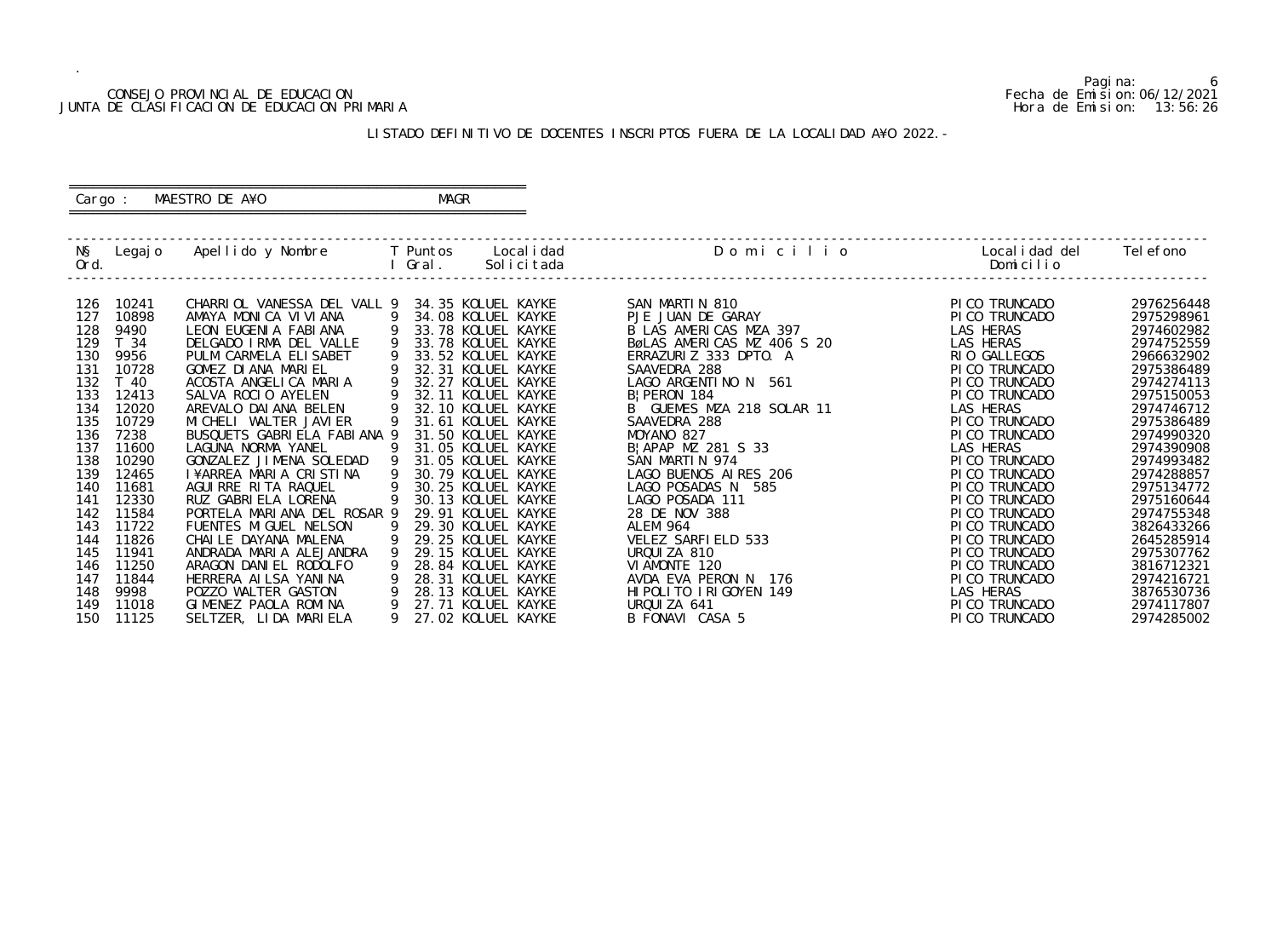## CONSEJO PROVINCIAL DE EDUCACION Fecha de Emision:06/12/2021 JUNTA DE CLASIFICACION DE EDUCACION PRIMARIA Hora de Emision: 13:56:26

# ========================================================== Cargo : MAESTRO DE A¥O **MAGR**

# LISTADO DEFINITIVO DE DOCENTES INSCRIPTOS FUERA DE LA LOCALIDAD A¥O 2022.-

==========================================================

| NŞ<br>Ord.                                                                                                                                                           | Legaj o                                                                                                                                                                                                        | Apellido y Nombre         T Puntos     Localidad                                                                                                                                                                                                                                                                                                                                                                                                                                                                                                                                                                               |                                                                                                 | I Gral. | Solicitada                                                                                                                                                                                                                                                                                                                                                                                                                                                                                                                                   | Domicilio                                                                                                                                                                                                                                                                                                                                                                                                                                                                                                         | Local i dad del<br>Domicilio                                                                                                                                                                                                                                                                                                                                                                                            | Tel efono                                                                                                                                                                                                                                                                                                                                    |
|----------------------------------------------------------------------------------------------------------------------------------------------------------------------|----------------------------------------------------------------------------------------------------------------------------------------------------------------------------------------------------------------|--------------------------------------------------------------------------------------------------------------------------------------------------------------------------------------------------------------------------------------------------------------------------------------------------------------------------------------------------------------------------------------------------------------------------------------------------------------------------------------------------------------------------------------------------------------------------------------------------------------------------------|-------------------------------------------------------------------------------------------------|---------|----------------------------------------------------------------------------------------------------------------------------------------------------------------------------------------------------------------------------------------------------------------------------------------------------------------------------------------------------------------------------------------------------------------------------------------------------------------------------------------------------------------------------------------------|-------------------------------------------------------------------------------------------------------------------------------------------------------------------------------------------------------------------------------------------------------------------------------------------------------------------------------------------------------------------------------------------------------------------------------------------------------------------------------------------------------------------|-------------------------------------------------------------------------------------------------------------------------------------------------------------------------------------------------------------------------------------------------------------------------------------------------------------------------------------------------------------------------------------------------------------------------|----------------------------------------------------------------------------------------------------------------------------------------------------------------------------------------------------------------------------------------------------------------------------------------------------------------------------------------------|
| 126<br>127<br>128<br>129<br>130<br>131<br>132<br>133<br>134<br>135<br>136<br>137<br>138<br>139<br>140<br>141<br>142<br>143<br>144<br>145<br>146<br>147<br>148<br>149 | 10241<br>10898<br>9490<br>T 34<br>9956<br>10728<br>T 40<br>12413<br>12020<br>10729<br>7238<br>11600<br>10290<br>12465<br>11681<br>12330<br>11584<br>11722<br>11826<br>11941<br>11250<br>11844<br>9998<br>11018 | CHARRIOL VANESSA DEL VALL 9<br>AMAYA MONICA VIVIANA<br>LEON EUGENIA FABIANA<br>DELGADO IRMA DEL VALLE<br>PULM CARMELA ELISABET<br>GOMEZ DI ANA MARIEL<br>ACOSTA ANGELICA MARIA<br>SALVA ROCIO AYELEN<br>AREVALO DAI ANA BELEN<br>MI CHELI WALTER JAVI ER<br>BUSQUETS GABRIELA FABIANA 9<br>LAGUNA NORMA YANEL<br>GONZALEZ JIMENA SOLEDAD<br>I¥ARREA MARIA CRISTINA<br>AGUIRRE RITA RAQUEL<br>RUZ GABRI ELA LORENA<br>PORTELA MARIANA DEL ROSAR 9<br>FUENTES MIGUEL NELSON<br>CHAILE DAYANA MALENA<br>ANDRADA MARIA ALEJANDRA<br>ARAGON DANIEL RODOLFO<br>HERRERA AI LSA YANI NA<br>POZZO WALTER GASTON<br>GIMENEZ PAOLA ROMINA | -9<br>9<br>9<br>9<br>9<br>9<br>9<br>9<br>9<br>9<br>$\overline{9}$<br>9<br>9<br>9<br>9<br>9<br>9 |         | 34.35 KOLUEL KAYKE<br>34.08 KOLUEL KAYKE<br>33.78 KOLUEL KAYKE<br>33.78 KOLUEL KAYKE<br>33.52 KOLUEL KAYKE<br>32.31 KOLUEL KAYKE<br>32.27 KOLUEL KAYKE<br>32.11 KOLUEL KAYKE<br>32.10 KOLUEL KAYKE<br>31.61 KOLUEL KAYKE<br>31.50 KOLUEL KAYKE<br>31.05 KOLUEL KAYKE<br>31.05 KOLUEL KAYKE<br>30.79 KOLUEL KAYKE<br>30.25 KOLUEL KAYKE<br>30.13 KOLUEL KAYKE<br>29.91 KOLUEL KAYKE<br>29.30 KOLUEL KAYKE<br>29.25 KOLUEL KAYKE<br>29.15 KOLUEL KAYKE<br>28.84 KOLUEL KAYKE<br>28.31 KOLUEL KAYKE<br>28.13 KOLUEL KAYKE<br>27.71 KOLUEL KAYKE | SAN MARTIN 810<br>PJE JUAN DE GARAY<br>B LAS AMERICAS MZA 397<br>BøLAS AMERICAS MZ 406 S 20<br>ERRAZURIZ 333 DPTO. A<br>SAAVEDRA 288<br>LAGO ARGENTINO N 561<br>B   PERON 184<br>B GUEMES MZA 218 SOLAR 11<br>SAAVEDRA 288<br>MOYANO 827<br>B   APAP MZ 281 S 33<br>SAN MARTIN 974<br>LAGO BUENOS AIRES 206<br>LAGO POSADAS N 585<br>LAGO POSADA 111<br>28 DE NOV 388<br><b>ALEM 964</b><br>VELEZ SARFIELD 533<br>URQUIZA 810<br>VI AMONTE 120<br>AVDA EVA PERON N 176<br>HI POLITO I RI GOYEN 149<br>URQUIZA 641 | PI CO TRUNCADO<br>PI CO TRUNCADO<br>LAS HERAS<br>LAS HERAS<br>RIO GALLEGOS<br>PI CO TRUNCADO<br>PI CO TRUNCADO<br>PI CO TRUNCADO<br><b>LAS HERAS</b><br>PICO TRUNCADO<br>PI CO TRUNCADO<br>LAS HERAS<br>PI CO TRUNCADO<br>PI CO TRUNCADO<br>PI CO TRUNCADO<br>PI CO TRUNCADO<br>PI CO TRUNCADO<br>PI CO TRUNCADO<br>PI CO TRUNCADO<br>PI CO TRUNCADO<br>PI CO TRUNCADO<br>PI CO TRUNCADO<br>LAS HERAS<br>PI CO TRUNCADO | 2976256448<br>2975298961<br>2974602982<br>2974752559<br>2966632902<br>2975386489<br>2974274113<br>2975150053<br>2974746712<br>2975386489<br>2974990320<br>2974390908<br>2974993482<br>2974288857<br>2975134772<br>2975160644<br>2974755348<br>3826433266<br>2645285914<br>2975307762<br>3816712321<br>2974216721<br>3876530736<br>2974117807 |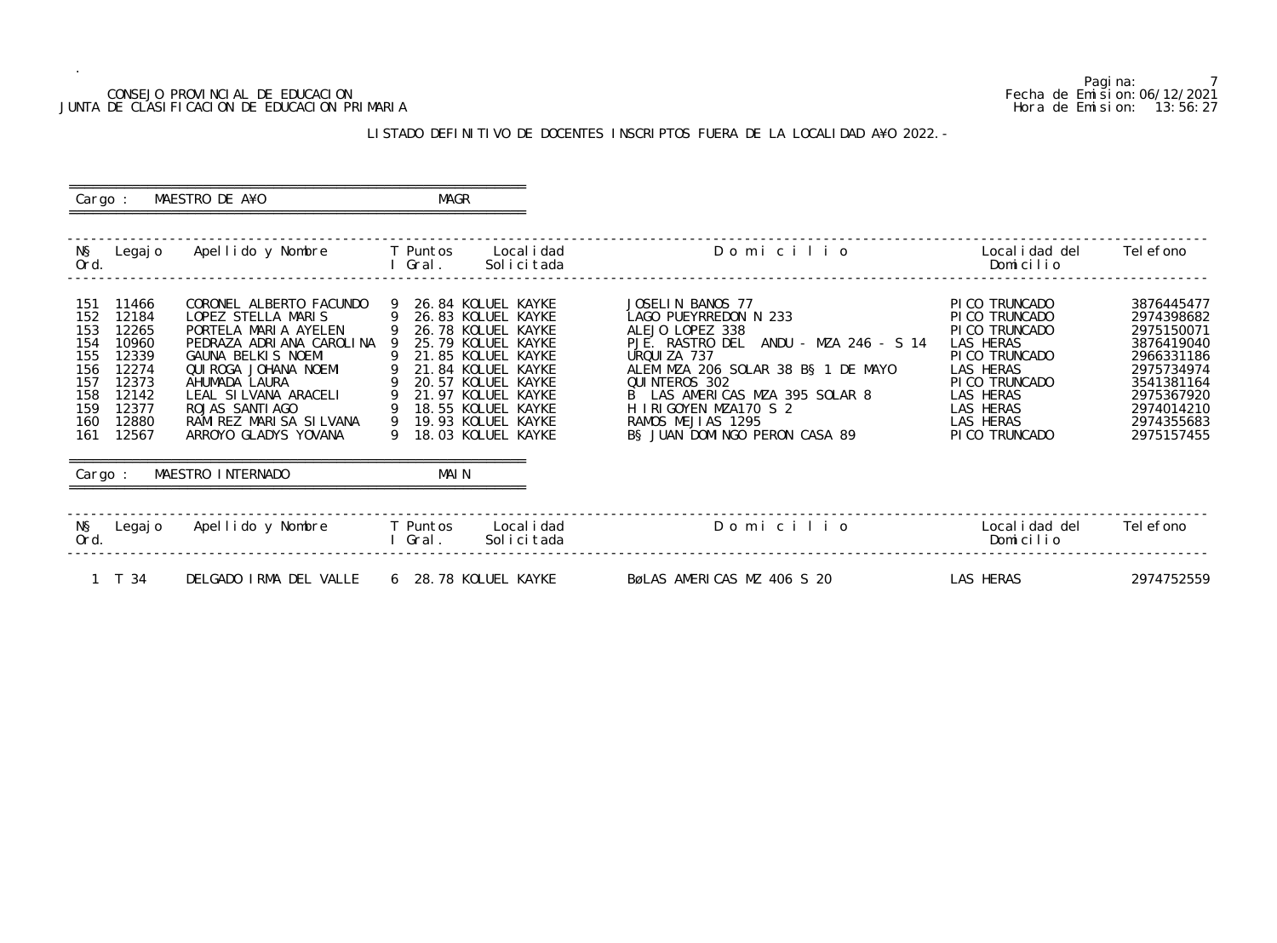## CONSEJO PROVINCIAL DE EDUCACION Fecha de Emision:06/12/2021 JUNTA DE CLASIFICACION DE EDUCACION PRIMARIA Hora de Emision: 13:56:27

# LISTADO DEFINITIVO DE DOCENTES INSCRIPTOS FUERA DE LA LOCALIDAD A¥O 2022.-

| Cargo :                                                                                                                                                                   | MAESTRO DE A¥O                                                                                                                                                                                                                                                                        | MAGR           |                                                                                                                                                                                                                                         |                                                                                                                                                                                                                                                                                              |                                                                                                                                                                           |                                                                                                                                                        |
|---------------------------------------------------------------------------------------------------------------------------------------------------------------------------|---------------------------------------------------------------------------------------------------------------------------------------------------------------------------------------------------------------------------------------------------------------------------------------|----------------|-----------------------------------------------------------------------------------------------------------------------------------------------------------------------------------------------------------------------------------------|----------------------------------------------------------------------------------------------------------------------------------------------------------------------------------------------------------------------------------------------------------------------------------------------|---------------------------------------------------------------------------------------------------------------------------------------------------------------------------|--------------------------------------------------------------------------------------------------------------------------------------------------------|
| Ord.                                                                                                                                                                      | N§ Legajo Apellido y Nombre T Puntos                                                                                                                                                                                                                                                  | l Gral.        | Local i dad<br>Solicitada                                                                                                                                                                                                               | Domicilio                                                                                                                                                                                                                                                                                    | Localidad del<br>Domicilio                                                                                                                                                | Tel efono                                                                                                                                              |
| 11466<br>151<br>152<br>12184<br>153<br>12265<br>10960<br>154<br>155<br>12339<br>156<br>12274<br>12373<br>157<br>158<br>12142<br>12377<br>159<br>160<br>12880<br>161 12567 | CORONEL ALBERTO FACUNDO<br>LOPEZ STELLA MARIS<br>PORTELA MARIA AYELEN<br>PEDRAZA ADRIANA CAROLINA 9<br>GAUNA BELKIS NOEMI<br>QUI ROGA JOHANA NOEMI<br>AHUMADA LAURA<br>LEAL SILVANA ARACELI<br>ROJAS SANTI AGO<br>RAMIREZ MARISA SILVANA 9 19.93 KOLUEL KAYKE<br>ARROYO GLADYS YOVANA | $\overline{9}$ | 26.84 KOLUEL KAYKE<br>9 26.83 KOLUEL KAYKE<br>9 26.78 KOLUEL KAYKE<br>25.79 KOLUEL KAYKE<br>21.85 KOLUEL KAYKE<br>21.84 KOLUEL KAYKE<br>20.57 KOLUEL KAYKE<br>CELI 9 21.97 KOLUEL KAYKE<br>9 18.55 KOLUEL KAYKE<br>9 18.03 KOLUEL KAYKE | JOSELIN BANOS 77<br>LAGO PUEYRREDON N 233<br>ALEJO LOPEZ 338<br>PJE. RASTRO DEL ANDU - MZA 246 - S 14<br>URQUIZA 737<br>ALEM MZA 206 SOLAR 38 B§ 1 DE MAYO<br>QUINTEROS 302<br>B LAS AMERICAS MZA 395 SOLAR 8<br>H IRIGOYEN MZA170 S 2<br>RAMOS MEJIAS 1295<br>B§ JUAN DOMINGO PERON CASA 89 | PI CO TRUNCADO<br>PI CO TRUNCADO<br>PI CO TRUNCADO<br>LAS HERAS<br>PI CO TRUNCADO<br>LAS HERAS<br>PI CO TRUNCADO<br>LAS HERAS<br>LAS HERAS<br>LAS HERAS<br>PI CO TRUNCADO | 3876445477<br>2974398682<br>2975150071<br>3876419040<br>2966331186<br>2975734974<br>3541381164<br>2975367920<br>2974014210<br>2974355683<br>2975157455 |
| Cargo :                                                                                                                                                                   | MAESTRO INTERNADO                                                                                                                                                                                                                                                                     | MAI N          |                                                                                                                                                                                                                                         |                                                                                                                                                                                                                                                                                              |                                                                                                                                                                           |                                                                                                                                                        |
| N§ Legajo<br>Ord.                                                                                                                                                         | Apellido y Nombre         T Puntos     Localidad                                                                                                                                                                                                                                      | l Gral.        | Solicitada                                                                                                                                                                                                                              | Domicilio                                                                                                                                                                                                                                                                                    | Local i dad del<br>Domicilio                                                                                                                                              | Tel efono                                                                                                                                              |
| $1 \quad T \quad 34$                                                                                                                                                      | DELGADO IRMA DEL VALLE 6 28.78 KOLUEL KAYKE                                                                                                                                                                                                                                           |                |                                                                                                                                                                                                                                         | BøLAS AMERICAS MZ 406 S 20                                                                                                                                                                                                                                                                   | LAS HERAS                                                                                                                                                                 | 2974752559                                                                                                                                             |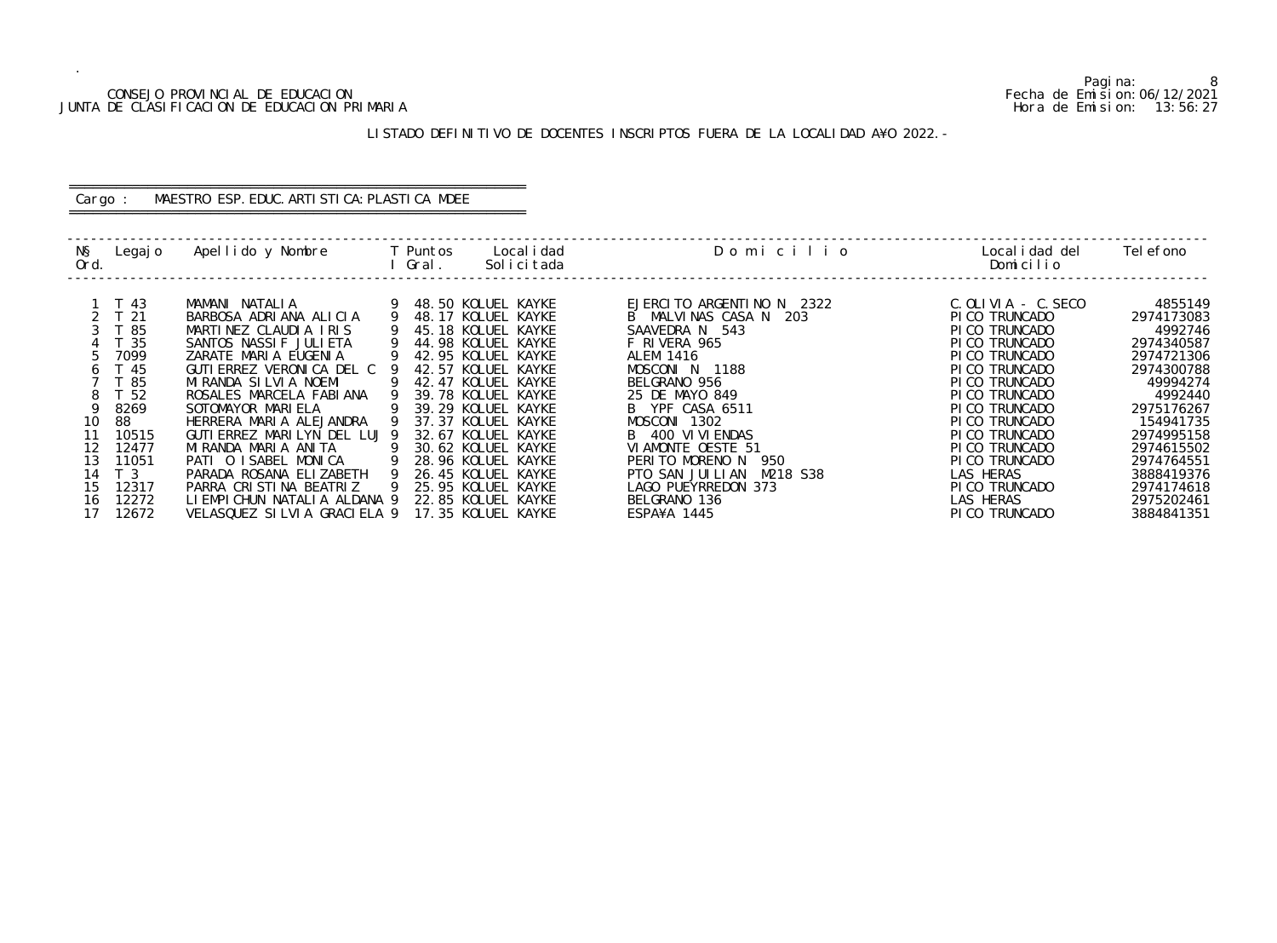## CONSEJO PROVINCIAL DE EDUCACION Fecha de Emision:06/12/2021 JUNTA DE CLASIFICACION DE EDUCACION PRIMARIA Hora de Emision: 13:56:27

# ========================================================== Cargo : MAESTRO ESP. EDUC. ARTISTICA: PLASTICA MDEE

# LISTADO DEFINITIVO DE DOCENTES INSCRIPTOS FUERA DE LA LOCALIDAD A¥O 2022.-

==========================================================

| NŞ<br>Ord. | Legaj o                 | Apellido y Nombre                               | Gral. | Puntos                                   | Local i dad<br>Solicitada | Domicilio                               | Local i dad del<br>Domicilio     | Tel efono             |
|------------|-------------------------|-------------------------------------------------|-------|------------------------------------------|---------------------------|-----------------------------------------|----------------------------------|-----------------------|
|            | T 43                    | MAMANI NATALIA                                  |       | 48.50 KOLUEL KAYKE                       |                           | EJERCITO ARGENTINO N 2322               | $C.$ OLIVIA $-$ C. SECO          | 4855149               |
|            | T <sub>21</sub><br>T 85 | BARBOSA ADRIANA ALICIA<br>MARTINEZ CLAUDIA IRIS |       | 48.17 KOLUEL KAYKE<br>45.18 KOLUEL KAYKE |                           | B MALVINAS CASA N 203<br>SAAVEDRA N 543 | PI CO TRUNCADO<br>PI CO TRUNCADO | 2974173083<br>4992746 |
|            | - 35                    | SANTOS NASSIF JULIETA                           |       | 44.98 KOLUEL KAYKE                       |                           | F RIVERA 965                            | PI CO TRUNCADO                   | 2974340587            |
|            | 7099                    | ZARATE MARIA EUGENIA                            |       | 42.95 KOLUEL KAYKE                       |                           | <b>ALEM 1416</b>                        | PI CO TRUNCADO                   | 2974721306            |
|            | T 45                    | GUTI ERREZ VERONICA DEL C                       |       | 42.57 KOLUEL KAYKE                       |                           | MOSCONI N 1188                          | PI CO TRUNCADO                   | 2974300788            |
|            | T 85                    | MIRANDA SILVIA NOEMI                            |       | 42.47 KOLUEL KAYKE                       |                           | BELGRANO 956                            | PI CO TRUNCADO                   | 49994274              |
|            | T <sub>52</sub>         | ROSALES MARCELA FABIANA                         |       | 39.78 KOLUEL KAYKE                       |                           | 25 DE MAYO 849                          | PI CO TRUNCADO                   | 4992440               |
|            | 8269                    | SOTOMAYOR MARIELA                               |       | 39.29 KOLUEL KAYKE                       |                           | B YPF CASA 6511                         | PI CO TRUNCADO                   | 2975176267            |
| 10         | 88                      | HERRERA MARIA ALEJANDRA                         |       | 37.37 KOLUEL KAYKE                       |                           | MOSCONI 1302                            | PI CO TRUNCADO                   | 154941735             |
| 11         | 10515                   | GUTI ERREZ MARILYN DEL LUJ 9                    |       | 32.67 KOLUEL KAYKE                       |                           | B 400 VI VI ENDAS                       | PI CO TRUNCADO                   | 2974995158            |
| 12         | 12477                   | MIRANDA MARIA ANITA                             |       | 30.62 KOLUEL KAYKE                       |                           | VIAMONTE OESTE 51                       | PI CO TRUNCADO                   | 2974615502            |
| 13         | 11051                   | PATI O ISABEL MONICA                            |       | 28.96 KOLUEL KAYKE                       |                           | PERITO MORENO N<br>950                  | PI CO TRUNCADO                   | 2974764551            |
| 14         | T <sub>3</sub>          | PARADA ROSANA ELIZABETH                         |       | 26.45 KOLUEL KAYKE                       |                           | PTO SAN JUILIAN<br>M218 S38             | LAS HERAS                        | 3888419376            |
| 15         | 12317                   | PARRA CRISTINA BEATRIZ                          | - 9   | 25.95 KOLUEL KAYKE                       |                           | LAGO PUEYRREDON 373                     | PI CO TRUNCADO                   | 2974174618            |
| 16         | 12272                   | LI EMPICHUN NATALIA ALDANA 9                    |       | 22.85 KOLUEL KAYKE                       |                           | BELGRANO 136                            | LAS HERAS                        | 2975202461            |
| 17         | 12672                   | VELASQUEZ SILVIA GRACIELA 9                     |       | 17.35 KOLUEL KAYKE                       |                           | ESPA¥A 1445                             | PI CO TRUNCADO                   | 3884841351            |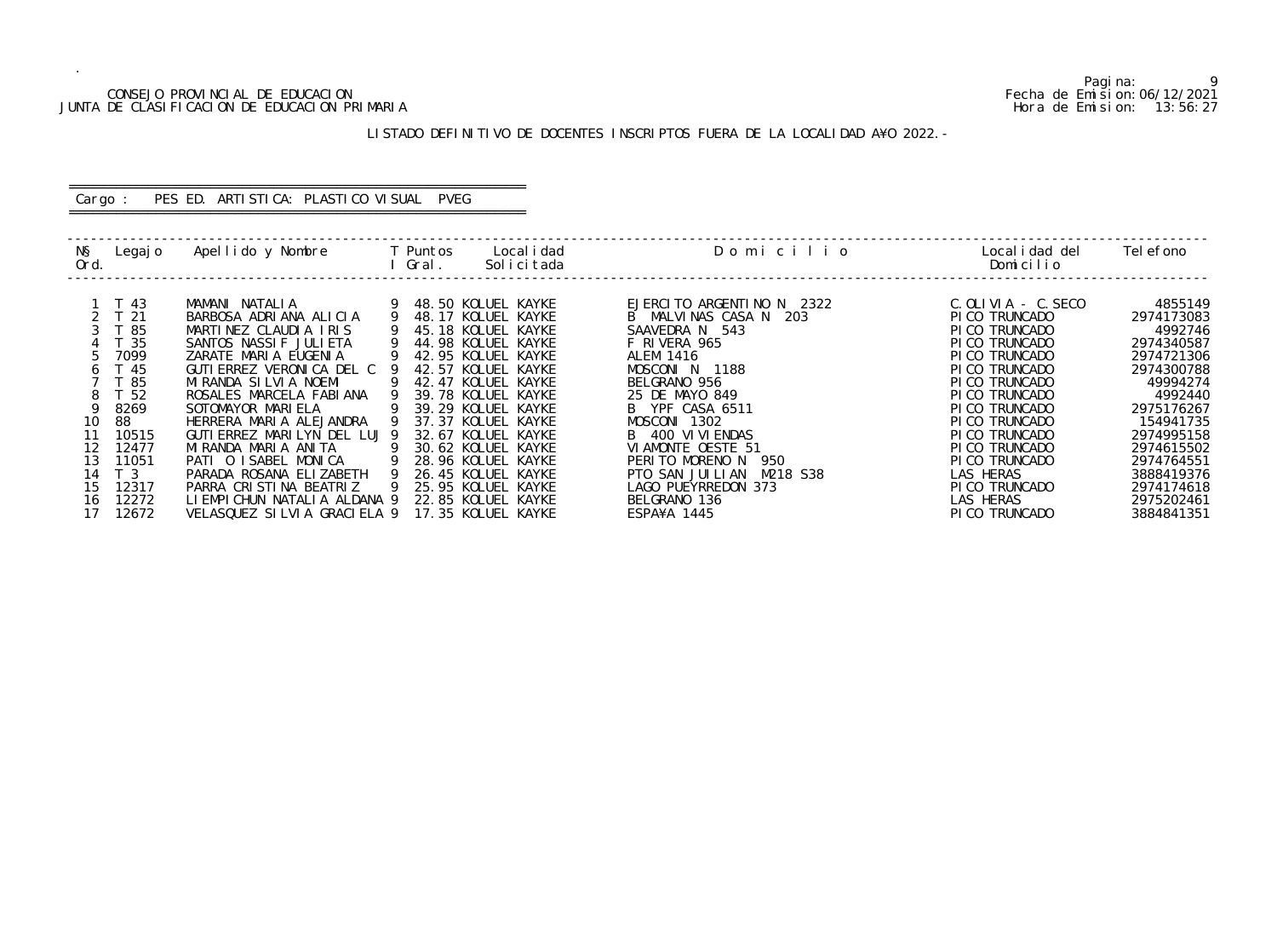## CONSEJO PROVINCIAL DE EDUCACION Fecha de Emision:06/12/2021 JUNTA DE CLASIFICACION DE EDUCACION PRIMARIA Hora de Emision: 13:56:27

# LISTADO DEFINITIVO DE DOCENTES INSCRIPTOS FUERA DE LA LOCALIDAD A¥O 2022.-

# ========================================================== Cargo : PES ED. ARTISTICA: PLASTICO VISUAL PVEG

==========================================================

| NŞ<br>Ord. | Legaj o                 | Apellido y Nombre                               | Gral. | Puntos                                   | Local i dad<br>Solicitada | Domicilio                               | Local i dad del<br>Domicilio     | Tel efono             |
|------------|-------------------------|-------------------------------------------------|-------|------------------------------------------|---------------------------|-----------------------------------------|----------------------------------|-----------------------|
|            | T 43                    | MAMANI NATALIA                                  |       | 48.50 KOLUEL KAYKE                       |                           | EJERCITO ARGENTINO N 2322               | $C.$ OLIVIA $-$ C. SECO          | 4855149               |
|            | T <sub>21</sub><br>T 85 | BARBOSA ADRIANA ALICIA<br>MARTINEZ CLAUDIA IRIS |       | 48.17 KOLUEL KAYKE<br>45.18 KOLUEL KAYKE |                           | B MALVINAS CASA N 203<br>SAAVEDRA N 543 | PI CO TRUNCADO<br>PI CO TRUNCADO | 2974173083<br>4992746 |
|            | - 35                    | SANTOS NASSIF JULIETA                           |       | 44.98 KOLUEL KAYKE                       |                           | F RIVERA 965                            | PI CO TRUNCADO                   | 2974340587            |
|            | 7099                    | ZARATE MARIA EUGENIA                            |       | 42.95 KOLUEL KAYKE                       |                           | <b>ALEM 1416</b>                        | PI CO TRUNCADO                   | 2974721306            |
|            | T 45                    | GUTI ERREZ VERONICA DEL C                       |       | 42.57 KOLUEL KAYKE                       |                           | MOSCONI N 1188                          | PI CO TRUNCADO                   | 2974300788            |
|            | T 85                    | MIRANDA SILVIA NOEMI                            |       | 42.47 KOLUEL KAYKE                       |                           | BELGRANO 956                            | PI CO TRUNCADO                   | 49994274              |
|            | T <sub>52</sub>         | ROSALES MARCELA FABIANA                         |       | 39.78 KOLUEL KAYKE                       |                           | 25 DE MAYO 849                          | PI CO TRUNCADO                   | 4992440               |
|            | 8269                    | SOTOMAYOR MARIELA                               |       | 39.29 KOLUEL KAYKE                       |                           | B YPF CASA 6511                         | PI CO TRUNCADO                   | 2975176267            |
| 10         | 88                      | HERRERA MARIA ALEJANDRA                         |       | 37.37 KOLUEL KAYKE                       |                           | MOSCONI 1302                            | PI CO TRUNCADO                   | 154941735             |
| 11         | 10515                   | GUTI ERREZ MARILYN DEL LUJ 9                    |       | 32.67 KOLUEL KAYKE                       |                           | B 400 VI VI ENDAS                       | PI CO TRUNCADO                   | 2974995158            |
| 12         | 12477                   | MIRANDA MARIA ANITA                             |       | 30.62 KOLUEL KAYKE                       |                           | VIAMONTE OESTE 51                       | PI CO TRUNCADO                   | 2974615502            |
| 13         | 11051                   | PATI O ISABEL MONICA                            |       | 28.96 KOLUEL KAYKE                       |                           | PERITO MORENO N<br>950                  | PI CO TRUNCADO                   | 2974764551            |
| 14         | T <sub>3</sub>          | PARADA ROSANA ELIZABETH                         |       | 26.45 KOLUEL KAYKE                       |                           | PTO SAN JUILIAN<br>M218 S38             | LAS HERAS                        | 3888419376            |
| 15         | 12317                   | PARRA CRISTINA BEATRIZ                          | - 9   | 25.95 KOLUEL KAYKE                       |                           | LAGO PUEYRREDON 373                     | PI CO TRUNCADO                   | 2974174618            |
| 16         | 12272                   | LI EMPICHUN NATALIA ALDANA 9                    |       | 22.85 KOLUEL KAYKE                       |                           | BELGRANO 136                            | LAS HERAS                        | 2975202461            |
| 17         | 12672                   | VELASQUEZ SILVIA GRACIELA 9                     |       | 17.35 KOLUEL KAYKE                       |                           | ESPA¥A 1445                             | PI CO TRUNCADO                   | 3884841351            |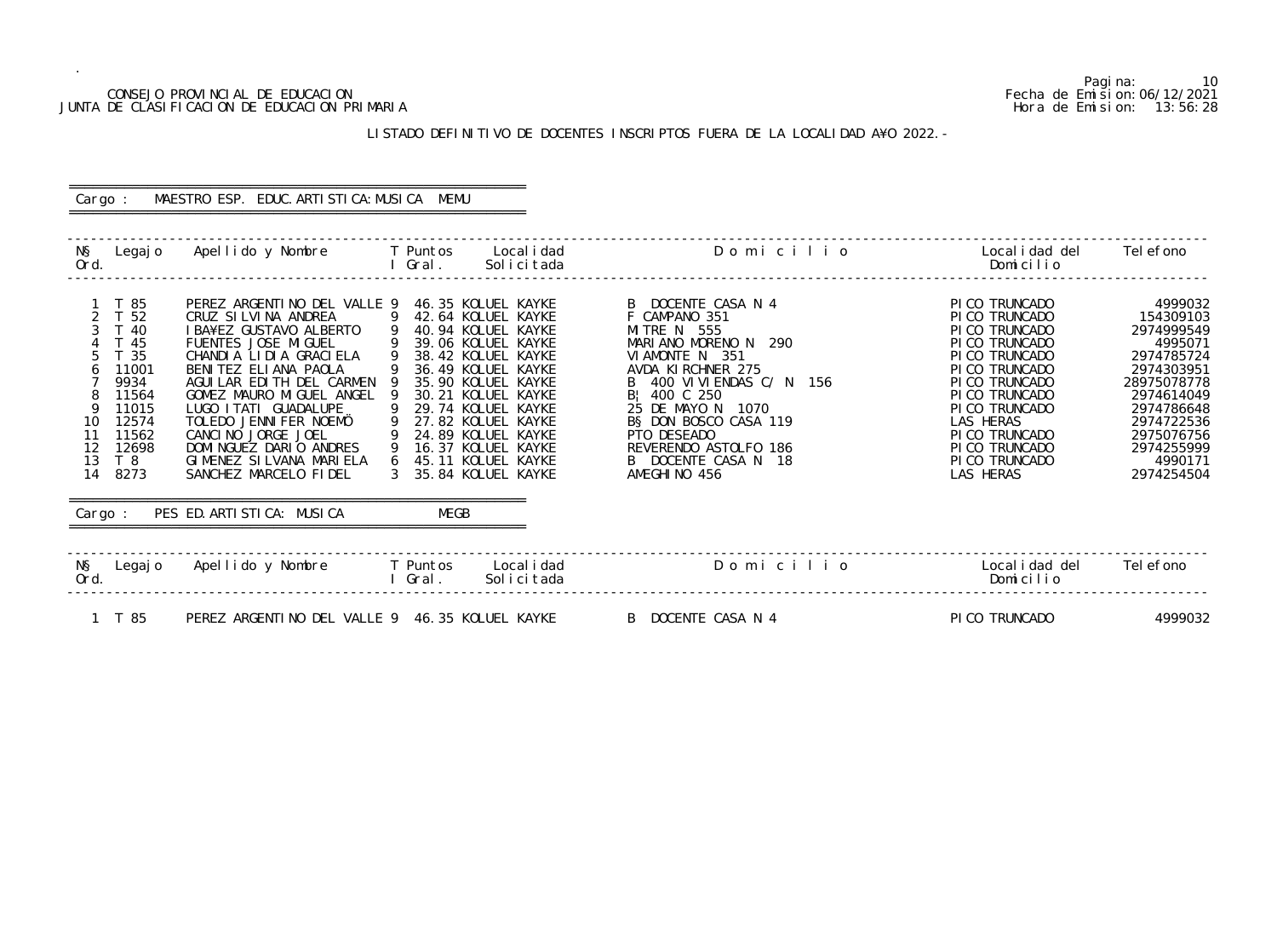1 T 85 PEREZ ARGENTINO DEL VALLE 9 46.35 KOLUEL KAYKE B DOCENTE CASA N 4 PICO TRUNCADO 4999032

Pagina: 10<br>Fecha de Emision: 06/12/2021

## CONSEJO PROVINCIAL DE EDUCACION Fecha de Emision:06/12/2021 JUNTA DE CLASIFICACION DE EDUCACION PRIMARIA Hora de Emision: 13:56:28

# ========================================================== Cargo : MAESTRO ESP. EDUC. ARTISTICA: MUSICA MEMU

# LISTADO DEFINITIVO DE DOCENTES INSCRIPTOS FUERA DE LA LOCALIDAD A¥O 2022.-

==========================================================

| NŞ<br>Legaj o<br>Ord.                                                                                                                                                        | Apellido y Nombre                                                                                                                                                                                                                                                                                                                                                     | Local i dad<br>T Puntos<br>Gral.<br>Solicitada                                                                                                                                                                                                                                                                          | Domicilio                                                                                                                                                                                                                                                                                        | Local i dad del<br>Domicilio                                                                                                                                                                                                                   | Tel efono                                                                                                                                                                               |
|------------------------------------------------------------------------------------------------------------------------------------------------------------------------------|-----------------------------------------------------------------------------------------------------------------------------------------------------------------------------------------------------------------------------------------------------------------------------------------------------------------------------------------------------------------------|-------------------------------------------------------------------------------------------------------------------------------------------------------------------------------------------------------------------------------------------------------------------------------------------------------------------------|--------------------------------------------------------------------------------------------------------------------------------------------------------------------------------------------------------------------------------------------------------------------------------------------------|------------------------------------------------------------------------------------------------------------------------------------------------------------------------------------------------------------------------------------------------|-----------------------------------------------------------------------------------------------------------------------------------------------------------------------------------------|
| T 85<br>$\overline{2}$<br>T 52<br>T 40<br>T 45<br>T <sub>35</sub><br>11001<br>9934<br>11564<br>11015<br>12574<br>10<br>11562<br>11<br>12<br>12698<br>13<br>T 8<br>14<br>8273 | PEREZ ARGENTINO DEL VALLE 9<br>CRUZ SILVINA ANDREA<br>I BA¥EZ GUSTAVO ALBERTO<br>FUENTES JOSE MIGUEL<br>CHANDIA LIDIA GRACIELA<br>BENITEZ ELIANA PAOLA<br>AGUILAR EDITH DEL CARMEN<br>GOMEZ MAURO MIGUEL ANGEL<br>LUGO I TATI GUADALUPE<br>TOLEDO JENNIFER NOEMÖ<br>CANCINO JORGE JOEL<br>DOMI NGUEZ DARIO ANDRES<br>GIMENEZ SILVANA MARIELA<br>SANCHEZ MARCELO FIDEL | 46.35 KOLUEL KAYKE<br>42.64 KOLUEL KAYKE<br>- 9<br>40.94 KOLUEL KAYKE<br>39.06 KOLUEL KAYKE<br>38.42 KOLUEL KAYKE<br>36.49 KOLUEL KAYKE<br>35.90 KOLUEL KAYKE<br>30.21 KOLUEL KAYKE<br>29.74 KOLUEL KAYKE<br>27.82 KOLUEL KAYKE<br>24.89 KOLUEL KAYKE<br>16.37 KOLUEL KAYKE<br>45.11 KOLUEL KAYKE<br>35.84 KOLUEL KAYKE | B DOCENTE CASA N 4<br>F CAMPANO 351<br>MITRE N 555<br>MARIANO MORENO N<br>290<br>VIAMONTE N 351<br>AVDA KIRCHNER 275<br>B 400 VIVIENDAS C/ N 156<br>B: 400 C 250<br>25 DE MAYO N<br>1070<br>B§ DON BOSCO CASA 119<br>PTO DESEADO<br>REVERENDO ASTOLFO 186<br>B DOCENTE CASA N 18<br>AMEGHINO 456 | PI CO TRUNCADO<br>PI CO TRUNCADO<br>PI CO TRUNCADO<br>PI CO TRUNCADO<br>PI CO TRUNCADO<br>PI CO TRUNCADO<br>PI CO TRUNCADO<br>PI CO TRUNCADO<br>PI CO TRUNCADO<br>LAS HERAS<br>PI CO TRUNCADO<br>PI CO TRUNCADO<br>PI CO TRUNCADO<br>LAS HERAS | 4999032<br>154309103<br>2974999549<br>4995071<br>2974785724<br>2974303951<br>28975078778<br>2974614049<br>2974786648<br>2974722536<br>2975076756<br>2974255999<br>4990171<br>2974254504 |
| Cargo :                                                                                                                                                                      | PES ED. ARTI STI CA: MUSI CA                                                                                                                                                                                                                                                                                                                                          | MEGB                                                                                                                                                                                                                                                                                                                    |                                                                                                                                                                                                                                                                                                  |                                                                                                                                                                                                                                                |                                                                                                                                                                                         |
| NŞ<br>Legaj o<br>Ord.                                                                                                                                                        | Apellido y Nombre                                                                                                                                                                                                                                                                                                                                                     | T Puntos<br>Local i dad<br>Solicitada<br>Gral.                                                                                                                                                                                                                                                                          | Domicilio                                                                                                                                                                                                                                                                                        | Local i dad del<br>Domicilio                                                                                                                                                                                                                   | Tel efono                                                                                                                                                                               |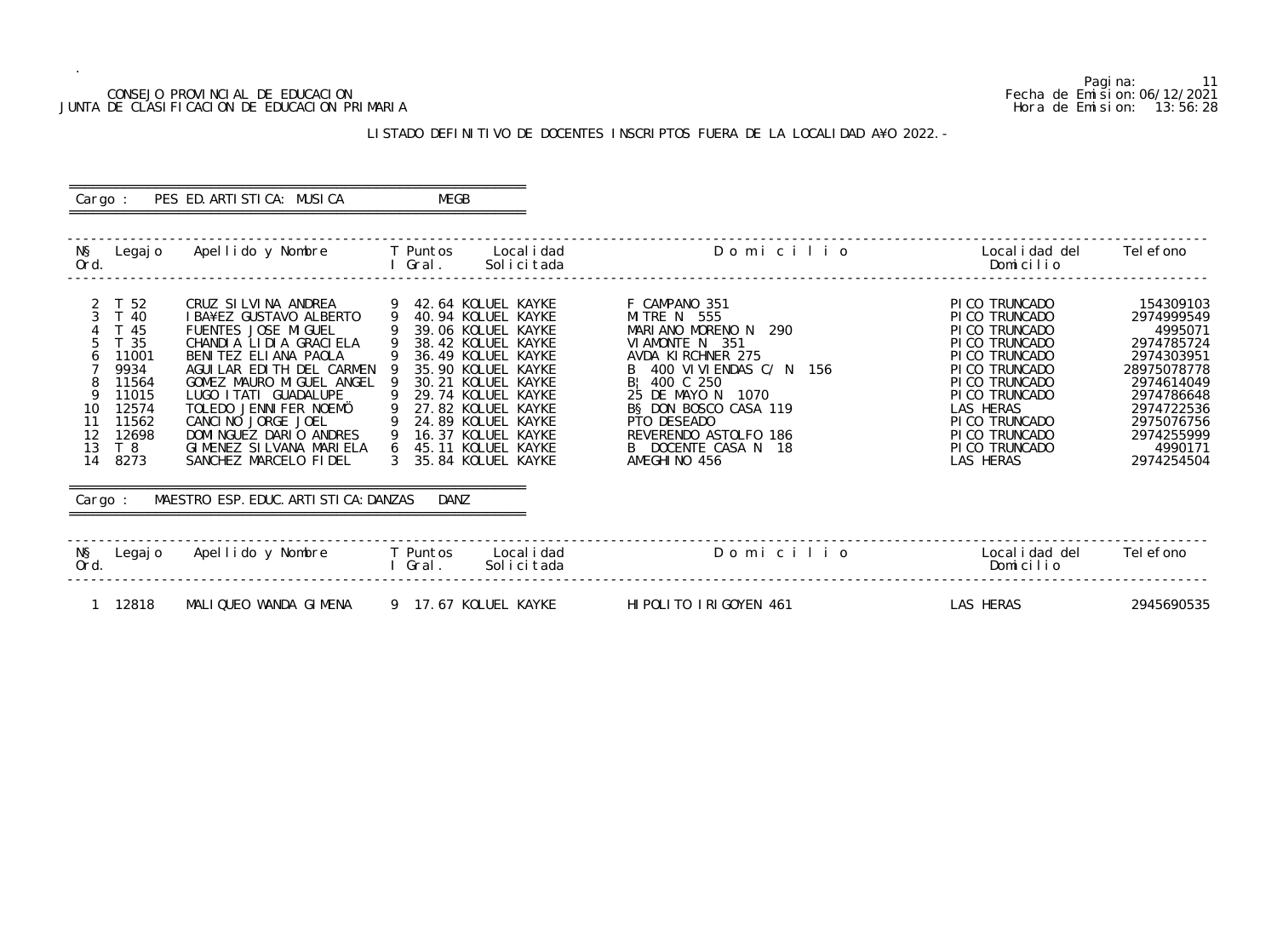## CONSEJO PROVINCIAL DE EDUCACION Fecha de Emision:06/12/2021 JUNTA DE CLASIFICACION DE EDUCACION PRIMARIA Hora de Emision: 13:56:28

# LISTADO DEFINITIVO DE DOCENTES INSCRIPTOS FUERA DE LA LOCALIDAD A¥O 2022.-

## ========================================================== Cargo : PES ED. ARTISTICA: MUSICA MEGB ==========================================================

| NŞ<br>Legaj o<br>Ord.                                                                                                                                                | Apellido y Nombre     T Puntos                                                                                                                                                                                                                                                                                                          | Local i dad<br>Gral.<br>Solicitada                                                                                                                                                                                                                                                                           | Domicilio                                                                                                                                                                                                                                                                  | Localidad del<br>Domicilio                                                                                                                                                                                                   | Tel efono                                                                                                                                                                    |
|----------------------------------------------------------------------------------------------------------------------------------------------------------------------|-----------------------------------------------------------------------------------------------------------------------------------------------------------------------------------------------------------------------------------------------------------------------------------------------------------------------------------------|--------------------------------------------------------------------------------------------------------------------------------------------------------------------------------------------------------------------------------------------------------------------------------------------------------------|----------------------------------------------------------------------------------------------------------------------------------------------------------------------------------------------------------------------------------------------------------------------------|------------------------------------------------------------------------------------------------------------------------------------------------------------------------------------------------------------------------------|------------------------------------------------------------------------------------------------------------------------------------------------------------------------------|
| 2 T 52<br>$\mathcal{S}$<br>T 40<br>T 45<br>5<br>T 35<br>11001<br>6<br>9934<br>11564<br>11015<br>12574<br>10<br>11562<br>11<br>12<br>12698<br>13<br>T 8<br>14<br>8273 | CRUZ SILVINA ANDREA<br>I BA¥EZ GUSTAVO ALBERTO<br>FUENTES JOSE MIGUEL<br>CHANDIA LIDIA GRACIELA<br>BENITEZ ELIANA PAOLA<br>AGUI LAR EDI TH DEL CARMEN<br>GOMEZ MAURO MIGUEL ANGEL<br>LUGO I TATI GUADALUPE<br>TOLEDO JENNIFER NOEMÖ<br>CANCINO JORGE JOEL<br>DOMINGUEZ DARIO ANDRES<br>GIMENEZ SILVANA MARIELA<br>SANCHEZ MARCELO FIDEL | 42.64 KOLUEL KAYKE<br>9<br>-9<br>40.94 KOLUEL KAYKE<br>39.06 KOLUEL KAYKE<br>38.42 KOLUEL KAYKE<br>36.49 KOLUEL KAYKE<br>35.90 KOLUEL KAYKE<br>30.21 KOLUEL KAYKE<br>29.74 KOLUEL KAYKE<br>- 9<br>27.82 KOLUEL KAYKE<br>24.89 KOLUEL KAYKE<br>16.37 KOLUEL KAYKE<br>45.11 KOLUEL KAYKE<br>35.84 KOLUEL KAYKE | F CAMPANO 351<br>MITRE N 555<br>MARIANO MORENO N<br>290<br>VI AMONTE N 351<br>AVDA KIRCHNER 275<br>B 400 VI VI ENDAS C/ N 156<br>B: 400 C 250<br>25 DE MAYO N 1070<br>B§ DON BOSCO CASA 119<br>PTO DESEADO<br>REVERENDO ASTOLFO 186<br>B DOCENTE CASA N 18<br>AMEGHINO 456 | PI CO TRUNCADO<br>PI CO TRUNCADO<br>PI CO TRUNCADO<br>PI CO TRUNCADO<br>PI CO TRUNCADO<br>PI CO TRUNCADO<br>PI CO TRUNCADO<br>PI CO TRUNCADO<br>LAS HERAS<br>PI CO TRUNCADO<br>PI CO TRUNCADO<br>PI CO TRUNCADO<br>LAS HERAS | 154309103<br>2974999549<br>4995071<br>2974785724<br>2974303951<br>28975078778<br>2974614049<br>2974786648<br>2974722536<br>2975076756<br>2974255999<br>4990171<br>2974254504 |
| Cargo :                                                                                                                                                              | MAESTRO ESP. EDUC. ARTI STI CA: DANZAS                                                                                                                                                                                                                                                                                                  | DANZ                                                                                                                                                                                                                                                                                                         |                                                                                                                                                                                                                                                                            |                                                                                                                                                                                                                              |                                                                                                                                                                              |
| NŞ<br>Legaj o<br>Ord.                                                                                                                                                | Apellido y Nombre                                                                                                                                                                                                                                                                                                                       | <b>T</b> Puntos<br>Local i dad<br>Gral.<br>Solicitada                                                                                                                                                                                                                                                        | Domicilio                                                                                                                                                                                                                                                                  | Local i dad del<br>Domicilio                                                                                                                                                                                                 | Tel efono                                                                                                                                                                    |
| 12818                                                                                                                                                                | MALIQUEO WANDA GIMENA                                                                                                                                                                                                                                                                                                                   | 9 17.67 KOLUEL KAYKE                                                                                                                                                                                                                                                                                         | HIPOLITO IRIGOYEN 461                                                                                                                                                                                                                                                      | LAS HERAS                                                                                                                                                                                                                    | 2945690535                                                                                                                                                                   |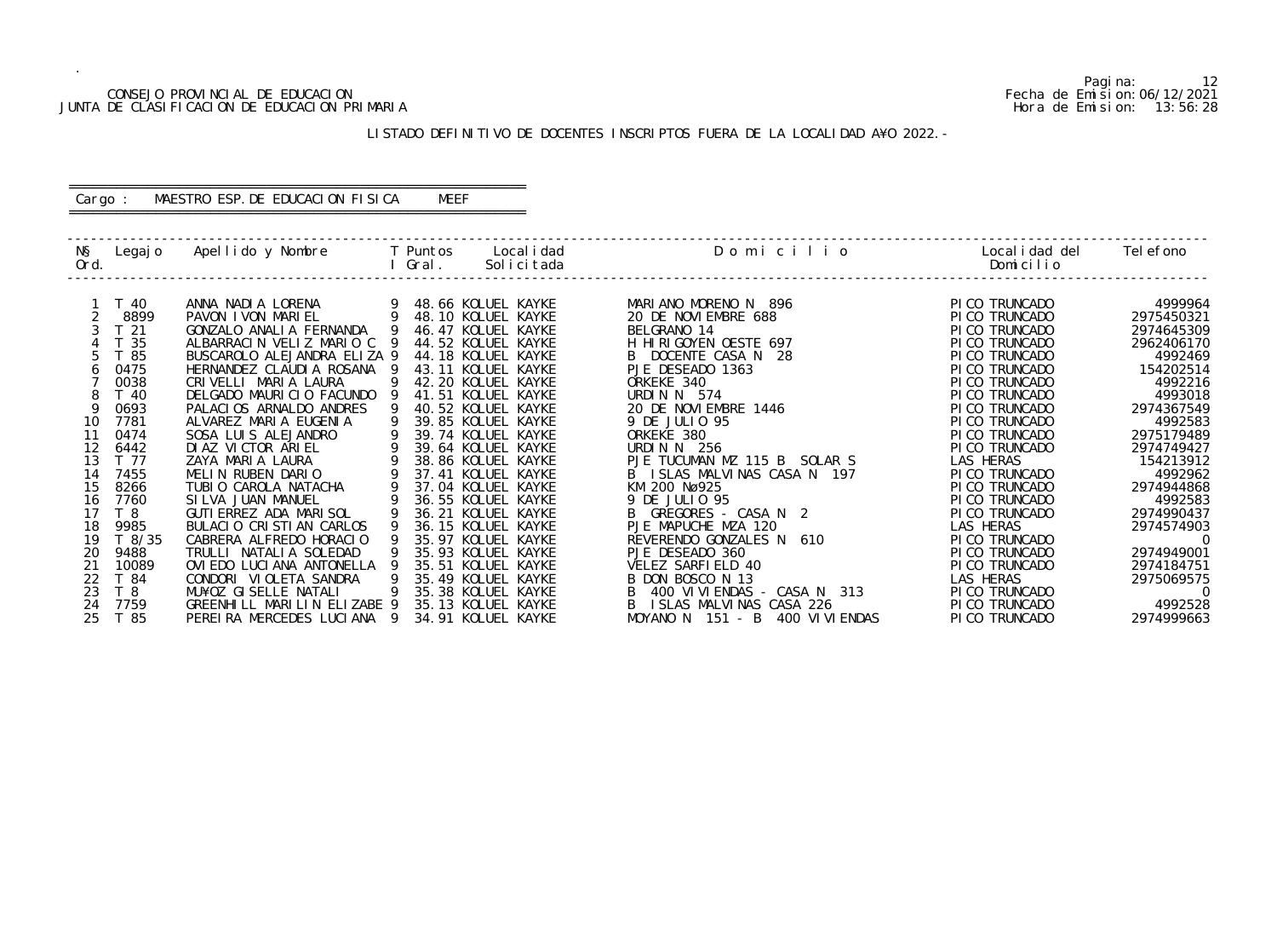## CONSEJO PROVINCIAL DE EDUCACION Fecha de Emision:06/12/2021 JUNTA DE CLASIFICACION DE EDUCACION PRIMARIA Hora de Emision: 13:56:28

## LISTADO DEFINITIVO DE DOCENTES INSCRIPTOS FUERA DE LA LOCALIDAD A¥O 2022.-

# ========================================================== Cargo : MAESTRO ESP.DE EDUCACION FISICA MEEF

==========================================================

| NŞ<br>Ord. | Legaj o                | Apellido y Nombre                                     |   | T Puntos<br>Gral. | Local i dad<br>Solicitada                | Domicilio                             | Local i dad del<br>Domicilio     | Tel efono                |
|------------|------------------------|-------------------------------------------------------|---|-------------------|------------------------------------------|---------------------------------------|----------------------------------|--------------------------|
|            |                        |                                                       |   |                   |                                          |                                       |                                  |                          |
|            | ີ 40<br>8899           | ANNA NADIA LORENA<br>PAVON I VON MARIEL               | 9 |                   | 48.66 KOLUEL KAYKE<br>48.10 KOLUEL KAYKE | MARIANO MORENO N 896                  | PI CO TRUNCADO<br>PI CO TRUNCADO | 4999964<br>2975450321    |
|            |                        |                                                       |   |                   | 46.47 KOLUEL KAYKE                       | 20 DE NOVIEMBRE 688<br>BELGRANO 14    |                                  |                          |
|            | T <sub>21</sub><br>-35 | GONZALO ANALIA FERNANDA<br>ALBARRACIN VELIZ MARIO C 9 |   |                   | 44.52 KOLUEL KAYKE                       | H HIRIGOYEN OESTE 697                 | PI CO TRUNCADO<br>PI CO TRUNCADO | 2974645309<br>2962406170 |
|            | 85                     | BUSCAROLO ALEJANDRA ELIZA 9                           |   |                   | 44.18 KOLUEL KAYKE                       | B DOCENTE CASA N 28                   | PI CO TRUNCADO                   | 4992469                  |
|            | 0475                   | HERNANDEZ CLAUDIA ROSANA                              |   |                   | 43.11 KOLUEL KAYKE                       | PJE DESEADO 1363                      | PI CO TRUNCADO                   | 154202514                |
|            | 0038                   | CRIVELLI MARIA LAURA                                  |   |                   | 42.20 KOLUEL KAYKE                       | ORKEKE 340                            | PI CO TRUNCADO                   | 4992216                  |
|            | T 40                   | DELGADO MAURICIO FACUNDO                              |   |                   | 41.51 KOLUEL KAYKE                       | URDIN N 574                           | PI CO TRUNCADO                   | 4993018                  |
| Q          | 0693                   | PALACIOS ARNALDO ANDRES                               |   |                   | 40.52 KOLUEL KAYKE                       | 20 DE NOVI EMBRE 1446                 | PI CO TRUNCADO                   | 2974367549               |
| 10         | 7781                   | ALVAREZ MARIA EUGENIA                                 | 9 |                   | 39.85 KOLUEL KAYKE                       | 9 DE JULIO 95                         | PI CO TRUNCADO                   | 4992583                  |
| 11         | 0474                   | SOSA LUIS ALEJANDRO                                   |   |                   | 39.74 KOLUEL KAYKE                       | ORKEKE 380                            | PI CO TRUNCADO                   | 2975179489               |
| 12         | 6442                   | DIAZ VICTOR ARIEL                                     |   |                   | 39.64 KOLUEL KAYKE                       | URDIN N 256                           | PI CO TRUNCADO                   | 2974749427               |
| 13         | T 77                   | ZAYA MARIA LAURA                                      |   |                   | 38.86 KOLUEL KAYKE                       | PJE TUCUMAN MZ 115 B SOLAR S          | LAS HERAS                        | 154213912                |
| 14         | 7455                   | MELIN RUBEN DARIO                                     |   |                   | 37.41 KOLUEL KAYKE                       | B ISLAS MALVINAS CASA N 197           | PI CO TRUNCADO                   | 4992962                  |
| 15         | 8266                   | TUBIO CAROLA NATACHA                                  |   |                   | 37.04 KOLUEL KAYKE                       | KM 200 Nø925                          | PI CO TRUNCADO                   | 2974944868               |
| 16         | 7760                   | SILVA JUAN MANUEL                                     |   |                   | 36.55 KOLUEL KAYKE                       | 9 DE JULIO 95                         | PI CO TRUNCADO                   | 4992583                  |
| 17         | T <sub>8</sub>         | GUTI ERREZ ADA MARI SOL                               |   |                   | 36.21 KOLUEL KAYKE                       | GREGORES - CASA N 2                   | PI CO TRUNCADO                   | 2974990437               |
| 18         | 9985                   | BULACIO CRISTIAN CARLOS                               |   |                   | 36.15 KOLUEL KAYKE                       | PJE MAPUCHE MZA 120                   | LAS HERAS                        | 2974574903               |
| 19         | T8/35                  | CABRERA ALFREDO HORACIO                               |   |                   | 35.97 KOLUEL KAYKE                       | REVERENDO GONZALES N<br>610           | PI CO TRUNCADO                   | $\overline{0}$           |
| 20         | 9488                   | TRULLI NATALIA SOLEDAD                                |   |                   | 35.93 KOLUEL KAYKE                       | PJE DESEADO 360                       | PI CO TRUNCADO                   | 2974949001               |
| 21         | 10089                  | OVI EDO LUCI ANA ANTONELLA                            |   |                   | 35.51 KOLUEL KAYKE                       | VELEZ SARFIELD 40                     | PI CO TRUNCADO                   | 2974184751               |
| 22         | T 84                   | CONDORI VIOLETA SANDRA                                | 9 |                   | 35.49 KOLUEL KAYKE                       | B DON BOSCO N 13                      | LAS HERAS                        | 2975069575               |
| 23         | T <sub>8</sub>         | MU¥OZ GISELLE NATALI                                  |   |                   | 35.38 KOLUEL KAYKE                       | 400 VI VI ENDAS - CASA N 313          | PI CO TRUNCADO                   | $\Omega$                 |
| 24         | 7759                   | GREENHILL MARILIN ELIZABE 9                           |   |                   | 35.13 KOLUEL KAYKE                       | ISLAS MALVINAS CASA 226               | PI CO TRUNCADO                   | 4992528                  |
| 25         | T 85                   | PEREIRA MERCEDES LUCIANA 9                            |   |                   | 34.91 KOLUEL KAYKE                       | MOYANO N $151 - B$<br>400 VI VI ENDAS | PI CO TRUNCADO                   | 2974999663               |

Pagina: 12<br>Fecha de Emision: 06/12/2021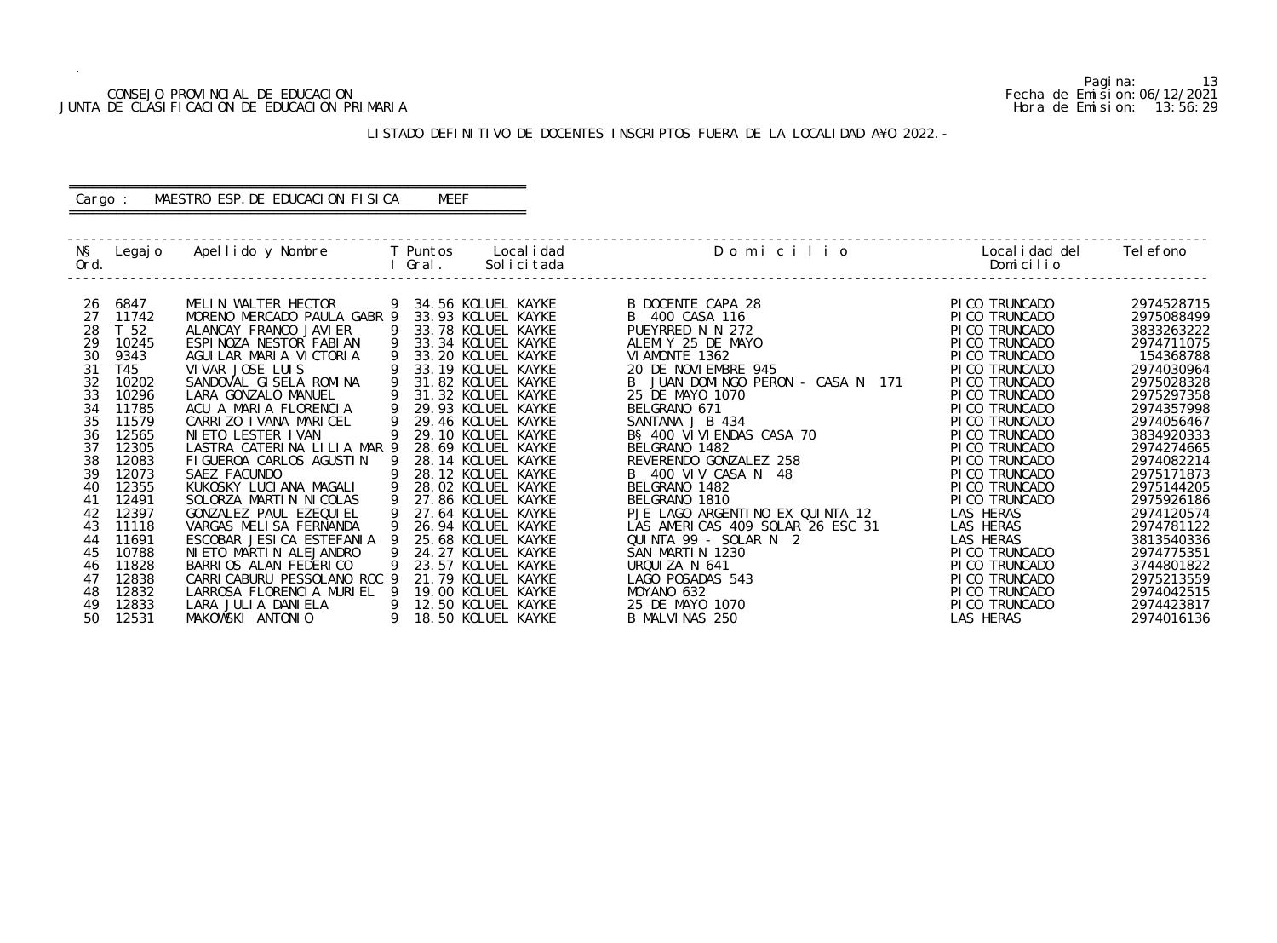## CONSEJO PROVINCIAL DE EDUCACION Fecha de Emision:06/12/2021 JUNTA DE CLASIFICACION DE EDUCACION PRIMARIA Hora de Emision: 13:56:29

# LISTADO DEFINITIVO DE DOCENTES INSCRIPTOS FUERA DE LA LOCALIDAD A¥O 2022.-

# ========================================================== Cargo : MAESTRO ESP.DE EDUCACION FISICA MEEF

==========================================================

| NŞ<br>Ord. |                 | Legajo Apellido y Nombre T Puntos |          | Gral. | Local i dad<br>Solicitada | Domicilio                         | Local i dad del<br>Domicilio | Tel efono  |
|------------|-----------------|-----------------------------------|----------|-------|---------------------------|-----------------------------------|------------------------------|------------|
|            |                 |                                   |          |       |                           |                                   |                              |            |
| 26         | 6847            | MELIN WALTER HECTOR               |          |       | 9 34.56 KOLUEL KAYKE      | B DOCENTE CAPA 28                 | PI CO TRUNCADO               | 2974528715 |
| 27         | 11742           | MORENO MERCADO PAULA GABR 9       |          |       | 33.93 KOLUEL KAYKE        | B 400 CASA 116                    | PI CO TRUNCADO               | 2975088499 |
| 28         | T <sub>52</sub> | ALANCAY FRANCO JAVI ER            | 9        |       | 33.78 KOLUEL KAYKE        | PUEYRRED N N 272                  | PI CO TRUNCADO               | 3833263222 |
| 29         | 10245           | ESPINOZA NESTOR FABIAN            | 9        |       | 33.34 KOLUEL KAYKE        | ALEM Y 25 DE MAYO                 | PI CO TRUNCADO               | 2974711075 |
| 30         | 9343            | AGUILAR MARIA VICTORIA            |          |       | 33.20 KOLUEL KAYKE        | VI AMONTE 1362                    | PI CO TRUNCADO               | 154368788  |
| 31         | T45             | VIVAR JOSE LUIS                   |          |       | 33.19 KOLUEL KAYKE        | 20 DE NOVIEMBRE 945               | PI CO TRUNCADO               | 2974030964 |
| 32         | 10202           | SANDOVAL GISELA ROMINA            | 9        |       | 31.82 KOLUEL KAYKE        | B JUAN DOMINGO PERON - CASA N 171 | PI CO TRUNCADO               | 2975028328 |
| 33         | 10296           | LARA GONZALO MANUEL               |          |       | 31.32 KOLUEL KAYKE        | 25 DE MAYO 1070                   | PI CO TRUNCADO               | 2975297358 |
| 34         | 11785           | ACU A MARIA FLORENCIA             |          |       | 29.93 KOLUEL KAYKE        | BELGRANO 671                      | PI CO TRUNCADO               | 2974357998 |
| 35         | 11579           | CARRIZO I VANA MARICEL            | 9        |       | 29.46 KOLUEL KAYKE        | SANTANA J B 434                   | PI CO TRUNCADO               | 2974056467 |
| 36         | 12565           | NIETO LESTER IVAN                 |          |       | 29.10 KOLUEL KAYKE        | BS 400 VI VI ENDAS CASA 70        | PI CO TRUNCADO               | 3834920333 |
| 37         | 12305           | LASTRA CATERINA LILIA MAR 9       |          |       | 28.69 KOLUEL KAYKE        | BELGRANO 1482                     | PI CO TRUNCADO               | 2974274665 |
| 38         | 12083           | FI GUEROA CARLOS AGUSTIN          | <b>9</b> |       | 28.14 KOLUEL KAYKE        | REVERENDO GONZALEZ 258            | PI CO TRUNCADO               | 2974082214 |
| 39         | 12073           | SAEZ FACUNDO                      | 9        |       | 28.12 KOLUEL KAYKE        | B 400 VIV CASA N 48               | PI CO TRUNCADO               | 2975171873 |
| 40         | 12355           | KUKOSKY LUCIANA MAGALI            | 9        |       | 28.02 KOLUEL KAYKE        | BELGRANO 1482                     | PI CO TRUNCADO               | 2975144205 |
| 41         | 12491           | SOLORZA MARTIN NICOLAS            | 9        |       | 27.86 KOLUEL KAYKE        | BELGRANO 1810                     | PI CO TRUNCADO               | 2975926186 |
| 42         | 12397           | GONZALEZ PAUL EZEQUIEL            | 9        |       | 27.64 KOLUEL KAYKE        | PJE LAGO ARGENTINO EX QUINTA 12   | LAS HERAS                    | 2974120574 |
| 43         | 11118           | VARGAS MELISA FERNANDA            |          |       | 26.94 KOLUEL KAYKE        | LAS AMERICAS 409 SOLAR 26 ESC 31  | LAS HERAS                    | 2974781122 |
| 44         | 11691           | ESCOBAR JESI CA ESTEFANIA         |          |       | 25.68 KOLUEL KAYKE        | QUINTA 99 - SOLAR N 2             | LAS HERAS                    | 3813540336 |
| 45         | 10788           | NI ETO MARTIN ALEJANDRO           |          |       | 24.27 KOLUEL KAYKE        | SAN MARTIN 1230                   | PI CO TRUNCADO               | 2974775351 |
| 46         | 11828           | BARRIOS ALAN FEDERICO             | 9        |       | 23.57 KOLUEL KAYKE        | URQUIZA N 641                     | PI CO TRUNCADO               | 3744801822 |
| 47         | 12838           | CARRI CABURU PESSOLANO ROC 9      |          |       | 21.79 KOLUEL KAYKE        | LAGO POSADAS 543                  | PI CO TRUNCADO               | 2975213559 |
| 48         | 12832           | LARROSA FLORENCIA MURIEL 9        |          |       | 19.00 KOLUEL KAYKE        | MOYANO 632                        | PI CO TRUNCADO               | 2974042515 |
| 49         | 12833           | LARA JULIA DANIELA                | 9        |       | 12.50 KOLUEL KAYKE        | 25 DE MAYO 1070                   | PI CO TRUNCADO               | 2974423817 |
| 50         | 12531           | MAKOWSKI ANTONIO                  | 9        |       | 18.50 KOLUEL KAYKE        | B MALVINAS 250                    | LAS HERAS                    | 2974016136 |
|            |                 |                                   |          |       |                           |                                   |                              |            |

Pagina: 13<br>Fecha de Emision: 06/12/2021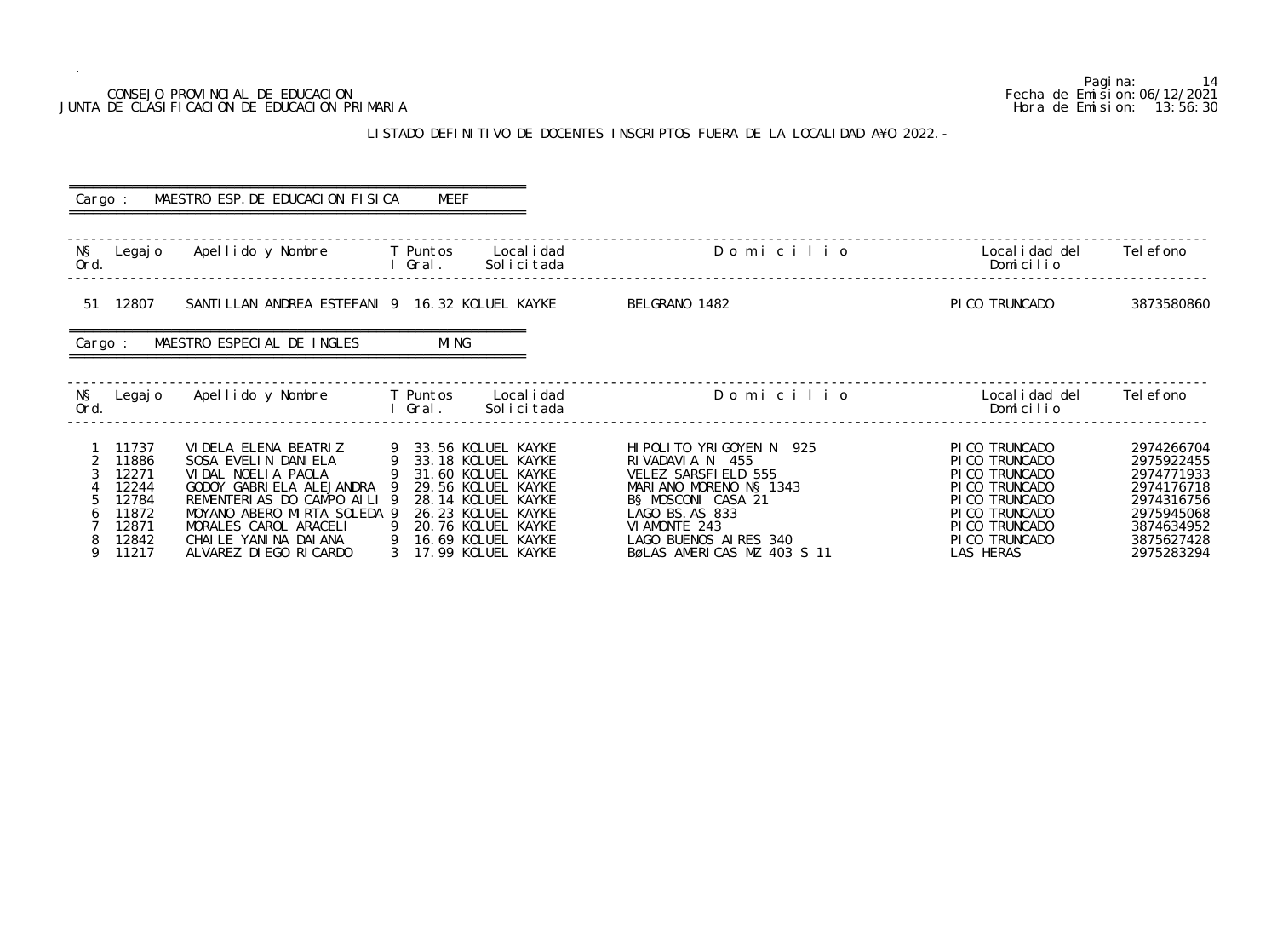## CONSEJO PROVINCIAL DE EDUCACION JUNTA DE CLASIFICACION DE EDUCACION PRIMARIA

.

## LISTADO DEFINITIVO DE DOCENTES INSCRIPTOS FUERA DE LA LOCALI

|                                                                                                                     | CONSEJO PROVINCIAL DE EDUCACION<br>JUNTA DE CLASIFICACION DE EDUCACION PRIMARIA                                                                                                                                                                                                      |             |                                                                                                                                                                                                                               |                                                                                                                                                                                                                |                                                                                                                                                      | 14<br>Pagi na:<br>Fecha de Emi si on: 06/12/2021<br>Hora de Emision: 13:56:30                                              |
|---------------------------------------------------------------------------------------------------------------------|--------------------------------------------------------------------------------------------------------------------------------------------------------------------------------------------------------------------------------------------------------------------------------------|-------------|-------------------------------------------------------------------------------------------------------------------------------------------------------------------------------------------------------------------------------|----------------------------------------------------------------------------------------------------------------------------------------------------------------------------------------------------------------|------------------------------------------------------------------------------------------------------------------------------------------------------|----------------------------------------------------------------------------------------------------------------------------|
|                                                                                                                     |                                                                                                                                                                                                                                                                                      |             |                                                                                                                                                                                                                               | LISTADO DEFINITIVO DE DOCENTES INSCRIPTOS FUERA DE LA LOCALIDAD A¥O 2022. -                                                                                                                                    |                                                                                                                                                      |                                                                                                                            |
|                                                                                                                     | Cargo: MAESTRO ESP. DE EDUCACION FISICA                                                                                                                                                                                                                                              | MEEF        |                                                                                                                                                                                                                               |                                                                                                                                                                                                                |                                                                                                                                                      |                                                                                                                            |
| Ord.                                                                                                                | N§ Legajo Apellido y Nombre T Puntos Localidad                                                                                                                                                                                                                                       | I Gral.     | Solicitada                                                                                                                                                                                                                    | Domicilio                                                                                                                                                                                                      | Local i dad del<br>Domicilio                                                                                                                         | Tel efono                                                                                                                  |
| 51 12807                                                                                                            | SANTILLAN ANDREA ESTEFANI 9 16.32 KOLUEL KAYKE                                                                                                                                                                                                                                       |             |                                                                                                                                                                                                                               | BELGRANO 1482                                                                                                                                                                                                  | PI CO TRUNCADO                                                                                                                                       | 3873580860                                                                                                                 |
| Cargo :                                                                                                             | MAESTRO ESPECIAL DE INGLES                                                                                                                                                                                                                                                           | <b>MING</b> |                                                                                                                                                                                                                               |                                                                                                                                                                                                                |                                                                                                                                                      |                                                                                                                            |
| Ord.                                                                                                                | N§ Legajo Apellido y Nombre T Puntos Localidad<br><b>Example 2018 Contract Contract Contract Contract Contract Contract Contract Contract Contract Contract Contract Contract Contract Contract Contract Contract Contract Contract Contract Contract Contract Contract Contract</b> |             | Solicitada                                                                                                                                                                                                                    | ----------------------<br>Domicilio                                                                                                                                                                            | Local i dad del<br>Domicilio                                                                                                                         | Tel efono                                                                                                                  |
| 11737<br>11886<br>$\overline{2}$<br>3<br>12271<br>12244<br>12784<br>11872<br>12871<br>12842<br>$\mathbf Q$<br>11217 | VI DELA ELENA BEATRIZ<br>SOSA EVELIN DANIELA<br>VIDAL NOELIA PAOLA<br>GODOY GABRIELA ALEJANDRA 9 29.56 KOLUEL KAYKE<br>REMENTERIAS DO CAMPO AILI 9<br>MOYANO ABERO MIRTA SOLEDA 9<br>MORALES CAROL ARACELI<br>CHAILE YANINA DAIANA<br>ALVAREZ DI EGO RICARDO                         |             | 9 33.56 KOLUEL KAYKE<br>9    33. 56  KOLUEL  KAYKE<br>9    33. 18  KOLUEL  KAYKE<br>9 31.60 KOLUEL KAYKE<br>28.14 KOLUEL KAYKE<br>26.23 KOLUEL KAYKE<br>9 20.76 KOLUEL KAYKE<br>9 16.69 KOLUEL KAYKE<br>3 17 99 KOLIIFI KAYKE | HI POLI TO YRI GOYEN N 925<br>RIVADAVIA N 455<br>VELEZ SARSFIELD 555<br>MARIANO MORENO N§ 1343<br>BS MOSCONI CASA 21<br>LAGO BS.AS 833<br>VI AMONTE 243<br>LAGO BUENOS AIRES 340<br>RØLAS AMERICAS M7 403 S 11 | PICO TRUNCADO<br>PICO TRUNCADO<br>PICO TRUNCADO<br>PICO TRUNCADO<br>PICO TRUNCADO<br>PI CO TRUNCADO<br>PI CO TRUNCADO<br>PICO TRUNCADO<br>I AS HERAS | 2974266704<br>2975922455<br>2974771933<br>2974176718<br>2974316756<br>2975945068<br>3874634952<br>3875627428<br>2975283294 |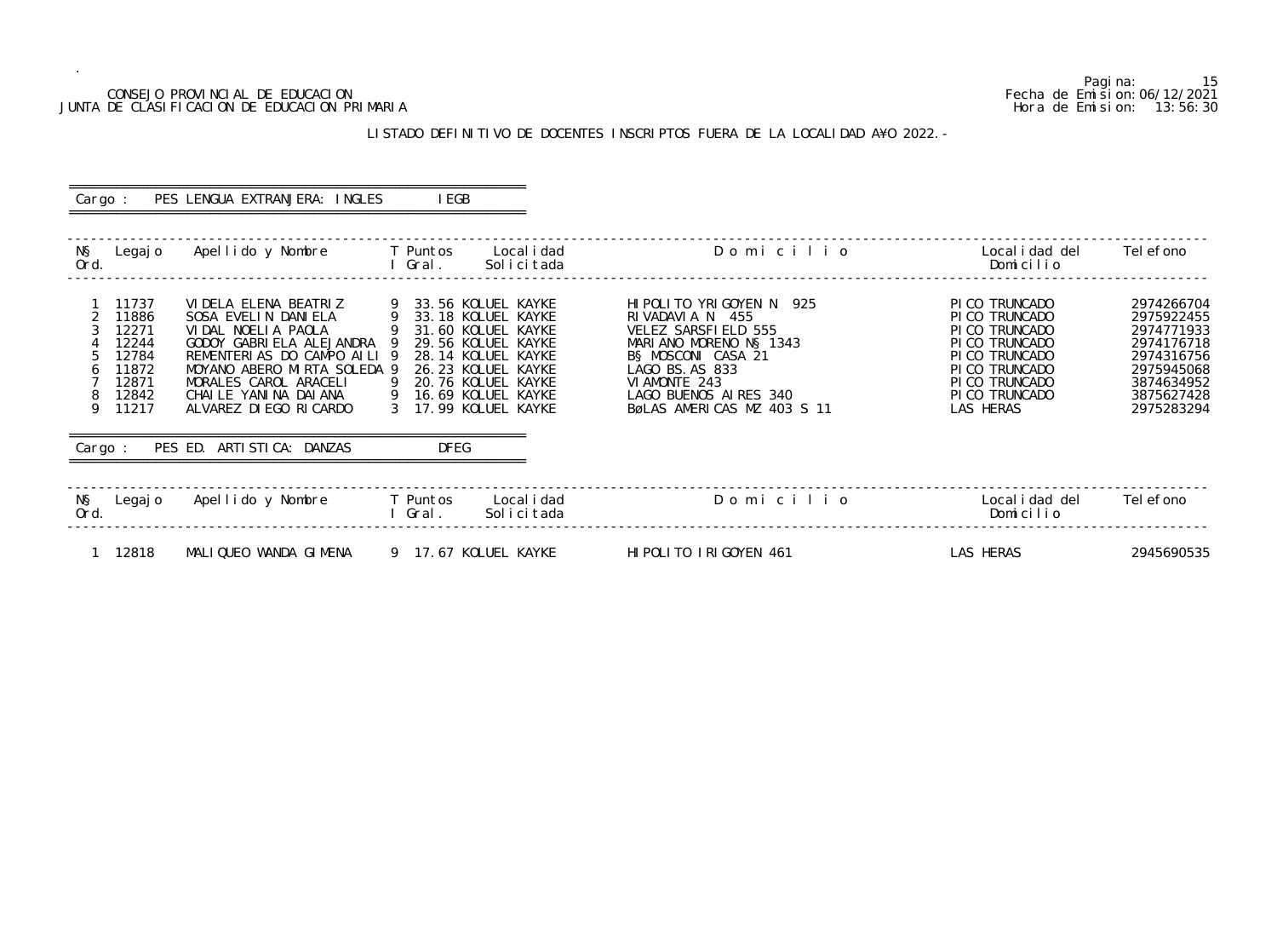## CONSEJO PROVINCIAL DE EDUCACION Fecha de Emision:06/12/2021 JUNTA DE CLASIFICACION DE EDUCACION PRIMARIA Hora de Emision: 13:56:30

# LISTADO DEFINITIVO DE DOCENTES INSCRIPTOS FUERA DE LA LOCALIDAD A¥O 2022.-

| Cargo :                     |                                                                               | PES LENGUA EXTRANJERA: INGLES                                                                                                                                                                                                                                           |          | I EGB             |                                                                                                                                                                                                        |                                                                                                                                                                                                              |                                                                                                                                                           |                                                                                                                            |
|-----------------------------|-------------------------------------------------------------------------------|-------------------------------------------------------------------------------------------------------------------------------------------------------------------------------------------------------------------------------------------------------------------------|----------|-------------------|--------------------------------------------------------------------------------------------------------------------------------------------------------------------------------------------------------|--------------------------------------------------------------------------------------------------------------------------------------------------------------------------------------------------------------|-----------------------------------------------------------------------------------------------------------------------------------------------------------|----------------------------------------------------------------------------------------------------------------------------|
| NŞ<br>Ord.                  | Legaj o                                                                       | Apellido y Nombre                                                                                                                                                                                                                                                       |          | T Puntos<br>Gral. | Local i dad<br>Solicitada                                                                                                                                                                              | Domicilio                                                                                                                                                                                                    | Local i dad del<br>Domicilio                                                                                                                              | Tel efono                                                                                                                  |
| 2<br>6<br>8<br>9<br>Cargo : | 11737<br>11886<br>12271<br>12244<br>12784<br>11872<br>12871<br>12842<br>11217 | VI DELA ELENA BEATRIZ<br>SOSA EVELIN DANIELA<br>VIDAL NOELIA PAOLA<br>GODOY GABRIELA ALEJANDRA 9<br>REMENTERIAS DO CAMPO AILI 9<br>MOYANO ABERO MIRTA SOLEDA 9<br>MORALES CAROL ARACELI<br>CHAILE YANINA DAIANA<br>ALVAREZ DI EGO RI CARDO<br>PES ED. ARTISTICA: DANZAS | - 9<br>9 | <b>DFEG</b>       | 33.56 KOLUEL KAYKE<br>9 33.18 KOLUEL KAYKE<br>31.60 KOLUEL KAYKE<br>29.56 KOLUEL KAYKE<br>28.14 KOLUEL KAYKE<br>26.23 KOLUEL KAYKE<br>20.76 KOLUEL KAYKE<br>9 16.69 KOLUEL KAYKE<br>17.99 KOLUEL KAYKE | HIPOLITO YRIGOYEN N 925<br>RIVADAVIA N 455<br>VELEZ SARSFIELD 555<br>MARIANO MORENO NS 1343<br>B§ MOSCONI CASA 21<br>LAGO BS. AS 833<br>VI AMONTE 243<br>LAGO BUENOS AIRES 340<br>BøLAS AMERICAS MZ 403 S 11 | PI CO TRUNCADO<br>PI CO TRUNCADO<br>PI CO TRUNCADO<br>PI CO TRUNCADO<br>PI CO TRUNCADO<br>PI CO TRUNCADO<br>PI CO TRUNCADO<br>PI CO TRUNCADO<br>LAS HERAS | 2974266704<br>2975922455<br>2974771933<br>2974176718<br>2974316756<br>2975945068<br>3874634952<br>3875627428<br>2975283294 |
| NŞ<br>Ord.                  | Legaj o                                                                       | Apellido y Nombre                                                                                                                                                                                                                                                       |          | T Puntos<br>Gral. | Local i dad<br>Solicitada                                                                                                                                                                              | Domicilio                                                                                                                                                                                                    | Local i dad del<br>Domicilio                                                                                                                              | Tel efono                                                                                                                  |
|                             | 12818                                                                         | MALIQUEO WANDA GIMENA                                                                                                                                                                                                                                                   |          |                   | 9 17.67 KOLUEL KAYKE                                                                                                                                                                                   | HIPOLITO IRIGOYEN 461                                                                                                                                                                                        | LAS HERAS                                                                                                                                                 | 2945690535                                                                                                                 |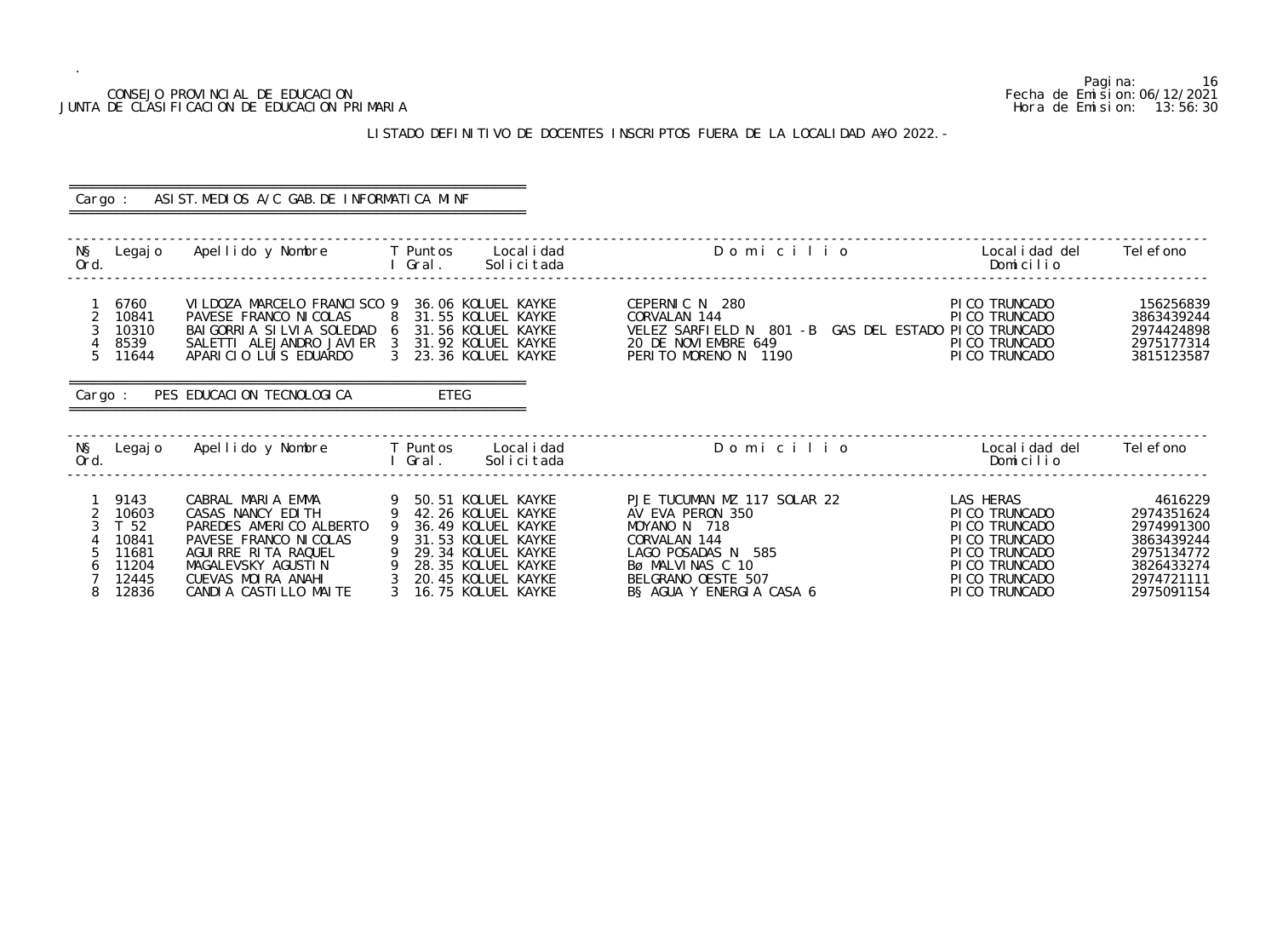## CONSEJO PROVINCIAL DE EDUCACION Fecha de Emision:06/12/2021 JUNTA DE CLASIFICACION DE EDUCACION PRIMARIA Hora de Emision: 13:56:30

# LISTADO DEFINITIVO DE DOCENTES INSCRIPTOS FUERA DE LA LOCALIDAD A¥O 2022.-

|                                       | Cargo :                                                            | ASIST. MEDIOS A/C GAB. DE INFORMATICA MINF                                                                                                                                                                  |                                                                                                                                                                                                                    |                           |                                                                                                                                                                             |                                                                                                                                         |                                                                                                           |
|---------------------------------------|--------------------------------------------------------------------|-------------------------------------------------------------------------------------------------------------------------------------------------------------------------------------------------------------|--------------------------------------------------------------------------------------------------------------------------------------------------------------------------------------------------------------------|---------------------------|-----------------------------------------------------------------------------------------------------------------------------------------------------------------------------|-----------------------------------------------------------------------------------------------------------------------------------------|-----------------------------------------------------------------------------------------------------------|
| NŞ<br>Ord.                            |                                                                    | Legajo Apellido y Nombre     T Puntos                                                                                                                                                                       | l Gral.                                                                                                                                                                                                            | Local i dad<br>Solicitada | Domicilio                                                                                                                                                                   | Local i dad del<br>Domicilio                                                                                                            | Tel efono                                                                                                 |
| $\overline{2}$<br>3<br>5 <sup>5</sup> | 6760<br>10841<br>10310<br>8539<br>11644                            | VI LDOZA MARCELO FRANCI SCO 9<br>PAVESE FRANCO NI COLAS 8 31.55 KOLUEL KAYKE<br>BAI GORRI A SI LVI A SOLEDAD 6 31.56 KOLUEL KAYKE<br>SALETTI ALEJANDRO JAVIER 3 31.92 KOLUEL KAYKE<br>APARICIO LUIS EDUARDO | 36.06 KOLUEL KAYKE<br>3 23.36 KOLUEL KAYKE                                                                                                                                                                         |                           | CEPERNIC N 280<br>CORVALAN 144<br>VELEZ SARFIELD N 801 -B GAS DEL ESTADO PICO TRUNCADO<br>20 DE NOVIEMBRE 649<br>PERITO MORENO N 1190                                       | PI CO TRUNCADO<br>PI CO TRUNCADO<br>PI CO TRUNCADO<br>PI CO TRUNCADO                                                                    | 156256839<br>3863439244<br>2974424898<br>2975177314<br>3815123587                                         |
|                                       |                                                                    | Cargo: PES EDUCACION TECNOLOGICA                                                                                                                                                                            | ETEG                                                                                                                                                                                                               |                           |                                                                                                                                                                             |                                                                                                                                         |                                                                                                           |
| NŞ<br>Ord.                            |                                                                    | Legajo Apellido y Nombre T Puntos Localidad                                                                                                                                                                 | I Gral.                                                                                                                                                                                                            | Solicitada                | Domicilio                                                                                                                                                                   | Localidad del<br>Domicilio                                                                                                              | Tel efono                                                                                                 |
| $\overline{2}$<br>3<br>6<br>8         | 9143<br>10603<br>T 52<br>10841<br>11681<br>11204<br>12445<br>12836 | CABRAL MARIA EMMA<br>CASAS NANCY EDITH<br>PAREDES AMERICO ALBERTO<br>PAVESE FRANCO NI COLAS<br>AGUIRRE RITA RAQUEL<br>MAGALEVSKY AGUSTIN<br>CUEVAS MOIRA ANAHI<br>CANDIA CASTILLO MAITE                     | 50.51 KOLUEL KAYKE<br>- 9<br>42.26 KOLUEL KAYKE<br>- 9<br>36.49 KOLUEL KAYKE<br>9<br>31.53 KOLUEL KAYKE<br>29.34 KOLUEL KAYKE<br>9   28. 35  KOLUEL  KAYKE<br>3   20. 45  KOLUEL  KAYKE<br>3<br>16.75 KOLUEL KAYKE |                           | PJE TUCUMAN MZ 117 SOLAR 22<br>AV EVA PERON 350<br>MOYANO N 718<br>CORVALAN 144<br>LAGO POSADAS N 585<br>Bø MALVINAS C 10<br>BELGRANO OESTE 507<br>B§ AGUA Y ENERGIA CASA 6 | LAS HERAS<br>PI CO TRUNCADO<br>PI CO TRUNCADO<br>PI CO TRUNCADO<br>PI CO TRUNCADO<br>PI CO TRUNCADO<br>PI CO TRUNCADO<br>PI CO TRUNCADO | 4616229<br>2974351624<br>2974991300<br>3863439244<br>2975134772<br>3826433274<br>2974721111<br>2975091154 |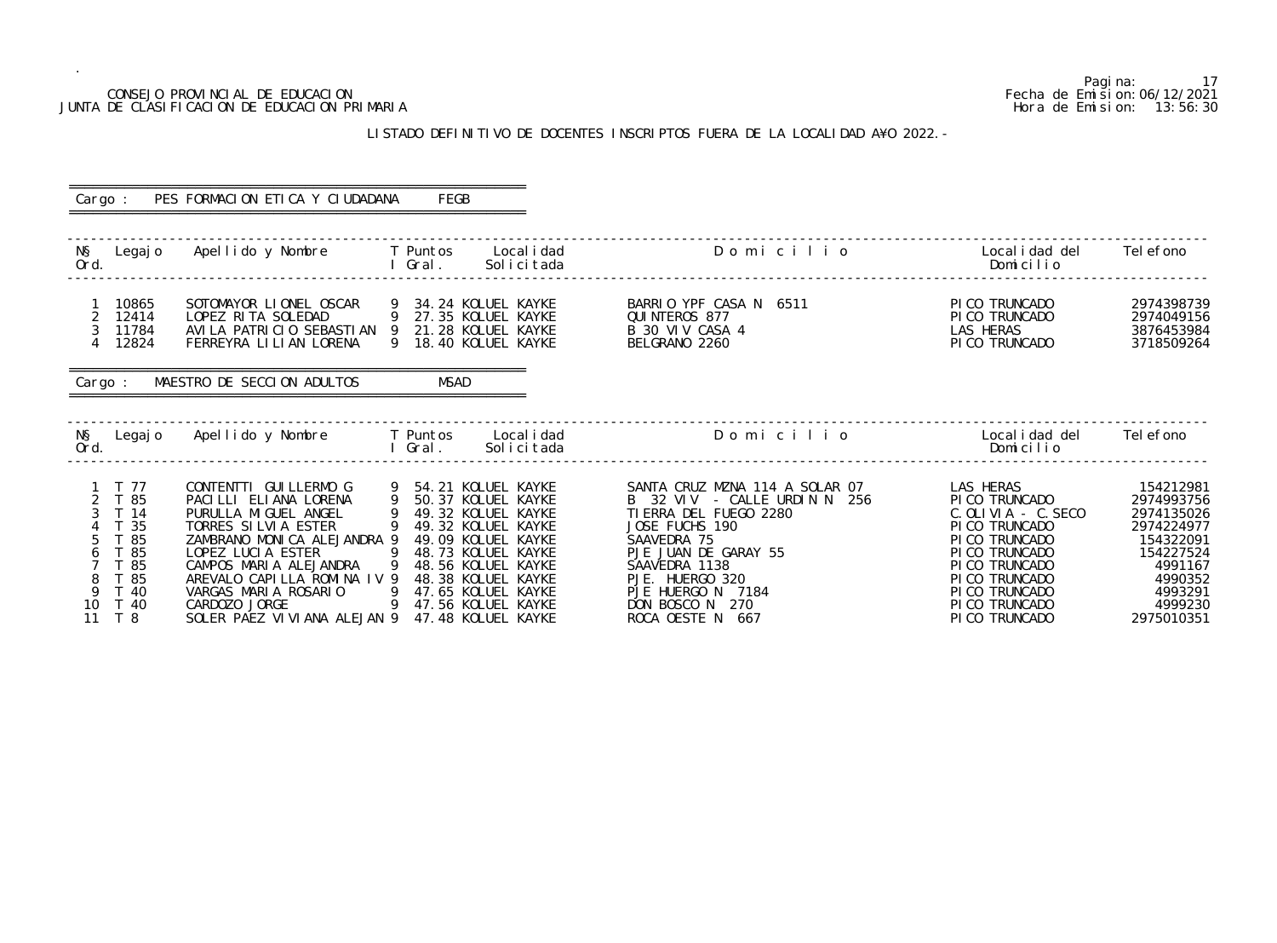|               |                                                                                     | CONSEJO PROVINCIAL DE EDUCACION<br>JUNTA DE CLASIFICACION DE EDUCACION PRIMARIA                                                                                                                                                                                                     |                   |                                                                                                                                                                                                                                                |                                                                                                                                                                                                                                                   | Hora de Emision:                                                                                                                                                                                      | Pagi na:<br>17<br>Fecha de Emi si on: 06/12/2021<br>13:56:30                                                                            |
|---------------|-------------------------------------------------------------------------------------|-------------------------------------------------------------------------------------------------------------------------------------------------------------------------------------------------------------------------------------------------------------------------------------|-------------------|------------------------------------------------------------------------------------------------------------------------------------------------------------------------------------------------------------------------------------------------|---------------------------------------------------------------------------------------------------------------------------------------------------------------------------------------------------------------------------------------------------|-------------------------------------------------------------------------------------------------------------------------------------------------------------------------------------------------------|-----------------------------------------------------------------------------------------------------------------------------------------|
|               |                                                                                     |                                                                                                                                                                                                                                                                                     |                   |                                                                                                                                                                                                                                                | LISTADO DEFINITIVO DE DOCENTES INSCRIPTOS FUERA DE LA LOCALIDAD A¥O 2022. -                                                                                                                                                                       |                                                                                                                                                                                                       |                                                                                                                                         |
| Cargo :       |                                                                                     | PES FORMACION ETICA Y CIUDADANA                                                                                                                                                                                                                                                     |                   | FEGB                                                                                                                                                                                                                                           |                                                                                                                                                                                                                                                   |                                                                                                                                                                                                       |                                                                                                                                         |
| NŞ<br>Ord.    | Legaj o                                                                             | Apellido y Nombre                                                                                                                                                                                                                                                                   | T Puntos<br>Gral. | Local i dad<br>Solicitada                                                                                                                                                                                                                      | Domicilio                                                                                                                                                                                                                                         | Local i dad del<br>Domicilio                                                                                                                                                                          | Tel efono                                                                                                                               |
|               | 10865<br>12414<br>11784<br>12824                                                    | SOTOMAYOR LIONEL OSCAR<br>LOPEZ RITA SOLEDAD<br>AVILA PATRICIO SEBASTIAN 9<br>FERREYRA LILIAN LORENA                                                                                                                                                                                |                   | 34.24 KOLUEL KAYKE<br>27.35 KOLUEL KAYKE<br>21.28 KOLUEL KAYKE<br>18.40 KOLUEL KAYKE                                                                                                                                                           | BARRIO YPF CASA N<br>6511<br>QUI NTEROS 877<br>B 30 VIV CASA 4<br>BELGRANO 2260                                                                                                                                                                   | PI CO TRUNCADO<br>PI CO TRUNCADO<br><b>LAS HERAS</b><br>PI CO TRUNCADO                                                                                                                                | 2974398739<br>2974049156<br>3876453984<br>3718509264                                                                                    |
| Cargo:        |                                                                                     | MAESTRO DE SECCION ADULTOS                                                                                                                                                                                                                                                          |                   | <b>MSAD</b>                                                                                                                                                                                                                                    |                                                                                                                                                                                                                                                   |                                                                                                                                                                                                       |                                                                                                                                         |
| NŞ<br>Ord.    | Legaj o                                                                             | Apellido y Nombre                                                                                                                                                                                                                                                                   | T Puntos<br>Gral. | Local i dad<br>Solicitada                                                                                                                                                                                                                      | Domicilio                                                                                                                                                                                                                                         | Local i dad del<br>Domicilio                                                                                                                                                                          | Tel efono                                                                                                                               |
| 9<br>10<br>11 | - 77<br>T 85<br>T 14<br>T 35<br>T 85<br>T 85<br>T 85<br>T 85<br>T 40<br>T 40<br>T 8 | CONTENTTI GUI LLERMO G<br>PACILLI ELIANA LORENA<br>PURULLA MIGUEL ANGEL<br>TORRES SILVIA ESTER<br>ZAMBRANO MONICA ALEJANDRA 9<br>LOPEZ LUCIA ESTER<br>CAMPOS MARIA ALEJANDRA<br>AREVALO CAPILLA ROMINA IV 9<br>VARGAS MARIA ROSARIO<br>CARDOZO JORGE<br>SOLER PAEZ VIVIANA ALEJAN 9 | 9                 | 54.21 KOLUEL KAYKE<br>50.37 KOLUEL KAYKE<br>49.32 KOLUEL KAYKE<br>49.32 KOLUEL KAYKE<br>49.09 KOLUEL KAYKE<br>48.73 KOLUEL KAYKE<br>48.56 KOLUEL KAYKE<br>48.38 KOLUEL KAYKE<br>47.65 KOLUEL KAYKE<br>47.56 KOLUEL KAYKE<br>47.48 KOLUEL KAYKE | SANTA CRUZ MZNA 114 A SOLAR 07<br>B 32 VIV - CALLE URDIN N 256<br>TI ERRA DEL FUEGO 2280<br>JOSE FUCHS 190<br>SAAVEDRA 75<br>PJE JUAN DE GARAY 55<br>SAAVEDRA 1138<br>PJE. HUERGO 320<br>PJE HUERGO N 7184<br>DON BOSCO N 270<br>ROCA OESTE N 667 | LAS HERAS<br>PI CO TRUNCADO<br>$C.$ OLIVIA - $C.$ SECO<br>PI CO TRUNCADO<br>PI CO TRUNCADO<br>PI CO TRUNCADO<br>PI CO TRUNCADO<br>PI CO TRUNCADO<br>PI CO TRUNCADO<br>PI CO TRUNCADO<br>PICO TRUNCADO | 154212981<br>2974993756<br>2974135026<br>2974224977<br>154322091<br>154227524<br>4991167<br>4990352<br>4993291<br>4999230<br>2975010351 |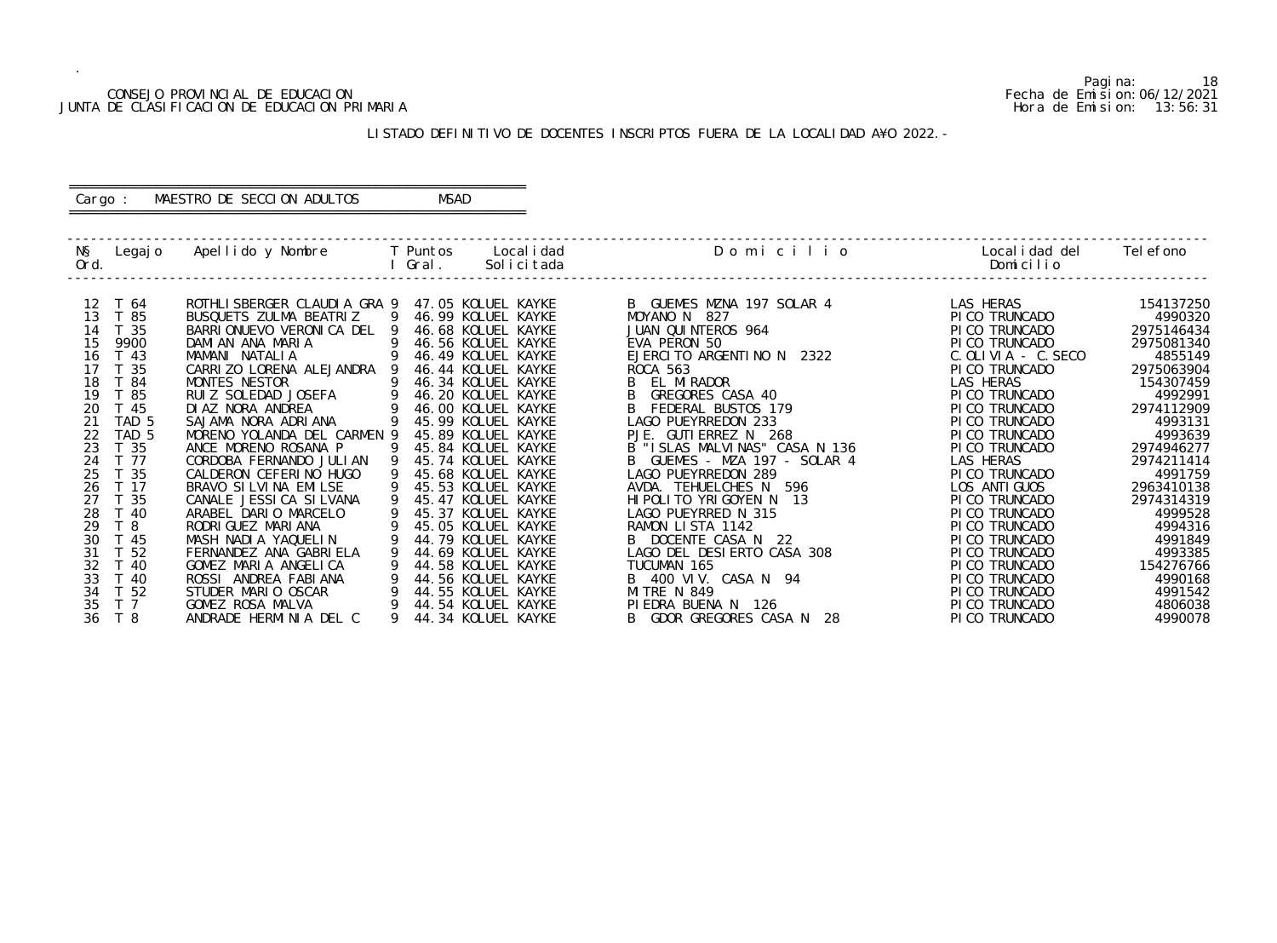|                                              | Pagi na:                       |
|----------------------------------------------|--------------------------------|
| CONSEJO PROVINCIAL DE EDUCACION              | Fecha de Emi si on: 06/12/2021 |
| JUNTA DE CLASIFICACION DE EDUCACION PRIMARIA | Hora de Emision: 13:56:31      |

## CONSEJO PROVINCIAL DE EDUCACION Fecha de Emision:06/12/2021 JUNTA DE CLASIFICACION DE EDUCACION PRIMARIA Hora de Emision: 13:56:31

# ========================================================== Cargo : MAESTRO DE SECCION ADULTOS MSAD

# LISTADO DEFINITIVO DE DOCENTES INSCRIPTOS FUERA DE LA LOCALIDAD A¥O 2022.-

==========================================================

| NŞ<br>Ord. | Legaj o          | Apellido y Nombre                           |    | T Puntos<br>Gral. |                                          | Local i dad<br>Solicitada | Domicilio                                     | Local i dad del<br>Domicilio   | Tel efono          |
|------------|------------------|---------------------------------------------|----|-------------------|------------------------------------------|---------------------------|-----------------------------------------------|--------------------------------|--------------------|
| 12         | T 64             | ROTHLI SBERGER CLAUDI A GRA 9               |    |                   | 47.05 KOLUEL KAYKE                       |                           | B GUEMES MZNA 197 SOLAR 4                     | LAS HERAS                      | 154137250          |
| 13         | T 85             | BUSQUETS ZULMA BEATRIZ                      | -9 |                   | 46.99 KOLUEL KAYKE                       |                           | MOYANO N 827                                  | PI CO TRUNCADO                 | 4990320            |
| 14         | 35               | BARRI ONUEVO VERONI CA DEL                  |    |                   | 46.68 KOLUEL KAYKE                       |                           | JUAN QUINTEROS 964                            | PICO TRUNCADO                  | 2975146434         |
| 15         | 9900             | DAMIAN ANA MARIA                            |    |                   | 46.56 KOLUEL KAYKE                       |                           | EVA PERON 50                                  | PI CO TRUNCADO                 | 2975081340         |
| 16         | T 43             | MAMANI NATALIA                              |    |                   | 46.49 KOLUEL KAYKE                       |                           | EJERCITO ARGENTINO N 2322                     | $C.$ OLIVIA - $C.$ SECO        | 4855149            |
| 17         | -35              | CARRIZO LORENA ALEJANDRA                    |    |                   | 46.44 KOLUEL KAYKE                       |                           | <b>ROCA 563</b>                               | PI CO TRUNCADO                 | 2975063904         |
| 18         | -84              | MONTES NESTOR                               |    |                   | 46.34 KOLUEL KAYKE                       |                           | EL MIRADOR                                    | LAS HERAS                      | 154307459          |
| 19         | -85              | RUIZ SOLEDAD JOSEFA                         |    |                   | 46.20 KOLUEL KAYKE                       |                           | GREGORES CASA 40                              | PICO TRUNCADO                  | 4992991            |
| 20         | -45              | DI AZ NORA ANDREA                           |    |                   | 46.00 KOLUEL KAYKE                       |                           | FEDERAL BUSTOS 179                            | PICO TRUNCADO                  | 2974112909         |
| 21         | TAD <sub>5</sub> | SAJAMA NORA ADRIANA                         |    |                   | 45.99 KOLUEL KAYKE                       |                           | LAGO PUEYRREDON 233                           | PI CO TRUNCADO                 | 4993131            |
| 22         | TAD 5            | MORENO YOLANDA DEL CARMEN 9                 |    |                   | 45.89 KOLUEL KAYKE                       |                           | PJE.<br>GUTI ERREZ N<br>268                   | PI CO TRUNCADO                 | 4993639            |
| 23         | T 35             | ANCE MORENO ROSANA P                        |    |                   | 45.84 KOLUEL KAYKE                       |                           | B "ISLAS MALVINAS" CASA N 136                 | PICO TRUNCADO                  | 2974946277         |
| 24         | T 77             | CORDOBA FERNANDO JULIAN                     |    |                   | 45.74 KOLUEL KAYKE                       |                           | GUEMES - MZA 197 - SOLAR 4                    | LAS HERAS                      | 2974211414         |
| 25         | T 35             | CALDERON CEFERINO HUGO                      |    |                   | 45.68 KOLUEL KAYKE                       |                           | LAGO PUEYRREDON 289                           | PI CO TRUNCADO                 | 4991759            |
| 26         | T 17             | BRAVO SI LVI NA EMI LSE                     |    |                   | 45.53 KOLUEL KAYKE                       |                           | AVDA. TEHUELCHES N 596                        | LOS ANTI GUOS                  | 2963410138         |
| 27<br>28   | - 35<br>T 40     | CANALE JESSI CA SI LVANA                    |    |                   | 45.47 KOLUEL KAYKE<br>45.37 KOLUEL KAYKE |                           | HIPOLITO YRIGOYEN N 13<br>LAGO PUEYRRED N 315 | PI CO TRUNCADO                 | 2974314319         |
| 29         | ි 8              | ARABEL DARIO MARCELO<br>RODRI GUEZ MARI ANA |    |                   | 45.05 KOLUEL KAYKE                       |                           | RAMON LISTA 1142                              | PICO TRUNCADO<br>PICO TRUNCADO | 4999528<br>4994316 |
| 30         | T 45             | MASH NADIA YAQUELIN                         |    |                   | 44.79 KOLUEL KAYKE                       |                           | DOCENTE CASA N 22                             | PI CO TRUNCADO                 | 4991849            |
| 31         | 52               | FERNANDEZ ANA GABRIELA                      |    |                   | 44.69 KOLUEL KAYKE                       |                           | LAGO DEL DESIERTO CASA 308                    | PI CO TRUNCADO                 | 4993385            |
| 32         | T 40             | GOMEZ MARIA ANGELICA                        |    |                   | 44.58 KOLUEL KAYKE                       |                           | TUCUMAN 165                                   | PI CO TRUNCADO                 | 154276766          |
| 33         | T 40             | ROSSI ANDREA FABIANA                        |    |                   | 44.56 KOLUEL KAYKE                       |                           | B 400 VIV. CASA N 94                          | PI CO TRUNCADO                 | 4990168            |
| 34         | T 52             | STUDER MARIO OSCAR                          |    |                   | 44.55 KOLUEL KAYKE                       |                           | <b>MITRE N 849</b>                            | PICO TRUNCADO                  | 4991542            |
| 35         | T <sub>7</sub>   | GOMEZ ROSA MALVA                            |    |                   | 44.54 KOLUEL KAYKE                       |                           | PIEDRA BUENA N 126                            | PI CO TRUNCADO                 | 4806038            |
| 36         | T 8              | ANDRADE HERMINIA DEL C                      |    |                   | 44.34 KOLUEL KAYKE                       |                           | GDOR GREGORES CASA N<br>-28<br>B              | PI CO TRUNCADO                 | 4990078            |
|            |                  |                                             |    |                   |                                          |                           |                                               |                                |                    |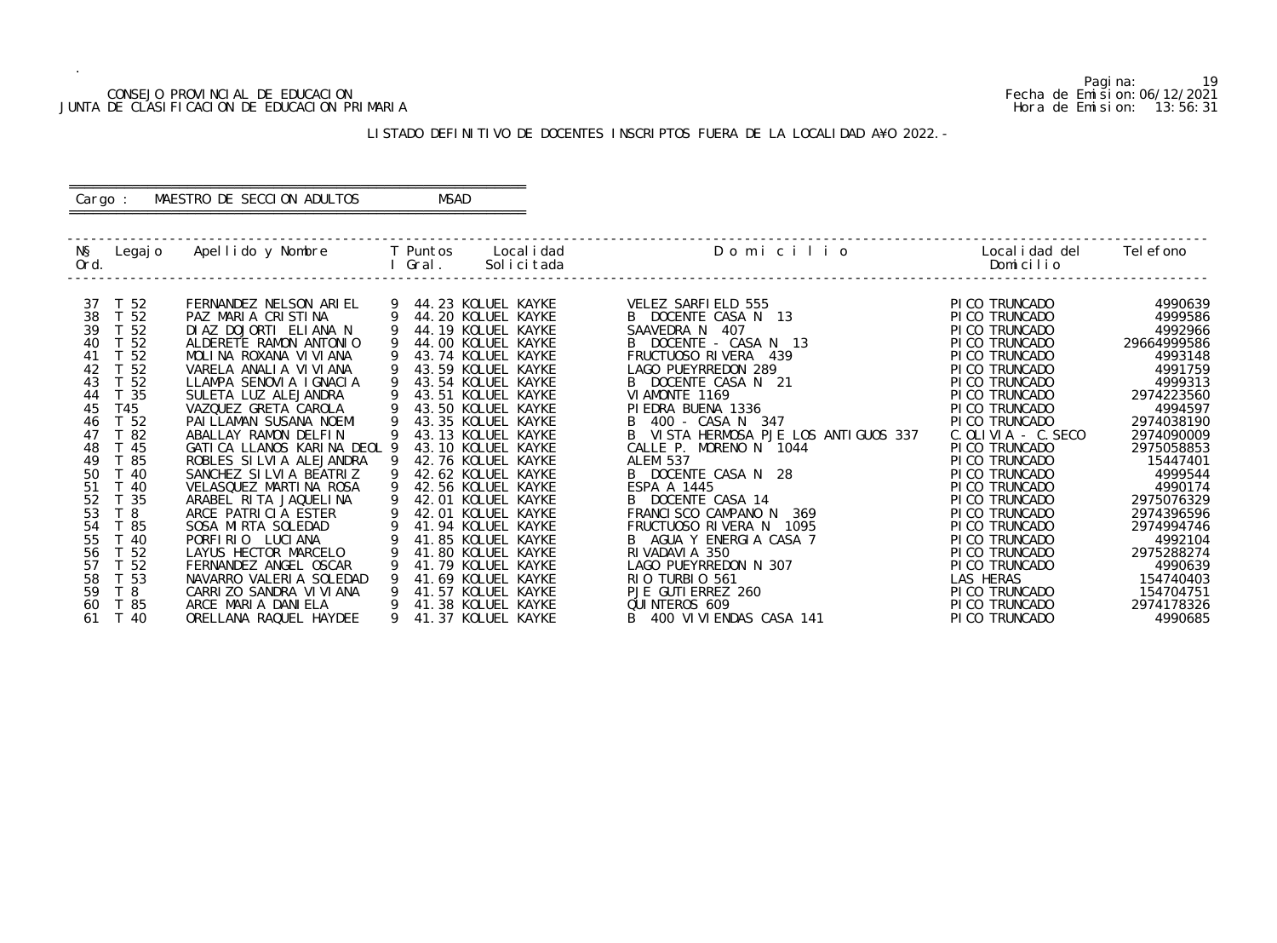## CONSEJO PROVINCIAL DE EDUCACION Fecha de Emision:06/12/2021 JUNTA DE CLASIFICACION DE EDUCACION PRIMARIA Hora de Emision: 13:56:31

# ========================================================== Cargo : MAESTRO DE SECCION ADULTOS MSAD

# LISTADO DEFINITIVO DE DOCENTES INSCRIPTOS FUERA DE LA LOCALIDAD A¥O 2022.-

==========================================================

| NŞ<br>Ord. | Legaj o         | Apellido y Nombre                            |   | T Puntos<br>Gral. | Local i dad<br>Solicitada                | Domicilio                                   | Local i dad del<br>Domicilio     | Tel efono             |
|------------|-----------------|----------------------------------------------|---|-------------------|------------------------------------------|---------------------------------------------|----------------------------------|-----------------------|
| 37         | T 52            | FERNANDEZ NELSON ARIEL                       |   |                   | 44.23 KOLUEL KAYKE                       | VELEZ SARFIELD 555                          | PI CO TRUNCADO                   | 4990639               |
| 38         | T 52            | PAZ MARIA CRISTINA                           |   |                   | 44.20 KOLUEL KAYKE                       | B DOCENTE CASA N 13                         | PI CO TRUNCADO                   | 4999586               |
| 39         | T <sub>52</sub> | DIAZ DOJORTI ELIANA N                        |   |                   | 44.19 KOLUEL KAYKE                       | SAAVEDRA N<br>- 407                         | PI CO TRUNCADO                   | 4992966               |
| 40         | T 52            | ALDERETE RAMON ANTONIO                       |   |                   | 44.00 KOLUEL KAYKE                       | B DOCENTE - CASA N 13                       | PI CO TRUNCADO                   | 29664999586           |
| 41         | - 52            | MOLINA ROXANA VIVIANA                        |   |                   | 43.74 KOLUEL KAYKE                       | FRUCTUOSO RIVERA 439                        | PI CO TRUNCADO                   | 4993148               |
| 42         | 52              | VARELA ANALIA VIVIANA                        |   |                   | 43.59 KOLUEL KAYKE                       | LAGO PUEYRREDON 289                         | PI CO TRUNCADO                   | 4991759               |
| 43         | -52             | LLAMPA SENOVIA IGNACIA                       |   |                   | 43.54 KOLUEL KAYKE                       | B DOCENTE CASA N 21                         | PI CO TRUNCADO                   | 4999313               |
| 44         | - 35            | SULETA LUZ ALEJANDRA                         |   |                   | 43.51 KOLUEL KAYKE                       | VI AMONTE 1169                              | PI CO TRUNCADO                   | 2974223560            |
| 45         | T45             | VAZQUEZ GRETA CAROLA                         |   |                   | 43.50 KOLUEL KAYKE                       | PI EDRA BUENA 1336                          | PI CO TRUNCADO                   | 4994597               |
| 46         | T 52            | PAI LLAMAN SUSANA NOEMI                      |   |                   | 43.35 KOLUEL KAYKE                       | B 400 - CASA N 347                          | PI CO TRUNCADO                   | 2974038190            |
| 47         | 82              | ABALLAY RAMON DELFIN                         |   |                   | 43.13 KOLUEL KAYKE                       | B VISTA HERMOSA PJE LOS ANTIGUOS 337        | $C.$ OLIVIA - $C.$ SECO          | 2974090009            |
| 48         | -45             | GATICA LLANOS KARINA DEOL 9                  |   |                   | 43.10 KOLUEL KAYKE                       | CALLE P. MORENO N 1044                      | PI CO TRUNCADO                   | 2975058853            |
| 49         | -85             | ROBLES SILVIA ALEJANDRA                      |   |                   | 42.76 KOLUEL KAYKE                       | <b>ALEM 537</b>                             | PI CO TRUNCADO                   | 15447401              |
| 50         | T 40            | SANCHEZ SILVIA BEATRIZ                       |   |                   | 42.62 KOLUEL KAYKE                       | B DOCENTE CASA N 28                         | PI CO TRUNCADO                   | 4999544               |
| 51         | -40             | VELASQUEZ MARTINA ROSA                       |   |                   | 42.56 KOLUEL KAYKE                       | ESPA A 1445                                 | PI CO TRUNCADO                   | 4990174               |
| 52         | -35             | ARABEL RITA JAQUELINA                        |   |                   | 42.01 KOLUEL KAYKE                       | B DOCENTE CASA 14                           | PI CO TRUNCADO                   | 2975076329            |
| 53         | T <sub>8</sub>  | ARCE PATRICIA ESTER                          |   |                   | 42.01 KOLUEL KAYKE                       | FRANCISCO CAMPANO N<br>369                  | PI CO TRUNCADO                   | 2974396596            |
| 54         | T 85            | SOSA MIRTA SOLEDAD                           |   |                   | 41.94 KOLUEL KAYKE                       | FRUCTUOSO RIVERA N<br>1095                  | PI CO TRUNCADO                   | 2974994746            |
| 55         | 40              | PORFIRIO LUCIANA                             |   |                   | 41.85 KOLUEL KAYKE                       | B AGUA Y ENERGIA CASA 7                     | PI CO TRUNCADO                   | 4992104               |
| 56         | 52              | LAYUS HECTOR MARCELO                         |   |                   | 41.80 KOLUEL KAYKE                       | RI VADAVI A 350                             | PI CO TRUNCADO                   | 2975288274            |
| 57         | 52              | FERNANDEZ ANGEL OSCAR                        |   |                   | 41.79 KOLUEL KAYKE                       | LAGO PUEYRREDON N 307                       | PI CO TRUNCADO                   | 4990639               |
| 58<br>59   | T 53            | NAVARRO VALERIA SOLEDAD                      | 9 |                   | 41.69 KOLUEL KAYKE                       | RIO TURBIO 561                              | LAS HERAS                        | 154740403             |
|            | T <sub>8</sub>  | CARRIZO SANDRA VI VI ANA                     |   |                   | 41.57 KOLUEL KAYKE                       | PJE GUTI ERREZ 260                          | PI CO TRUNCADO                   | 154704751             |
| 60<br>61   | T 85<br>T 40    | ARCE MARIA DANIELA<br>ORELLANA RAQUEL HAYDEE | 9 |                   | 41.38 KOLUEL KAYKE<br>41.37 KOLUEL KAYKE | QUINTEROS 609<br>B 400 VI VI ENDAS CASA 141 | PI CO TRUNCADO<br>PI CO TRUNCADO | 2974178326<br>4990685 |
|            |                 |                                              |   |                   |                                          |                                             |                                  |                       |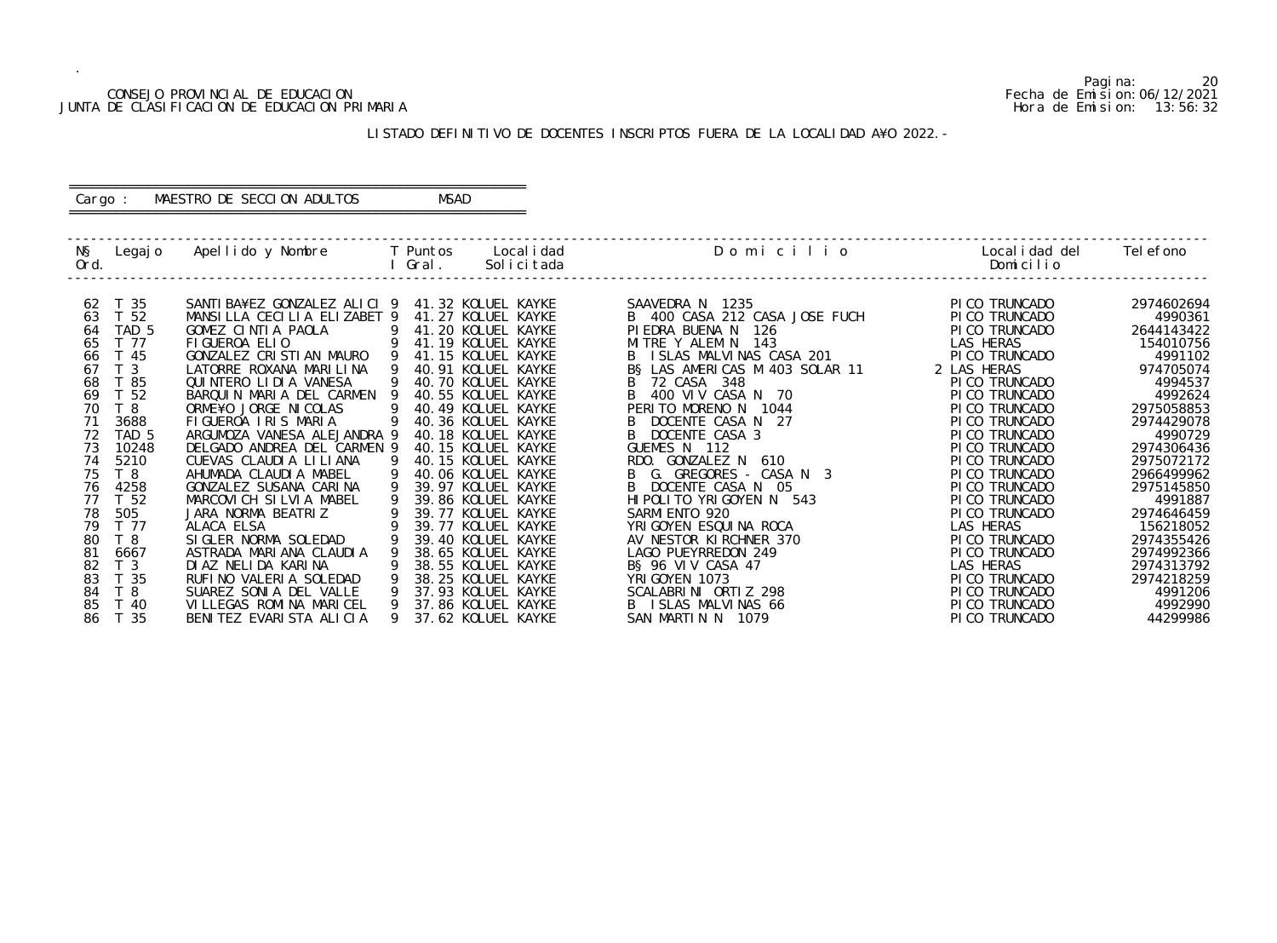## CONSEJO PROVINCIAL DE EDUCACION Fecha de Emision:06/12/2021 JUNTA DE CLASIFICACION DE EDUCACION PRIMARIA Hora de Emision: 13:56:32

# ========================================================== Cargo : MAESTRO DE SECCION ADULTOS MSAD

# LISTADO DEFINITIVO DE DOCENTES INSCRIPTOS FUERA DE LA LOCALIDAD A¥O 2022.-

==========================================================

| NŞ<br>Ord. | Legaj o          | Apellido y Nombre            |    | T Puntos<br>Gral. | Local i dad<br>Solicitada | Domicilio                      | Local i dad del<br>Domicilio | Tel efono  |
|------------|------------------|------------------------------|----|-------------------|---------------------------|--------------------------------|------------------------------|------------|
| 62         | T 35             | SANTI BA¥EZ GONZALEZ ALICI 9 |    |                   | 41.32 KOLUEL KAYKE        | SAAVEDRA N 1235                | PI CO TRUNCADO               | 2974602694 |
| 63         | T 52             | MANSILLA CECILIA ELIZABET 9  |    |                   | 41.27 KOLUEL KAYKE        | B 400 CASA 212 CASA JOSE FUCH  | PI CO TRUNCADO               | 4990361    |
| 64         | TAD <sub>5</sub> | GOMEZ CINTIA PAOLA           | -9 |                   | 41.20 KOLUEL KAYKE        | PI EDRA BUENA N<br>126         | PI CO TRUNCADO               | 2644143422 |
| 65         | T 77             | FIGUEROA ELIO                | 9  |                   | 41.19 KOLUEL KAYKE        | MITRE Y ALEM N 143             | LAS HERAS                    | 154010756  |
| 66         | T 45             | GONZALEZ CRISTIAN MAURO      | 9  |                   | 41.15 KOLUEL KAYKE        | B ISLAS MALVINAS CASA 201      | PICO TRUNCADO                | 4991102    |
| 67         | T <sub>3</sub>   | LATORRE ROXANA MARILINA      | 9  |                   | 40.91 KOLUEL KAYKE        | B§ LAS AMERICAS M 403 SOLAR 11 | 2 LAS HERAS                  | 974705074  |
| 68         | 85               | QUINTERO LIDIA VANESA        |    |                   | 40.70 KOLUEL KAYKE        | 72 CASA 348                    | PI CO TRUNCADO               | 4994537    |
| 69         | T 52             | BARQUIN MARIA DEL CARMEN     |    |                   | 40.55 KOLUEL KAYKE        | 400 VIV CASA N 70              | PI CO TRUNCADO               | 4992624    |
| 70         | T 8              | ORME¥O JORGE NICOLAS         |    |                   | 40.49 KOLUEL KAYKE        | PERITO MORENO N 1044           | PI CO TRUNCADO               | 2975058853 |
| 71         | 3688             | FIGUEROA IRIS MARIA          |    |                   | 40.36 KOLUEL KAYKE        | DOCENTE CASA N 27              | PI CO TRUNCADO               | 2974429078 |
| 72         | TAD 5            | ARGUMOZA VANESA ALEJANDRA 9  |    |                   | 40.18 KOLUEL KAYKE        | DOCENTE CASA 3                 | PI CO TRUNCADO               | 4990729    |
| 73         | 10248            | DELGADO ANDREA DEL CARMEN 9  |    |                   | 40.15 KOLUEL KAYKE        | GUEMES N 112                   | PI CO TRUNCADO               | 2974306436 |
| 74         | 5210             | CUEVAS CLAUDI A LI LI ANA    |    |                   | 40.15 KOLUEL KAYKE        | RDO. GONZALEZ N<br>610         | PI CO TRUNCADO               | 2975072172 |
| 75         | T <sub>8</sub>   | AHUMADA CLAUDIA MABEL        |    |                   | 40.06 KOLUEL KAYKE        | G. GREGORES - CASA N 3         | PICO TRUNCADO                | 2966499962 |
| 76         | 4258             | GONZALEZ SUSANA CARINA       |    |                   | 39.97 KOLUEL KAYKE        | DOCENTE CASA N 05              | PI CO TRUNCADO               | 2975145850 |
| 77         | T <sub>52</sub>  | MARCOVICH SILVIA MABEL       |    |                   | 39.86 KOLUEL KAYKE        | HIPOLITO YRIGOYEN N 543        | PI CO TRUNCADO               | 4991887    |
| 78         | 505              | JARA NORMA BEATRIZ           |    |                   | 39.77 KOLUEL KAYKE        | SARMI ENTO 920                 | PI CO TRUNCADO               | 2974646459 |
| 79         | T 77             | ALACA ELSA                   |    |                   | 39.77 KOLUEL KAYKE        | YRI GOYEN ESQUI NA ROCA        | LAS HERAS                    | 156218052  |
| 80         | T <sub>8</sub>   | SIGLER NORMA SOLEDAD         |    |                   | 39.40 KOLUEL KAYKE        | AV NESTOR KIRCHNER 370         | PI CO TRUNCADO               | 2974355426 |
| 81         | 6667             | ASTRADA MARIANA CLAUDIA      |    |                   | 38.65 KOLUEL KAYKE        | LAGO PUEYRREDON 249            | PICO TRUNCADO                | 2974992366 |
| 82         | T <sub>3</sub>   | DIAZ NELIDA KARINA           |    |                   | 38.55 KOLUEL KAYKE        | BS 96 VIV CASA 47              | LAS HERAS                    | 2974313792 |
| 83         | T 35             | RUFINO VALERIA SOLEDAD       |    |                   | 38.25 KOLUEL KAYKE        | YRI GOYEN 1073                 | PI CO TRUNCADO               | 2974218259 |
| 84         | T <sub>8</sub>   | SUAREZ SONIA DEL VALLE       |    |                   | 37.93 KOLUEL KAYKE        | SCALABRINI ORTIZ 298           | PI CO TRUNCADO               | 4991206    |
| 85         | T 40             | VILLEGAS ROMINA MARICEL      |    |                   | 37.86 KOLUEL KAYKE        | B ISLAS MALVINAS 66            | PI CO TRUNCADO               | 4992990    |
| 86         | T 35             | BENITEZ EVARISTA ALICIA      | Q  |                   | 37.62 KOLUEL KAYKE        | SAN MARTIN N 1079              | PICO TRUNCADO                | 44299986   |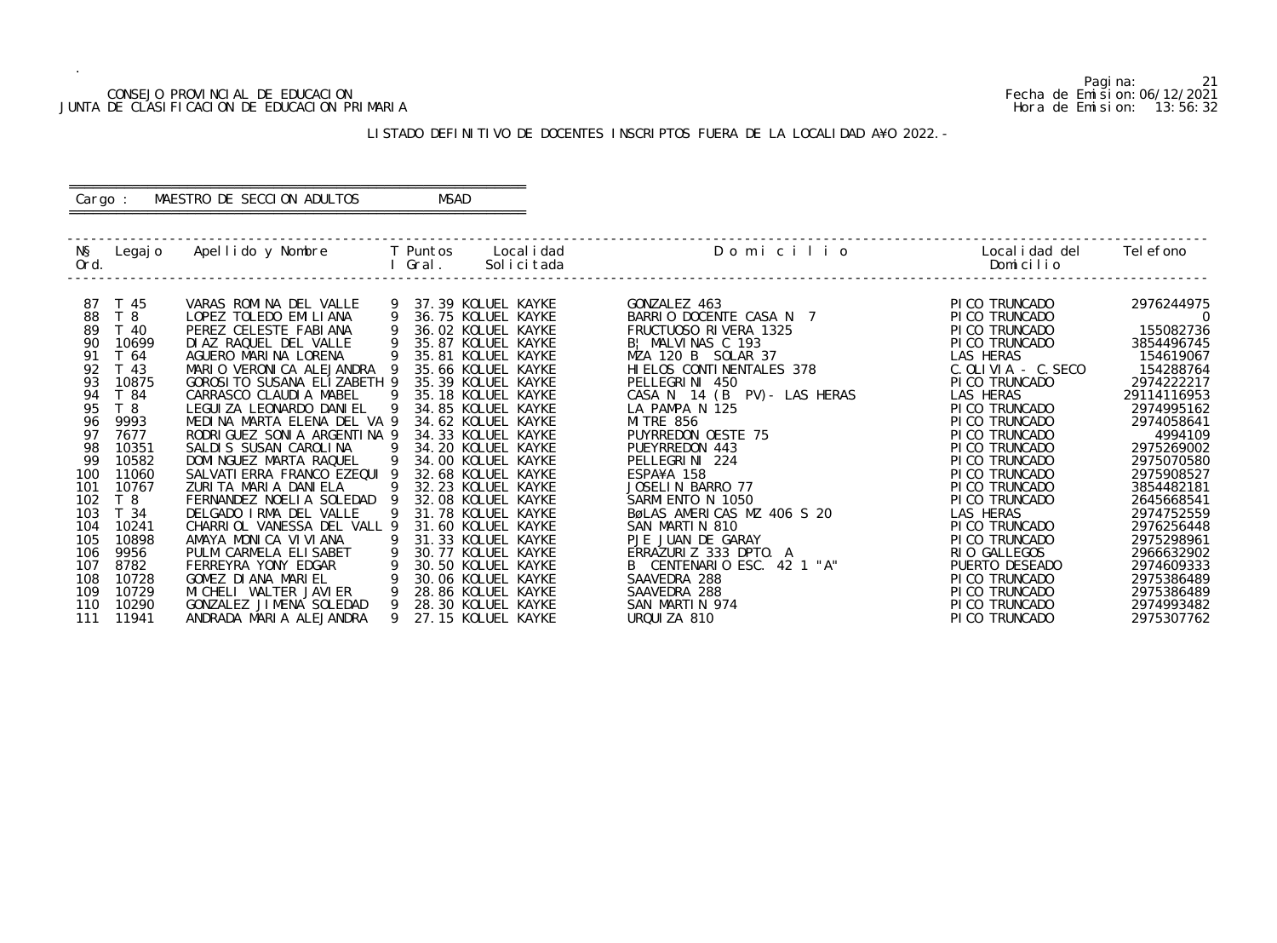## CONSEJO PROVINCIAL DE EDUCACION Fecha de Emision:06/12/2021 JUNTA DE CLASIFICACION DE EDUCACION PRIMARIA Hora de Emision: 13:56:32

# ========================================================== Cargo : MAESTRO DE SECCION ADULTOS MSAD

# LISTADO DEFINITIVO DE DOCENTES INSCRIPTOS FUERA DE LA LOCALIDAD A¥O 2022.-

==========================================================

| NŞ<br>Ord. | Legaj o         | Apellido y Nombre         T Puntos     Localidad |                | l Gral. | Solicitada         | Domicilio                    | Localidad del<br>Domicilio | Tel efono      |
|------------|-----------------|--------------------------------------------------|----------------|---------|--------------------|------------------------------|----------------------------|----------------|
| 87         | T 45            | VARAS ROMINA DEL VALLE                           | 9              |         | 37.39 KOLUEL KAYKE | GONZALEZ 463                 | PI CO TRUNCADO             | 2976244975     |
| 88         | T 8             | LOPEZ TOLEDO EMILIANA                            | -9             |         | 36.75 KOLUEL KAYKE | BARRIO DOCENTE CASA N 7      | PICO TRUNCADO              | $\overline{0}$ |
| 89         | T 40            | PEREZ CELESTE FABIANA                            | 9              |         | 36.02 KOLUEL KAYKE | FRUCTUOSO RIVERA 1325        | PI CO TRUNCADO             | 155082736      |
| 90         | 10699           | DI AZ RAQUEL DEL VALLE                           | 9              |         | 35.87 KOLUEL KAYKE | B! MALVINAS C 193            | PICO TRUNCADO              | 3854496745     |
| 91         | T 64            | AGUERO MARINA LORENA                             | -9             |         | 35.81 KOLUEL KAYKE | MZA 120 B SOLAR 37           | LAS HERAS                  | 154619067      |
| 92         | T <sub>43</sub> | MARIO VERONICA ALEJANDRA 9                       |                |         | 35.66 KOLUEL KAYKE | HI ELOS CONTINENTALES 378    | C. OLIVIA - C. SECO        | 154288764      |
| 93         | 10875           | GOROSI TO SUSANA ELIZABETH 9                     |                |         | 35.39 KOLUEL KAYKE | PELLEGRINI 450               | PI CO TRUNCADO             | 2974222217     |
| 94         | T 84            | CARRASCO CLAUDIA MABEL                           | $\overline{9}$ |         | 35.18 KOLUEL KAYKE | CASA N 14 (B PV) - LAS HERAS | LAS HERAS                  | 29114116953    |
| 95         | T <sub>8</sub>  | LEGUI ZA LEONARDO DANI EL                        | $\overline{9}$ |         | 34.85 KOLUEL KAYKE | LA PAMPA N 125               | PICO TRUNCADO              | 2974995162     |
| 96         | 9993            | MEDINA MARTA ELENA DEL VA 9                      |                |         | 34.62 KOLUEL KAYKE | <b>MI TRE 856</b>            | PICO TRUNCADO              | 2974058641     |
| 97         | 7677            | RODRI GUEZ SONI A ARGENTI NA 9                   |                |         | 34.33 KOLUEL KAYKE | PUYRREDON OESTE 75           | PI CO TRUNCADO             | 4994109        |
| 98         | 10351           | SALDIS SUSAN CAROLINA                            | $\overline{9}$ |         | 34.20 KOLUEL KAYKE | PUEYRREDON 443               | PI CO TRUNCADO             | 2975269002     |
| 99         | 10582           | DOMI NGUEZ MARTA RAQUEL                          | - 9            |         | 34.00 KOLUEL KAYKE | PELLEGRINI 224               | PI CO TRUNCADO             | 2975070580     |
| 100        | 11060           | SALVATI ERRA FRANCO EZEQUI 9                     |                |         | 32.68 KOLUEL KAYKE | ESPA¥A 158                   | PI CO TRUNCADO             | 2975908527     |
| 101        | 10767           | ZURITA MARIA DANIELA                             | -9             |         | 32.23 KOLUEL KAYKE | JOSELIN BARRO 77             | PI CO TRUNCADO             | 3854482181     |
| 102        | T 8             | FERNANDEZ NOELIA SOLEDAD 9                       |                |         | 32.08 KOLUEL KAYKE | SARMI ENTO N 1050            | PI CO TRUNCADO             | 2645668541     |
| 103        | T 34            | DELGADO IRMA DEL VALLE                           | -9             |         | 31.78 KOLUEL KAYKE | BøLAS AMERICAS MZ 406 S 20   | LAS HERAS                  | 2974752559     |
| 104        | 10241           | CHARRIOL VANESSA DEL VALL 9                      |                |         | 31.60 KOLUEL KAYKE | SAN MARTIN 810               | PICO TRUNCADO              | 2976256448     |
| 105        | 10898           | AMAYA MONICA VIVIANA                             |                |         | 31.33 KOLUEL KAYKE | PJE JUAN DE GARAY            | PI CO TRUNCADO             | 2975298961     |
| 106        | 9956            | PULM CARMELA ELISABET                            | -9             |         | 30.77 KOLUEL KAYKE | ERRAZURIZ 333 DPTO. A        | RIO GALLEGOS               | 2966632902     |
| 107        | 8782            | FERREYRA YONY EDGAR                              | 9              |         | 30.50 KOLUEL KAYKE | B CENTENARIO ESC. 42 1 "A"   | PUERTO DESEADO             | 2974609333     |
| 108        | 10728           | $\overline{9}$<br>GOMEZ DIANA MARIEL             |                |         | 30.06 KOLUEL KAYKE | SAAVEDRA 288                 | PI CO TRUNCADO             | 2975386489     |
| 109        | 10729           | MI CHELI WALTER JAVI ER                          | $\overline{9}$ |         | 28.86 KOLUEL KAYKE | SAAVEDRA 288                 | PI CO TRUNCADO             | 2975386489     |
| 110        | 10290           | GONZALEZ JIMENA SOLEDAD                          | $\overline{9}$ |         | 28.30 KOLUEL KAYKE | SAN MARTIN 974               | PI CO TRUNCADO             | 2974993482     |
| 111        | 11941           | ANDRADA MARIA ALEJANDRA                          | 9              |         | 27.15 KOLUEL KAYKE | URQUIZA 810                  | PI CO TRUNCADO             | 2975307762     |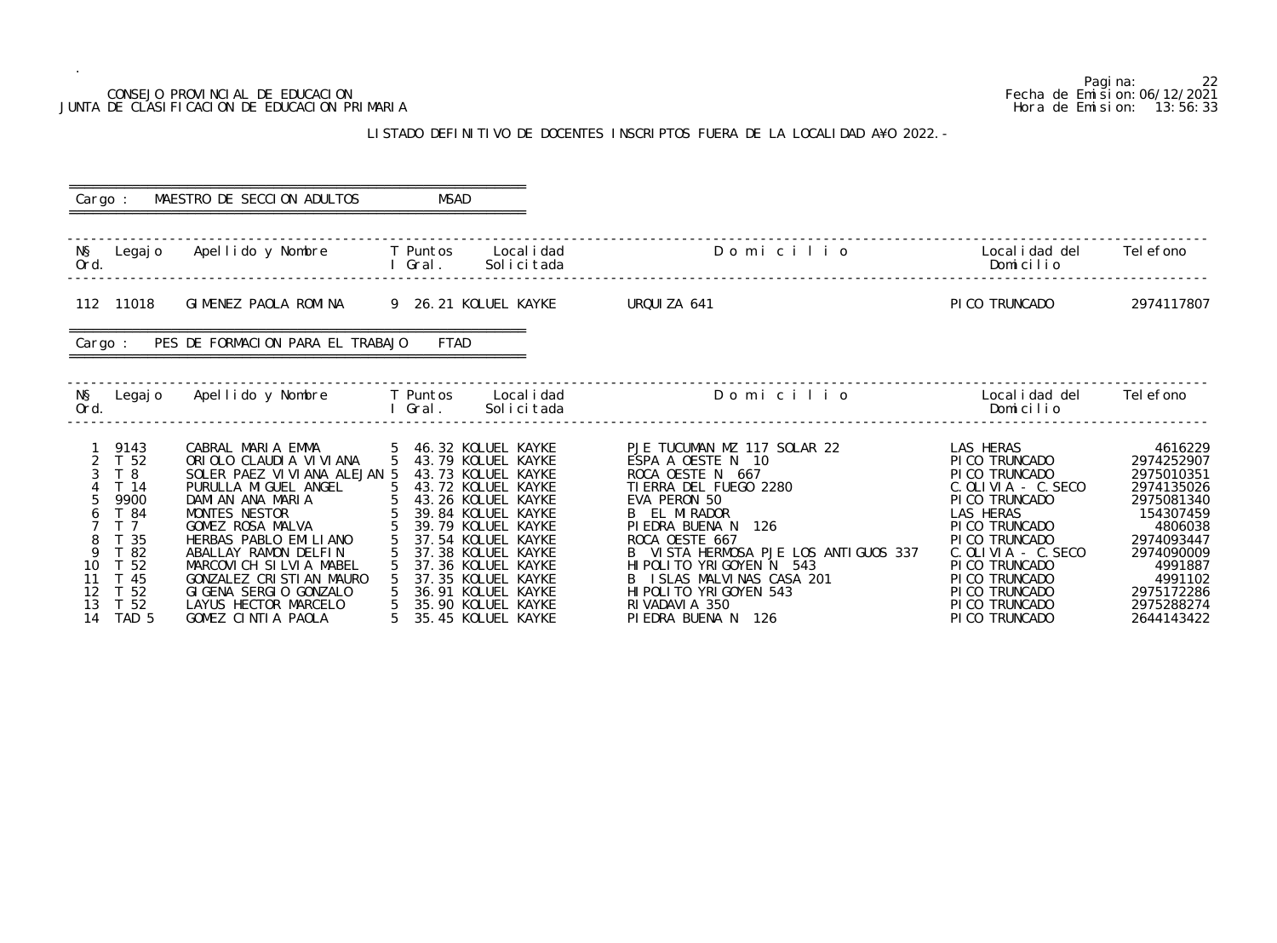## CONSEJO PROVINCIAL DE EDUCACION JUNTA DE CLASIFICACION DE EDUCACION PRIMARIA

.

## LISTADO DEFINITIVO DE DOCENTES INSCRIPTOS FUERA DE LA LOCALI

|                                      |                                                                                                                                               | CONSEJO PROVINCIAL DE EDUCACION<br>JUNTA DE CLASIFICACION DE EDUCACION PRIMARIA                                                                                                                                                                                                                                                            |             |                                                                                                                                                                                                                                                                                                                        | LISTADO DEFINITIVO DE DOCENTES INSCRIPTOS FUERA DE LA LOCALIDAD A¥O 2022. -                                                                                                                                                                                                                                                                   |                                                                                                                                                                                                                                                            | 22<br>Pagi na:<br>Fecha de Emi si on: 06/12/2021<br>Hora de Emision: 13:56:33                                                                                                       |
|--------------------------------------|-----------------------------------------------------------------------------------------------------------------------------------------------|--------------------------------------------------------------------------------------------------------------------------------------------------------------------------------------------------------------------------------------------------------------------------------------------------------------------------------------------|-------------|------------------------------------------------------------------------------------------------------------------------------------------------------------------------------------------------------------------------------------------------------------------------------------------------------------------------|-----------------------------------------------------------------------------------------------------------------------------------------------------------------------------------------------------------------------------------------------------------------------------------------------------------------------------------------------|------------------------------------------------------------------------------------------------------------------------------------------------------------------------------------------------------------------------------------------------------------|-------------------------------------------------------------------------------------------------------------------------------------------------------------------------------------|
|                                      |                                                                                                                                               |                                                                                                                                                                                                                                                                                                                                            |             |                                                                                                                                                                                                                                                                                                                        |                                                                                                                                                                                                                                                                                                                                               |                                                                                                                                                                                                                                                            |                                                                                                                                                                                     |
|                                      | Cargo :                                                                                                                                       | MAESTRO DE SECCION ADULTOS                                                                                                                                                                                                                                                                                                                 | <b>MSAD</b> |                                                                                                                                                                                                                                                                                                                        |                                                                                                                                                                                                                                                                                                                                               |                                                                                                                                                                                                                                                            |                                                                                                                                                                                     |
| NŞ<br>Ord.                           |                                                                                                                                               | Legajo Apellido y Nombre                                                                                                                                                                                                                                                                                                                   | Gral.       | T Puntos Localidad<br>Solicitada                                                                                                                                                                                                                                                                                       | Domicilio                                                                                                                                                                                                                                                                                                                                     | Local i dad del<br>Domicilio                                                                                                                                                                                                                               | Tel efono                                                                                                                                                                           |
|                                      | 112 11018                                                                                                                                     | GIMENEZ PAOLA ROMINA 9 26.21 KOLUEL KAYKE                                                                                                                                                                                                                                                                                                  |             |                                                                                                                                                                                                                                                                                                                        | URQUIZA 641                                                                                                                                                                                                                                                                                                                                   | PI CO TRUNCADO                                                                                                                                                                                                                                             | 2974117807                                                                                                                                                                          |
|                                      | Cargo :                                                                                                                                       | PES DE FORMACION PARA EL TRABAJO                                                                                                                                                                                                                                                                                                           | <b>FTAD</b> |                                                                                                                                                                                                                                                                                                                        |                                                                                                                                                                                                                                                                                                                                               |                                                                                                                                                                                                                                                            |                                                                                                                                                                                     |
| NŞ<br>Ord.                           | Legaj o                                                                                                                                       | Apellido y Nombre                                                                                                                                                                                                                                                                                                                          | Gral.       | T Puntos Localidad<br>Solicitada                                                                                                                                                                                                                                                                                       | Domicilio                                                                                                                                                                                                                                                                                                                                     | Local i dad del<br>Domicilio                                                                                                                                                                                                                               | Tel efono                                                                                                                                                                           |
| 3<br>9<br>10<br>11<br>12<br>13<br>14 | 1 9143<br>T 52<br>T 8<br>4 T 14<br>9900<br>T 84<br>T <sub>7</sub><br>-35<br>$^{\circ}$ 82<br>T 52<br>T 45<br>T <sub>52</sub><br>T 52<br>TAD 5 | CABRAL MARIA EMMA<br>ORIOLO CLAUDIA VIVIANA<br>SOLER PAEZ VI VI ANA ALEJAN 5<br>PURULLA MIGUEL ANGEL<br>DAMIAN ANA MARIA<br>MONTES NESTOR<br>GOMEZ ROSA MALVA<br>HERBAS PABLO EMILIANO<br>ABALLAY RAMON DELFIN<br>MARCOVICH SILVIA MABEL<br>GONZALEZ CRISTIAN MAURO<br>GIGENA SERGIO GONZALO<br>LAYUS HECTOR MARCELO<br>GOMEZ CINTIA PAOLA |             | 5 46.32 KOLUEL KAYKE<br>5 43.79 KOLUEL KAYKE<br>43.73 KOLUEL KAYKE<br>5 43.72 KOLUEL KAYKE<br>43.26 KOLUEL KAYKE<br>39.84 KOLUEL KAYKE<br>39.79 KOLUEL KAYKE<br>37.54 KOLUEL KAYKE<br>37.38 KOLUEL KAYKE<br>37.36 KOLUEL KAYKE<br>37.35 KOLUEL KAYKE<br>36.91 KOLUEL KAYKE<br>35.90 KOLUEL KAYKE<br>35.45 KOLUEL KAYKE | PJE TUCUMAN MZ 117 SOLAR 22<br>ESPA A OESTE N 10<br>ROCA OESTE N 667<br>TI ERRA DEL FUEGO 2280<br>EVA PERON 50<br>B EL MIRADOR<br>PIEDRA BUENA N<br>126<br>ROCA OESTE 667<br>B VISTA HERMOSA PJE LOS ANTIGUOS 337<br>HIPOLITO YRIGOYEN N 543<br>B ISLAS MALVINAS CASA 201<br>HI POLITO YRI GOYEN 543<br>RI VADAVI A 350<br>PIEDRA BUENA N 126 | LAS HERAS<br>PICO TRUNCADO<br>PICO TRUNCADO<br>C. OLIVIA - C. SECO<br>PI CO TRUNCADO<br>LAS HERAS<br>PI CO TRUNCADO<br>PI CO TRUNCADO<br>$C.$ OLIVIA - $C.$ SECO<br>PI CO TRUNCADO<br>PI CO TRUNCADO<br>PI CO TRUNCADO<br>PI CO TRUNCADO<br>PI CO TRUNCADO | 4616229<br>2974252907<br>2975010351<br>2974135026<br>2975081340<br>154307459<br>4806038<br>2974093447<br>2974090009<br>4991887<br>4991102<br>2975172286<br>2975288274<br>2644143422 |